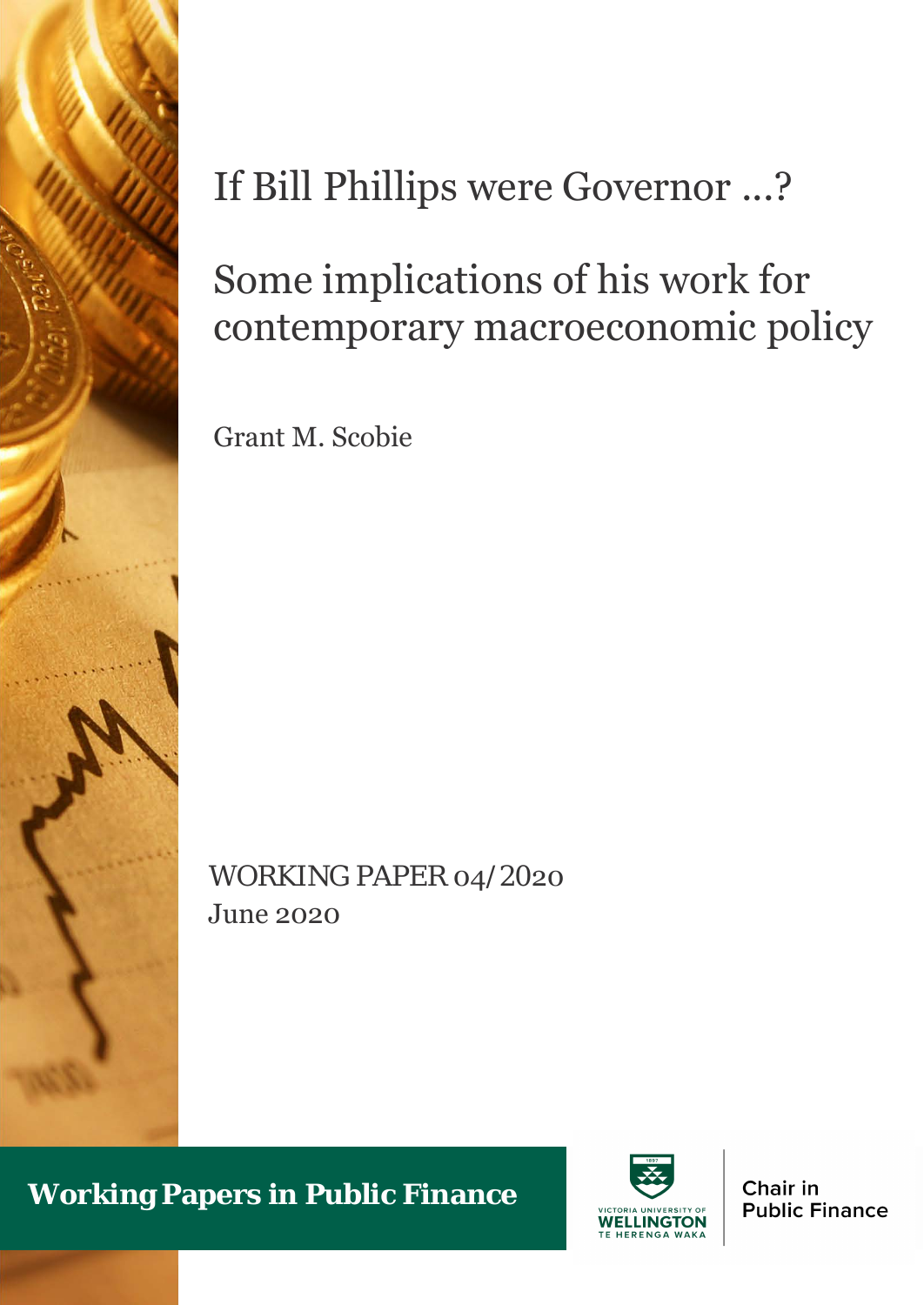

# If Bill Phillips were Governor ...?

# Some implications of his work for contemporary macroeconomic policy

Grant M. Scobie

WORKING PAPER 04/2020 June 2020

**Working Papers in Public Finance**



Chair in **Public Finance**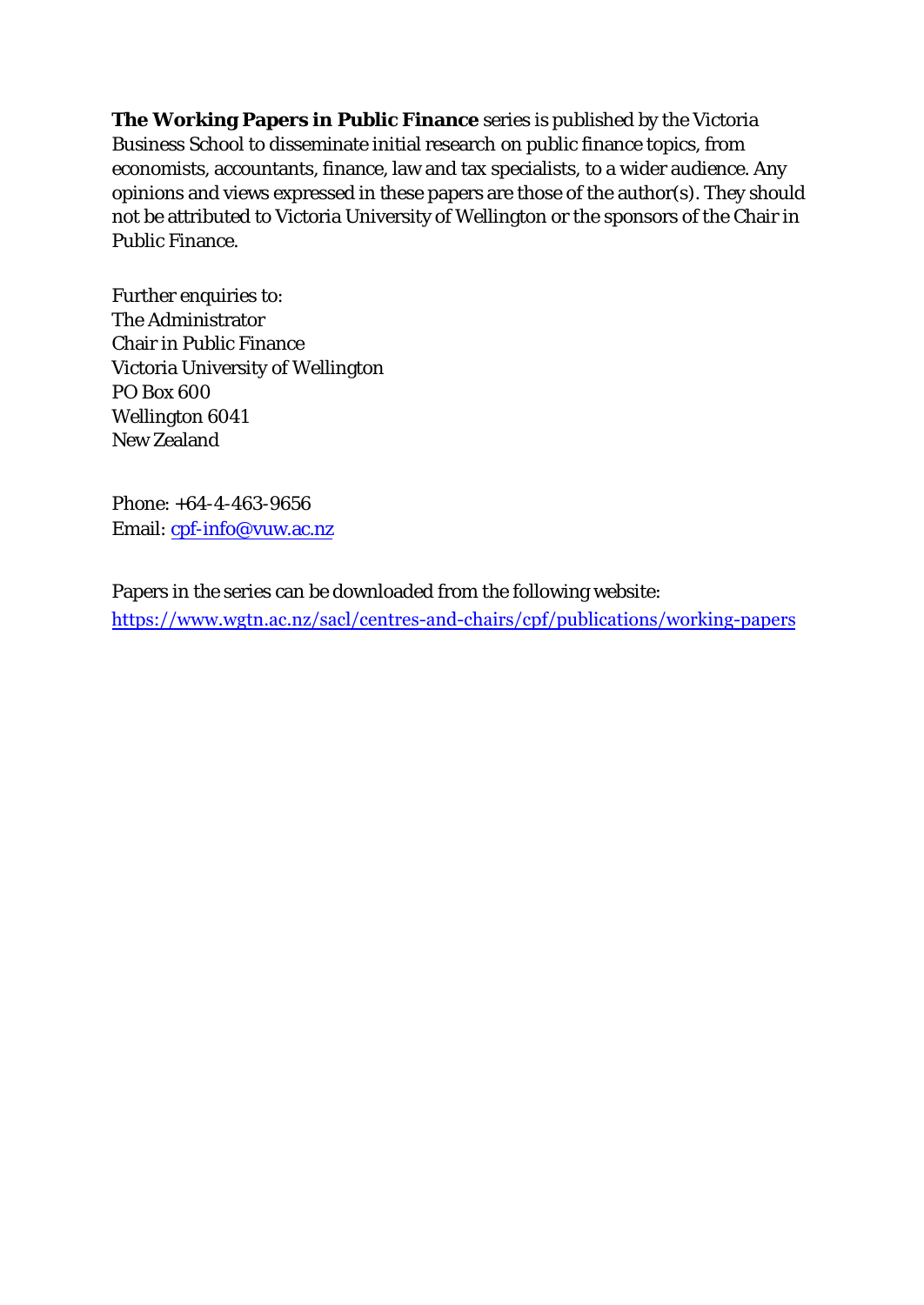**The Working Papers in Public Finance** series is published by the Victoria Business School to disseminate initial research on public finance topics, from economists, accountants, finance, law and tax specialists, to a wider audience. Any opinions and views expressed in these papers are those of the author(s). They should not be attributed to Victoria University of Wellington or the sponsors of the Chair in Public Finance.

Further enquiries to: The Administrator Chair in Public Finance Victoria University of Wellington PO Box 600 Wellington 6041 New Zealand

Phone: +64-4-463-9656 Email: [cpf-info@vuw.ac.nz](mailto:cpf-info@vuw.ac.nz)

Papers in the series can be downloaded from the following website: <https://www.wgtn.ac.nz/sacl/centres-and-chairs/cpf/publications/working-papers>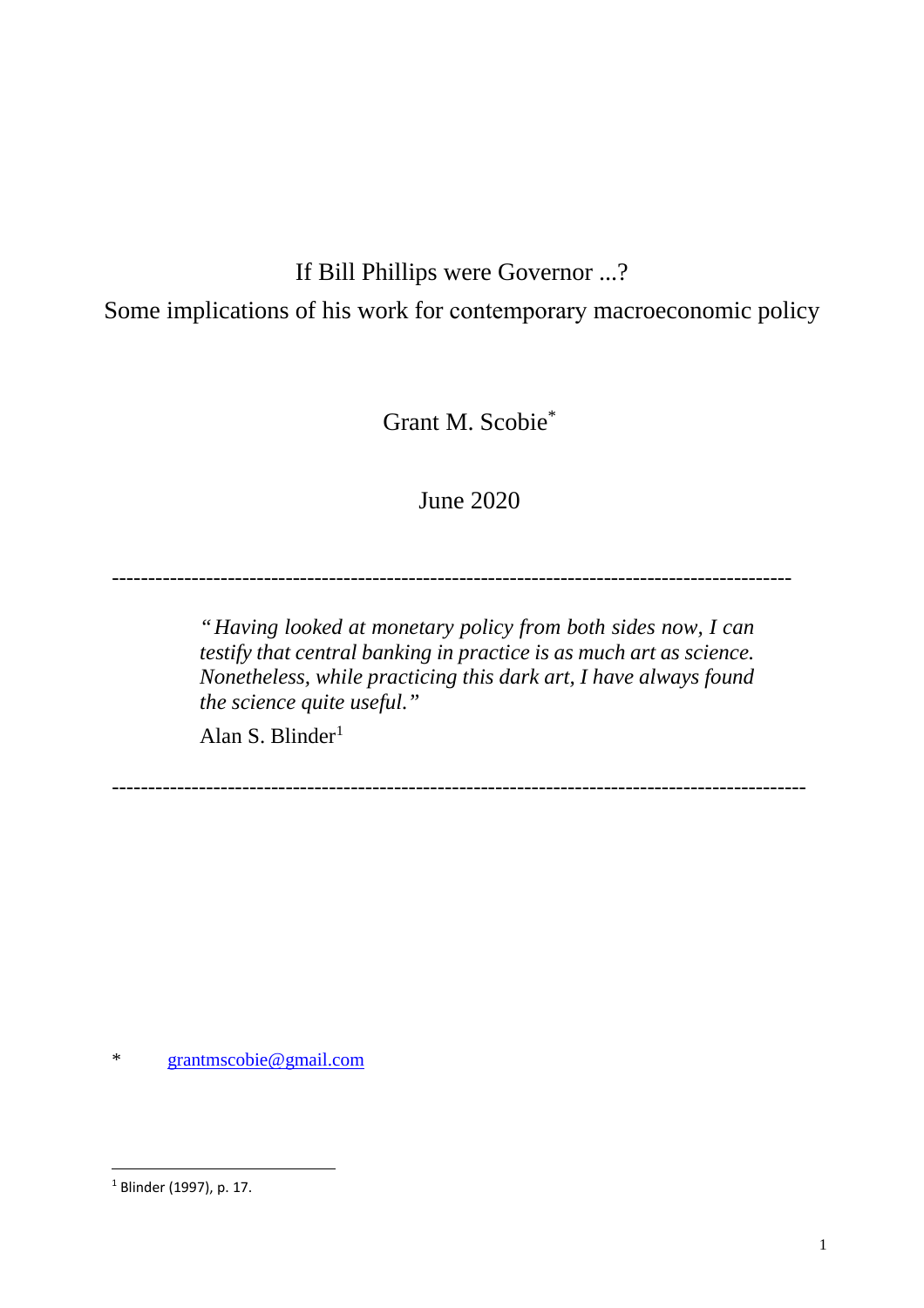# If Bill Phillips were Governor ...?

Some implications of his work for contemporary macroeconomic policy

Grant M. Scobie\*

# June 2020

----------------------------------------------------------------------------------------------

*"Having looked at monetary policy from both sides now, I can testify that central banking in practice is as much art as science. Nonetheless, while practicing this dark art, I have always found the science quite useful."* 

Alan S. Blinder<sup>[1](#page-2-0)</sup>

------------------------------------------------------------------------------------------------

\* [grantmscobie@gmail.com](mailto:grantmscobie@gmail.com)

<span id="page-2-0"></span><sup>&</sup>lt;sup>1</sup> Blinder (1997), p. 17.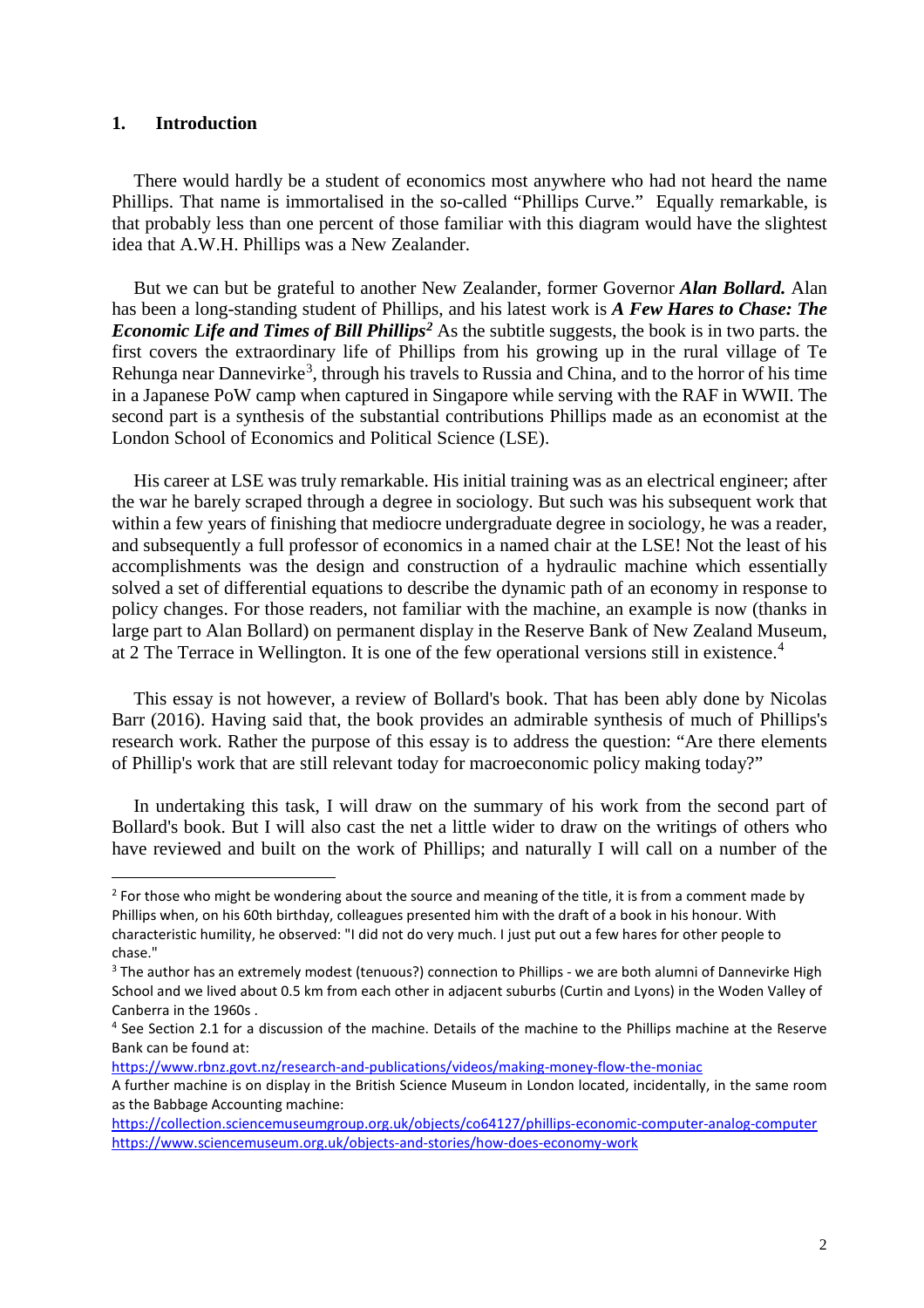#### **1. Introduction**

There would hardly be a student of economics most anywhere who had not heard the name Phillips. That name is immortalised in the so-called "Phillips Curve." Equally remarkable, is that probably less than one percent of those familiar with this diagram would have the slightest idea that A.W.H. Phillips was a New Zealander.

But we can but be grateful to another New Zealander, former Governor *Alan Bollard.* Alan has been a long-standing student of Phillips, and his latest work is *A Few Hares to Chase: The Economic Life and Times of Bill Phillips[2](#page-3-0)* As the subtitle suggests, the book is in two parts. the first covers the extraordinary life of Phillips from his growing up in the rural village of Te Rehunga near Dannevirke<sup>[3](#page-3-1)</sup>, through his travels to Russia and China, and to the horror of his time in a Japanese PoW camp when captured in Singapore while serving with the RAF in WWII. The second part is a synthesis of the substantial contributions Phillips made as an economist at the London School of Economics and Political Science (LSE).

His career at LSE was truly remarkable. His initial training was as an electrical engineer; after the war he barely scraped through a degree in sociology. But such was his subsequent work that within a few years of finishing that mediocre undergraduate degree in sociology, he was a reader, and subsequently a full professor of economics in a named chair at the LSE! Not the least of his accomplishments was the design and construction of a hydraulic machine which essentially solved a set of differential equations to describe the dynamic path of an economy in response to policy changes. For those readers, not familiar with the machine, an example is now (thanks in large part to Alan Bollard) on permanent display in the Reserve Bank of New Zealand Museum, at 2 The Terrace in Wellington. It is one of the few operational versions still in existence.<sup>[4](#page-3-2)</sup>

This essay is not however, a review of Bollard's book. That has been ably done by Nicolas Barr (2016). Having said that, the book provides an admirable synthesis of much of Phillips's research work. Rather the purpose of this essay is to address the question: "Are there elements of Phillip's work that are still relevant today for macroeconomic policy making today?"

In undertaking this task, I will draw on the summary of his work from the second part of Bollard's book. But I will also cast the net a little wider to draw on the writings of others who have reviewed and built on the work of Phillips; and naturally I will call on a number of the

<https://www.rbnz.govt.nz/research-and-publications/videos/making-money-flow-the-moniac>

<span id="page-3-0"></span> $2$  For those who might be wondering about the source and meaning of the title, it is from a comment made by Phillips when, on his 60th birthday, colleagues presented him with the draft of a book in his honour. With characteristic humility, he observed: "I did not do very much. I just put out a few hares for other people to chase."

<span id="page-3-1"></span><sup>&</sup>lt;sup>3</sup> The author has an extremely modest (tenuous?) connection to Phillips - we are both alumni of Dannevirke High School and we lived about 0.5 km from each other in adjacent suburbs (Curtin and Lyons) in the Woden Valley of Canberra in the 1960s .

<span id="page-3-2"></span><sup>4</sup> See Section 2.1 for a discussion of the machine. Details of the machine to the Phillips machine at the Reserve Bank can be found at:

A further machine is on display in the British Science Museum in London located, incidentally, in the same room as the Babbage Accounting machine:

<https://collection.sciencemuseumgroup.org.uk/objects/co64127/phillips-economic-computer-analog-computer> <https://www.sciencemuseum.org.uk/objects-and-stories/how-does-economy-work>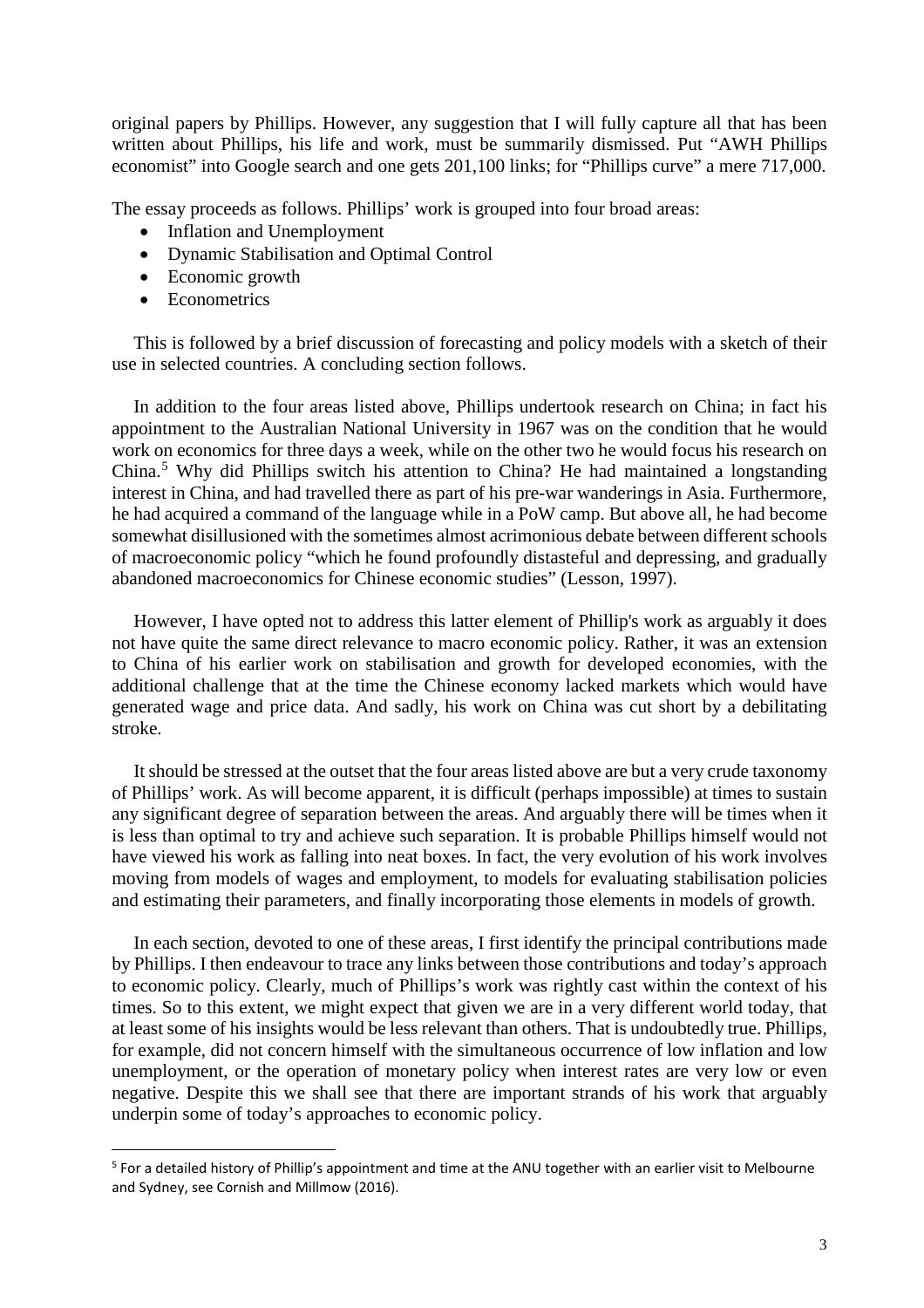original papers by Phillips. However, any suggestion that I will fully capture all that has been written about Phillips, his life and work, must be summarily dismissed. Put "AWH Phillips economist" into Google search and one gets 201,100 links; for "Phillips curve" a mere 717,000.

The essay proceeds as follows. Phillips' work is grouped into four broad areas:

- Inflation and Unemployment
- Dynamic Stabilisation and Optimal Control
- Economic growth
- Econometrics

This is followed by a brief discussion of forecasting and policy models with a sketch of their use in selected countries. A concluding section follows.

In addition to the four areas listed above, Phillips undertook research on China; in fact his appointment to the Australian National University in 1967 was on the condition that he would work on economics for three days a week, while on the other two he would focus his research on China.[5](#page-4-0) Why did Phillips switch his attention to China? He had maintained a longstanding interest in China, and had travelled there as part of his pre-war wanderings in Asia. Furthermore, he had acquired a command of the language while in a PoW camp. But above all, he had become somewhat disillusioned with the sometimes almost acrimonious debate between different schools of macroeconomic policy "which he found profoundly distasteful and depressing, and gradually abandoned macroeconomics for Chinese economic studies" (Lesson, 1997).

However, I have opted not to address this latter element of Phillip's work as arguably it does not have quite the same direct relevance to macro economic policy. Rather, it was an extension to China of his earlier work on stabilisation and growth for developed economies, with the additional challenge that at the time the Chinese economy lacked markets which would have generated wage and price data. And sadly, his work on China was cut short by a debilitating stroke.

It should be stressed at the outset that the four areas listed above are but a very crude taxonomy of Phillips' work. As will become apparent, it is difficult (perhaps impossible) at times to sustain any significant degree of separation between the areas. And arguably there will be times when it is less than optimal to try and achieve such separation. It is probable Phillips himself would not have viewed his work as falling into neat boxes. In fact, the very evolution of his work involves moving from models of wages and employment, to models for evaluating stabilisation policies and estimating their parameters, and finally incorporating those elements in models of growth.

In each section, devoted to one of these areas, I first identify the principal contributions made by Phillips. I then endeavour to trace any links between those contributions and today's approach to economic policy. Clearly, much of Phillips's work was rightly cast within the context of his times. So to this extent, we might expect that given we are in a very different world today, that at least some of his insights would be less relevant than others. That is undoubtedly true. Phillips, for example, did not concern himself with the simultaneous occurrence of low inflation and low unemployment, or the operation of monetary policy when interest rates are very low or even negative. Despite this we shall see that there are important strands of his work that arguably underpin some of today's approaches to economic policy.

<span id="page-4-0"></span><sup>5</sup> For a detailed history of Phillip's appointment and time at the ANU together with an earlier visit to Melbourne and Sydney, see Cornish and Millmow (2016).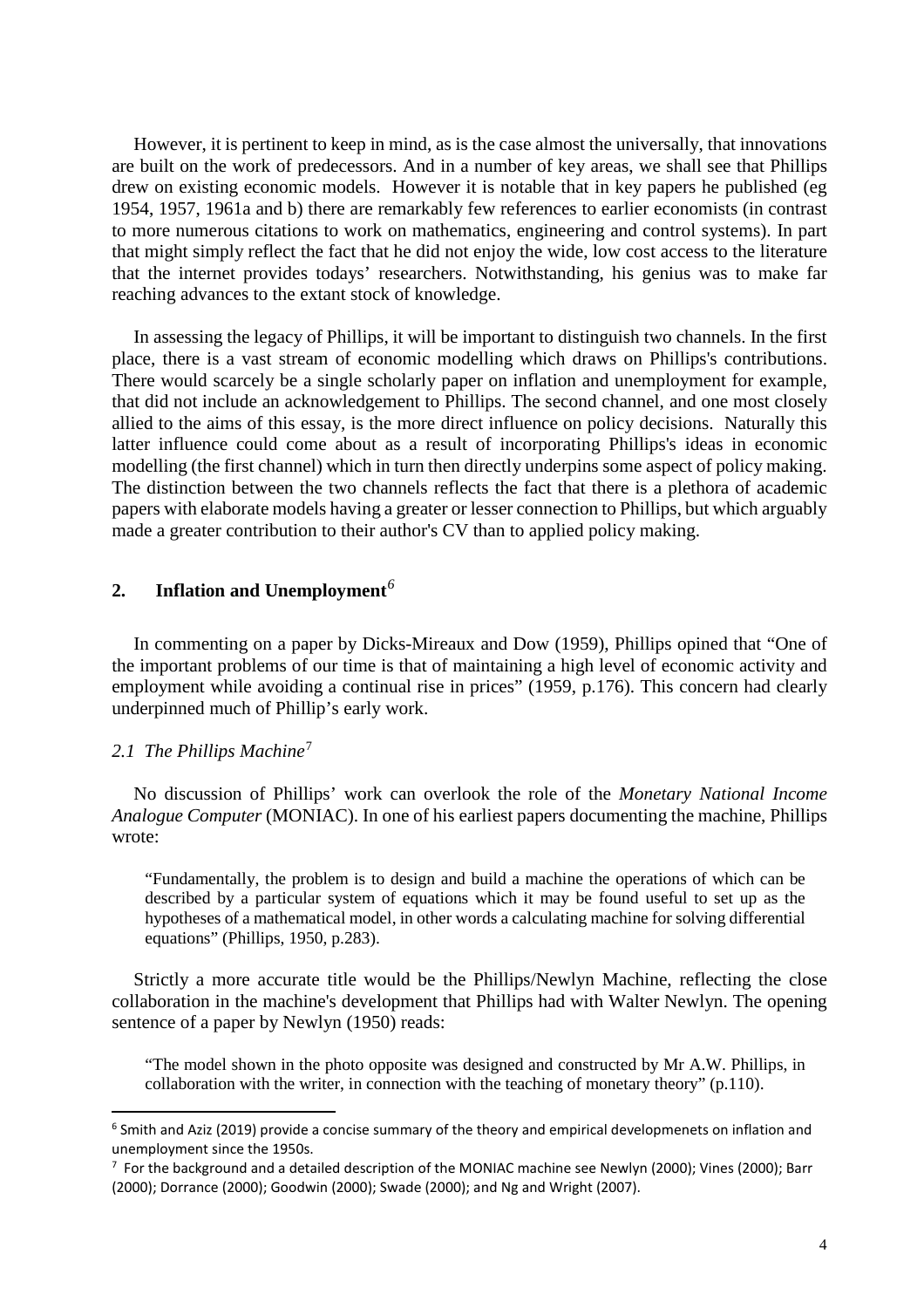However, it is pertinent to keep in mind, as is the case almost the universally, that innovations are built on the work of predecessors. And in a number of key areas, we shall see that Phillips drew on existing economic models. However it is notable that in key papers he published (eg 1954, 1957, 1961a and b) there are remarkably few references to earlier economists (in contrast to more numerous citations to work on mathematics, engineering and control systems). In part that might simply reflect the fact that he did not enjoy the wide, low cost access to the literature that the internet provides todays' researchers. Notwithstanding, his genius was to make far reaching advances to the extant stock of knowledge.

In assessing the legacy of Phillips, it will be important to distinguish two channels. In the first place, there is a vast stream of economic modelling which draws on Phillips's contributions. There would scarcely be a single scholarly paper on inflation and unemployment for example, that did not include an acknowledgement to Phillips. The second channel, and one most closely allied to the aims of this essay, is the more direct influence on policy decisions. Naturally this latter influence could come about as a result of incorporating Phillips's ideas in economic modelling (the first channel) which in turn then directly underpins some aspect of policy making. The distinction between the two channels reflects the fact that there is a plethora of academic papers with elaborate models having a greater or lesser connection to Phillips, but which arguably made a greater contribution to their author's CV than to applied policy making.

# **2. Inflation and Unemployment***[6](#page-5-0)*

In commenting on a paper by Dicks-Mireaux and Dow (1959), Phillips opined that "One of the important problems of our time is that of maintaining a high level of economic activity and employment while avoiding a continual rise in prices" (1959, p.176). This concern had clearly underpinned much of Phillip's early work.

#### *2.1 The Phillips Machine*[7](#page-5-1)

No discussion of Phillips' work can overlook the role of the *Monetary National Income Analogue Computer* (MONIAC). In one of his earliest papers documenting the machine, Phillips wrote:

"Fundamentally, the problem is to design and build a machine the operations of which can be described by a particular system of equations which it may be found useful to set up as the hypotheses of a mathematical model, in other words a calculating machine for solving differential equations" (Phillips, 1950, p.283).

Strictly a more accurate title would be the Phillips/Newlyn Machine, reflecting the close collaboration in the machine's development that Phillips had with Walter Newlyn. The opening sentence of a paper by Newlyn (1950) reads:

"The model shown in the photo opposite was designed and constructed by Mr A.W. Phillips, in collaboration with the writer, in connection with the teaching of monetary theory" (p.110).

<span id="page-5-0"></span><sup>6</sup> Smith and Aziz (2019) provide a concise summary of the theory and empirical developmenets on inflation and unemployment since the 1950s.

<span id="page-5-1"></span><sup>7</sup> For the background and a detailed description of the MONIAC machine see Newlyn (2000); Vines (2000); Barr (2000); Dorrance (2000); Goodwin (2000); Swade (2000); and Ng and Wright (2007).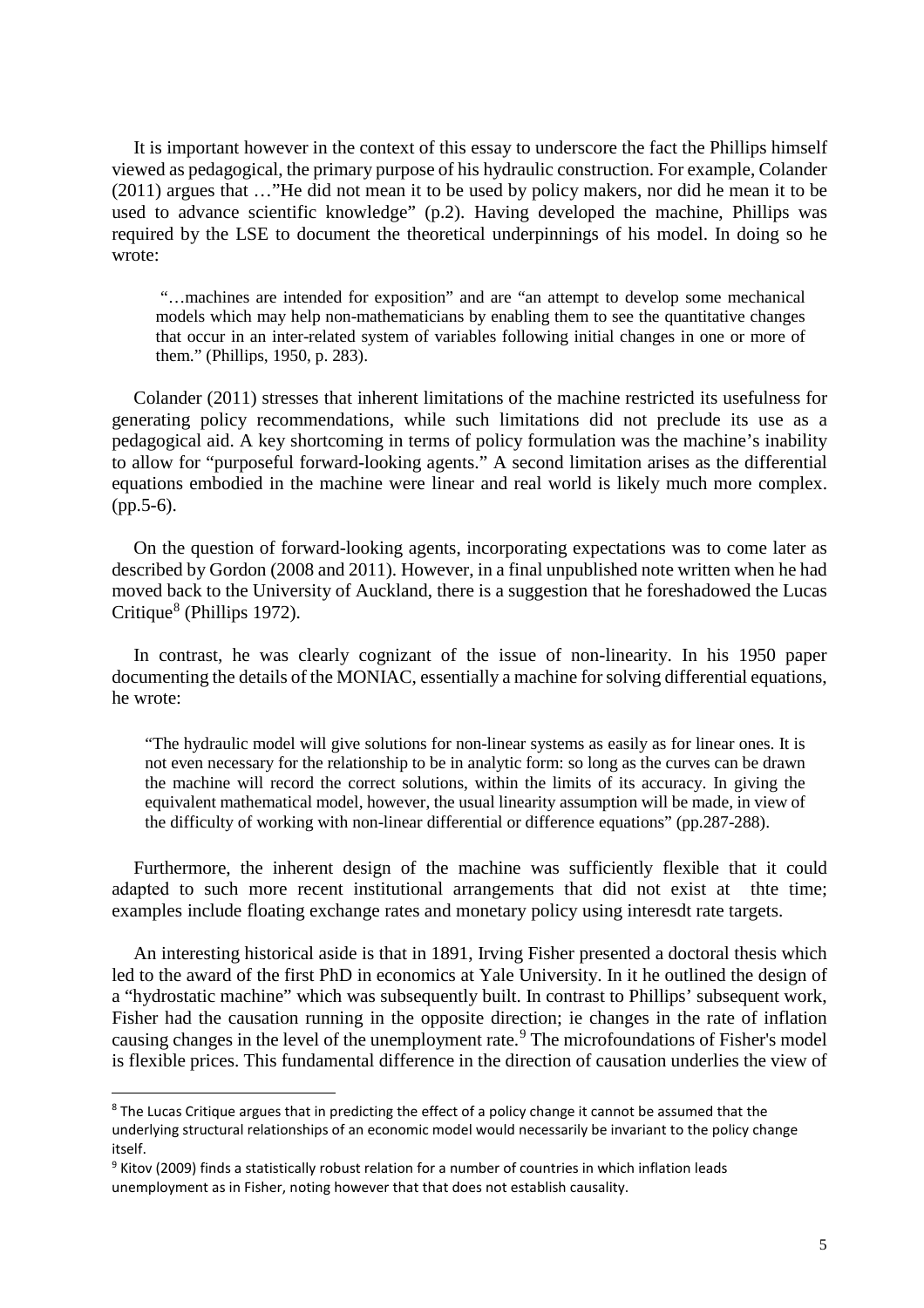It is important however in the context of this essay to underscore the fact the Phillips himself viewed as pedagogical, the primary purpose of his hydraulic construction. For example, Colander (2011) argues that …"He did not mean it to be used by policy makers, nor did he mean it to be used to advance scientific knowledge" (p.2). Having developed the machine, Phillips was required by the LSE to document the theoretical underpinnings of his model. In doing so he wrote:

"…machines are intended for exposition" and are "an attempt to develop some mechanical models which may help non-mathematicians by enabling them to see the quantitative changes that occur in an inter-related system of variables following initial changes in one or more of them." (Phillips, 1950, p. 283).

Colander (2011) stresses that inherent limitations of the machine restricted its usefulness for generating policy recommendations, while such limitations did not preclude its use as a pedagogical aid. A key shortcoming in terms of policy formulation was the machine's inability to allow for "purposeful forward-looking agents." A second limitation arises as the differential equations embodied in the machine were linear and real world is likely much more complex. (pp.5-6).

On the question of forward-looking agents, incorporating expectations was to come later as described by Gordon (2008 and 2011). However, in a final unpublished note written when he had moved back to the University of Auckland, there is a suggestion that he foreshadowed the Lucas Critique<sup>[8](#page-6-0)</sup> (Phillips 1972).

In contrast, he was clearly cognizant of the issue of non-linearity. In his 1950 paper documenting the details of the MONIAC, essentially a machine for solving differential equations, he wrote:

"The hydraulic model will give solutions for non-linear systems as easily as for linear ones. It is not even necessary for the relationship to be in analytic form: so long as the curves can be drawn the machine will record the correct solutions, within the limits of its accuracy. In giving the equivalent mathematical model, however, the usual linearity assumption will be made, in view of the difficulty of working with non-linear differential or difference equations" (pp.287-288).

Furthermore, the inherent design of the machine was sufficiently flexible that it could adapted to such more recent institutional arrangements that did not exist at thte time; examples include floating exchange rates and monetary policy using interesdt rate targets.

An interesting historical aside is that in 1891, Irving Fisher presented a doctoral thesis which led to the award of the first PhD in economics at Yale University. In it he outlined the design of a "hydrostatic machine" which was subsequently built. In contrast to Phillips' subsequent work, Fisher had the causation running in the opposite direction; ie changes in the rate of inflation causing changes in the level of the unemployment rate.<sup>[9](#page-6-1)</sup> The microfoundations of Fisher's model is flexible prices. This fundamental difference in the direction of causation underlies the view of

<span id="page-6-0"></span><sup>&</sup>lt;sup>8</sup> The Lucas Critique argues that in predicting the effect of a policy change it cannot be assumed that the underlying structural relationships of an economic model would necessarily be invariant to the policy change itself.

<span id="page-6-1"></span><sup>&</sup>lt;sup>9</sup> Kitov (2009) finds a statistically robust relation for a number of countries in which inflation leads unemployment as in Fisher, noting however that that does not establish causality.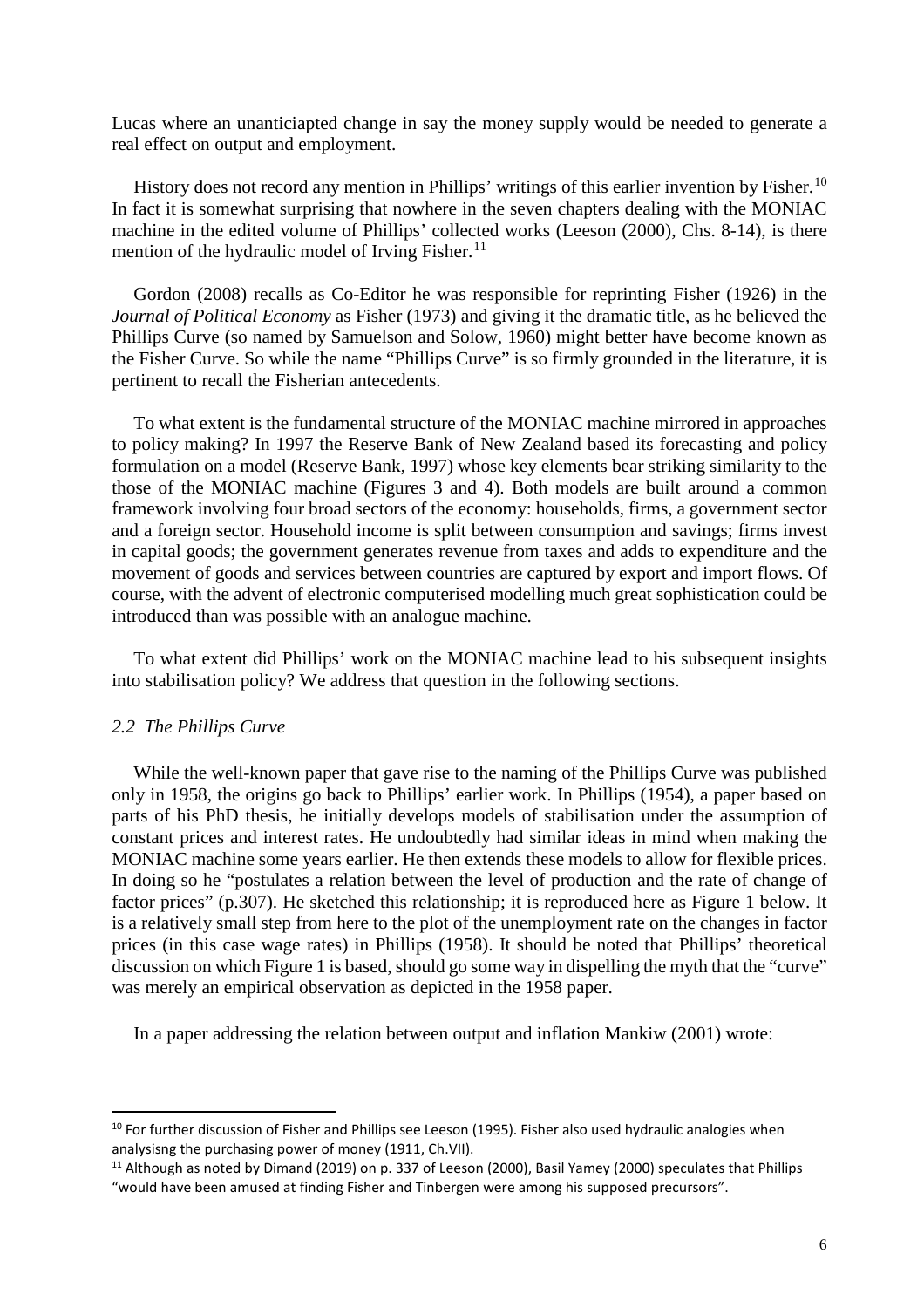Lucas where an unanticiapted change in say the money supply would be needed to generate a real effect on output and employment.

History does not record any mention in Phillips' writings of this earlier invention by Fisher.<sup>[10](#page-7-0)</sup> In fact it is somewhat surprising that nowhere in the seven chapters dealing with the MONIAC machine in the edited volume of Phillips' collected works (Leeson (2000), Chs. 8-14), is there mention of the hydraulic model of Irving Fisher. $<sup>11</sup>$  $<sup>11</sup>$  $<sup>11</sup>$ </sup>

Gordon (2008) recalls as Co-Editor he was responsible for reprinting Fisher (1926) in the *Journal of Political Economy* as Fisher (1973) and giving it the dramatic title, as he believed the Phillips Curve (so named by Samuelson and Solow, 1960) might better have become known as the Fisher Curve. So while the name "Phillips Curve" is so firmly grounded in the literature, it is pertinent to recall the Fisherian antecedents.

To what extent is the fundamental structure of the MONIAC machine mirrored in approaches to policy making? In 1997 the Reserve Bank of New Zealand based its forecasting and policy formulation on a model (Reserve Bank, 1997) whose key elements bear striking similarity to the those of the MONIAC machine (Figures 3 and 4). Both models are built around a common framework involving four broad sectors of the economy: households, firms, a government sector and a foreign sector. Household income is split between consumption and savings; firms invest in capital goods; the government generates revenue from taxes and adds to expenditure and the movement of goods and services between countries are captured by export and import flows. Of course, with the advent of electronic computerised modelling much great sophistication could be introduced than was possible with an analogue machine.

To what extent did Phillips' work on the MONIAC machine lead to his subsequent insights into stabilisation policy? We address that question in the following sections.

#### *2.2 The Phillips Curve*

While the well-known paper that gave rise to the naming of the Phillips Curve was published only in 1958, the origins go back to Phillips' earlier work. In Phillips (1954), a paper based on parts of his PhD thesis, he initially develops models of stabilisation under the assumption of constant prices and interest rates. He undoubtedly had similar ideas in mind when making the MONIAC machine some years earlier. He then extends these models to allow for flexible prices. In doing so he "postulates a relation between the level of production and the rate of change of factor prices" (p.307). He sketched this relationship; it is reproduced here as Figure 1 below. It is a relatively small step from here to the plot of the unemployment rate on the changes in factor prices (in this case wage rates) in Phillips (1958). It should be noted that Phillips' theoretical discussion on which Figure 1 is based, should go some way in dispelling the myth that the "curve" was merely an empirical observation as depicted in the 1958 paper.

In a paper addressing the relation between output and inflation Mankiw (2001) wrote:

<span id="page-7-0"></span><sup>&</sup>lt;sup>10</sup> For further discussion of Fisher and Phillips see Leeson (1995). Fisher also used hydraulic analogies when analysisng the purchasing power of money (1911, Ch.VII).

<span id="page-7-1"></span><sup>&</sup>lt;sup>11</sup> Although as noted by Dimand (2019) on p. 337 of Leeson (2000), Basil Yamey (2000) speculates that Phillips "would have been amused at finding Fisher and Tinbergen were among his supposed precursors".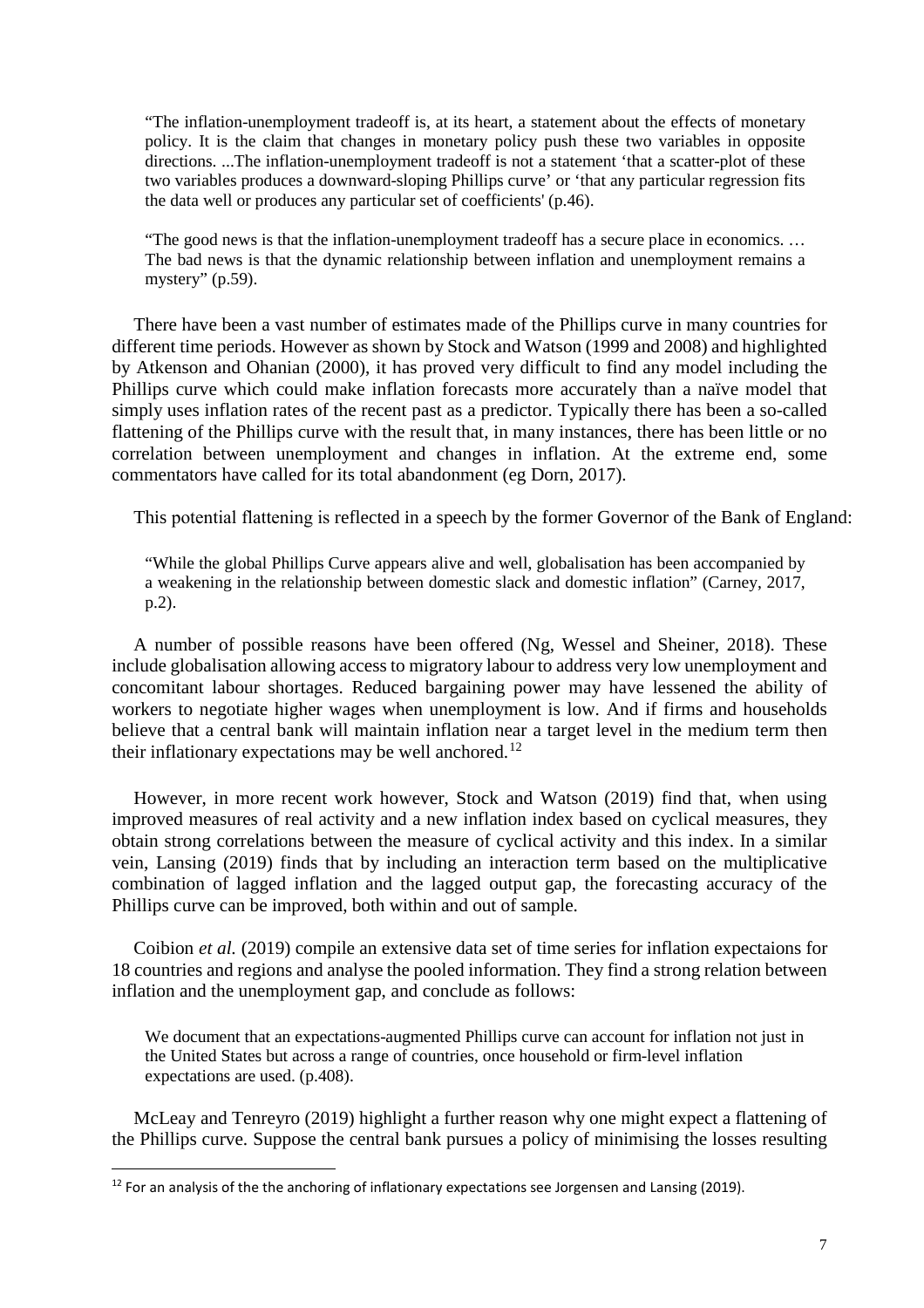"The inflation-unemployment tradeoff is, at its heart, a statement about the effects of monetary policy. It is the claim that changes in monetary policy push these two variables in opposite directions. ...The inflation-unemployment tradeoff is not a statement 'that a scatter-plot of these two variables produces a downward-sloping Phillips curve' or 'that any particular regression fits the data well or produces any particular set of coefficients' (p.46).

"The good news is that the inflation-unemployment tradeoff has a secure place in economics. … The bad news is that the dynamic relationship between inflation and unemployment remains a mystery" (p.59).

There have been a vast number of estimates made of the Phillips curve in many countries for different time periods. However as shown by Stock and Watson (1999 and 2008) and highlighted by Atkenson and Ohanian (2000), it has proved very difficult to find any model including the Phillips curve which could make inflation forecasts more accurately than a naïve model that simply uses inflation rates of the recent past as a predictor. Typically there has been a so-called flattening of the Phillips curve with the result that, in many instances, there has been little or no correlation between unemployment and changes in inflation. At the extreme end, some commentators have called for its total abandonment (eg Dorn, 2017).

This potential flattening is reflected in a speech by the former Governor of the Bank of England:

"While the global Phillips Curve appears alive and well, globalisation has been accompanied by a weakening in the relationship between domestic slack and domestic inflation" (Carney, 2017, p.2).

A number of possible reasons have been offered (Ng, Wessel and Sheiner, 2018). These include globalisation allowing access to migratory labour to address very low unemployment and concomitant labour shortages. Reduced bargaining power may have lessened the ability of workers to negotiate higher wages when unemployment is low. And if firms and households believe that a central bank will maintain inflation near a target level in the medium term then their inflationary expectations may be well anchored.<sup>[12](#page-8-0)</sup>

However, in more recent work however, Stock and Watson (2019) find that, when using improved measures of real activity and a new inflation index based on cyclical measures, they obtain strong correlations between the measure of cyclical activity and this index. In a similar vein, Lansing (2019) finds that by including an interaction term based on the multiplicative combination of lagged inflation and the lagged output gap, the forecasting accuracy of the Phillips curve can be improved, both within and out of sample.

Coibion *et al.* (2019) compile an extensive data set of time series for inflation expectaions for 18 countries and regions and analyse the pooled information. They find a strong relation between inflation and the unemployment gap, and conclude as follows:

We document that an expectations-augmented Phillips curve can account for inflation not just in the United States but across a range of countries, once household or firm-level inflation expectations are used. (p.408).

McLeay and Tenreyro (2019) highlight a further reason why one might expect a flattening of the Phillips curve. Suppose the central bank pursues a policy of minimising the losses resulting

<span id="page-8-0"></span> $12$  For an analysis of the the anchoring of inflationary expectations see Jorgensen and Lansing (2019).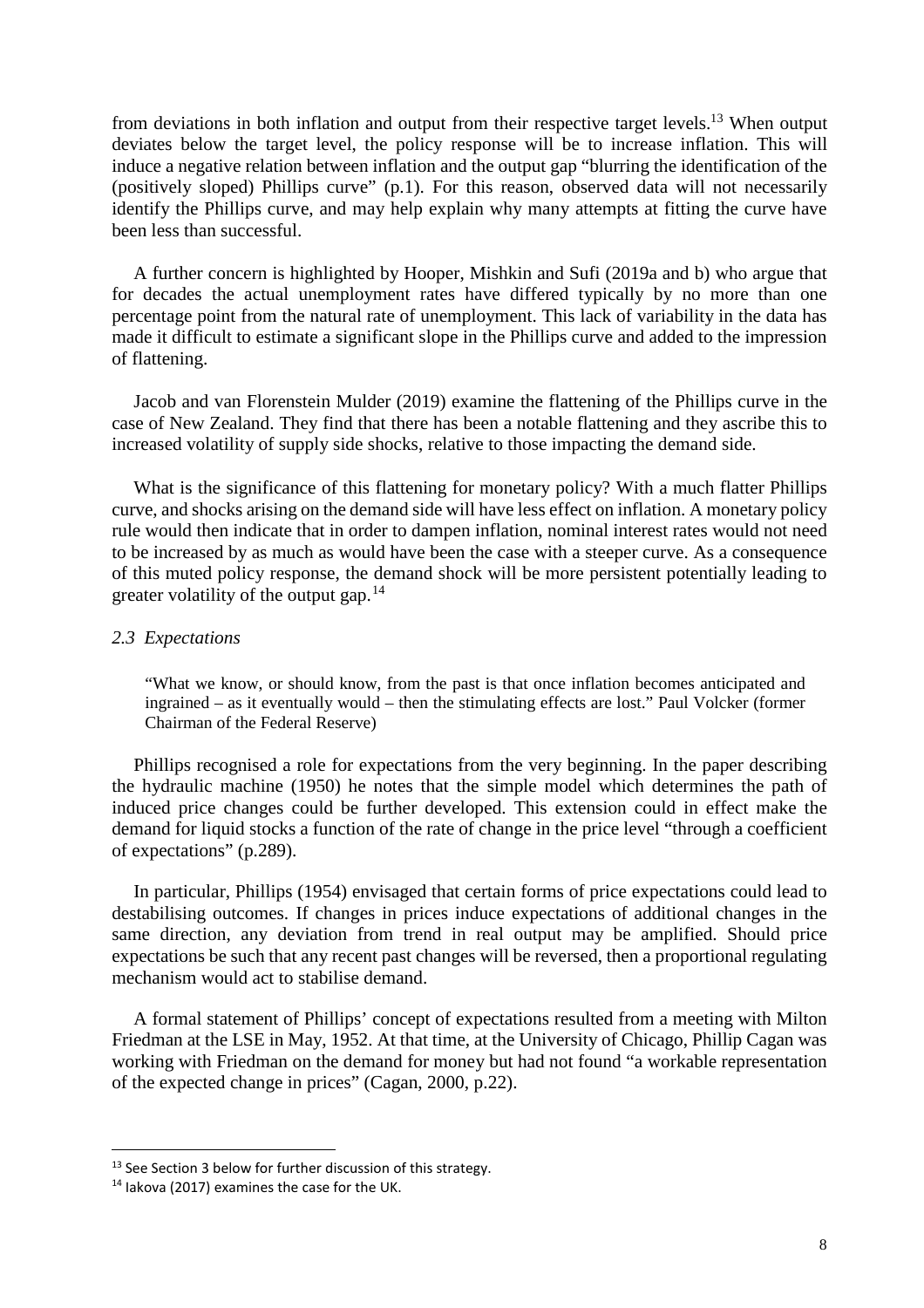from deviations in both inflation and output from their respective target levels.[13](#page-9-0) When output deviates below the target level, the policy response will be to increase inflation. This will induce a negative relation between inflation and the output gap "blurring the identification of the (positively sloped) Phillips curve" (p.1). For this reason, observed data will not necessarily identify the Phillips curve, and may help explain why many attempts at fitting the curve have been less than successful.

A further concern is highlighted by Hooper, Mishkin and Sufi (2019a and b) who argue that for decades the actual unemployment rates have differed typically by no more than one percentage point from the natural rate of unemployment. This lack of variability in the data has made it difficult to estimate a significant slope in the Phillips curve and added to the impression of flattening.

Jacob and van Florenstein Mulder (2019) examine the flattening of the Phillips curve in the case of New Zealand. They find that there has been a notable flattening and they ascribe this to increased volatility of supply side shocks, relative to those impacting the demand side.

What is the significance of this flattening for monetary policy? With a much flatter Phillips curve, and shocks arising on the demand side will have less effect on inflation. A monetary policy rule would then indicate that in order to dampen inflation, nominal interest rates would not need to be increased by as much as would have been the case with a steeper curve. As a consequence of this muted policy response, the demand shock will be more persistent potentially leading to greater volatility of the output gap.<sup>[14](#page-9-1)</sup>

#### *2.3 Expectations*

"What we know, or should know, from the past is that once inflation becomes anticipated and ingrained – as it eventually would – then the stimulating effects are lost." Paul Volcker (former Chairman of the Federal Reserve)

Phillips recognised a role for expectations from the very beginning. In the paper describing the hydraulic machine (1950) he notes that the simple model which determines the path of induced price changes could be further developed. This extension could in effect make the demand for liquid stocks a function of the rate of change in the price level "through a coefficient of expectations" (p.289).

In particular, Phillips (1954) envisaged that certain forms of price expectations could lead to destabilising outcomes. If changes in prices induce expectations of additional changes in the same direction, any deviation from trend in real output may be amplified. Should price expectations be such that any recent past changes will be reversed, then a proportional regulating mechanism would act to stabilise demand.

A formal statement of Phillips' concept of expectations resulted from a meeting with Milton Friedman at the LSE in May, 1952. At that time, at the University of Chicago, Phillip Cagan was working with Friedman on the demand for money but had not found "a workable representation of the expected change in prices" (Cagan, 2000, p.22).

<span id="page-9-0"></span><sup>&</sup>lt;sup>13</sup> See Section 3 below for further discussion of this strategy.

<span id="page-9-1"></span><sup>14</sup> Iakova (2017) examines the case for the UK.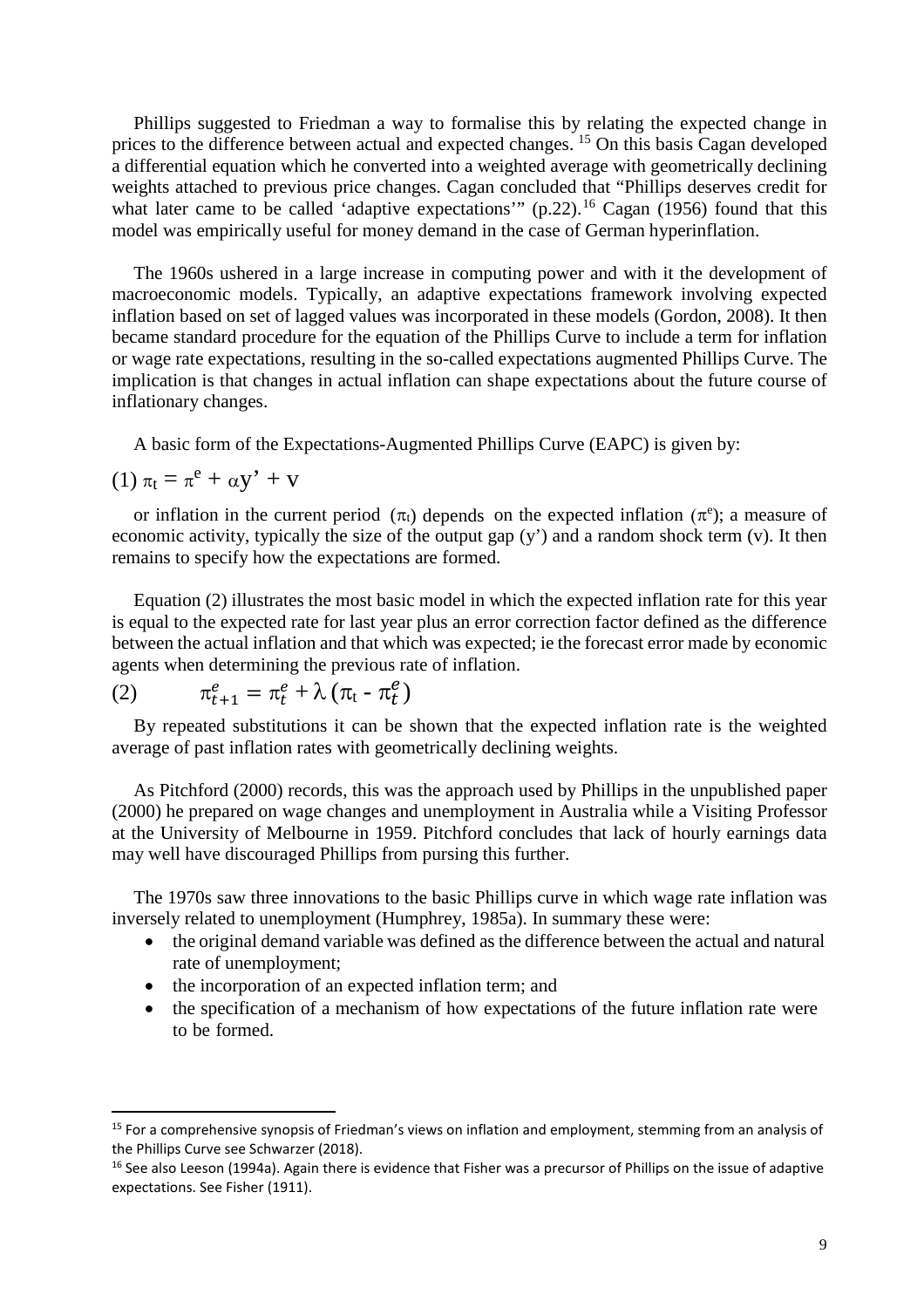Phillips suggested to Friedman a way to formalise this by relating the expected change in prices to the difference between actual and expected changes.<sup>[15](#page-10-0)</sup> On this basis Cagan developed a differential equation which he converted into a weighted average with geometrically declining weights attached to previous price changes. Cagan concluded that "Phillips deserves credit for what later came to be called 'adaptive expectations'" (p.22).<sup>[16](#page-10-1)</sup> Cagan (1956) found that this model was empirically useful for money demand in the case of German hyperinflation.

The 1960s ushered in a large increase in computing power and with it the development of macroeconomic models. Typically, an adaptive expectations framework involving expected inflation based on set of lagged values was incorporated in these models (Gordon, 2008). It then became standard procedure for the equation of the Phillips Curve to include a term for inflation or wage rate expectations, resulting in the so-called expectations augmented Phillips Curve. The implication is that changes in actual inflation can shape expectations about the future course of inflationary changes.

A basic form of the Expectations-Augmented Phillips Curve (EAPC) is given by:

$$
(1)\;\pi_t=\pi^e+\alpha y^{\textstyle \prime}+v
$$

or inflation in the current period  $(\pi_t)$  depends on the expected inflation  $(\pi^e)$ ; a measure of economic activity, typically the size of the output gap (y') and a random shock term (v). It then remains to specify how the expectations are formed.

Equation (2) illustrates the most basic model in which the expected inflation rate for this year is equal to the expected rate for last year plus an error correction factor defined as the difference between the actual inflation and that which was expected; ie the forecast error made by economic agents when determining the previous rate of inflation.

(2) 
$$
\pi_{t+1}^e = \pi_t^e + \lambda \left( \pi_t - \pi_t^e \right)
$$

By repeated substitutions it can be shown that the expected inflation rate is the weighted average of past inflation rates with geometrically declining weights.

As Pitchford (2000) records, this was the approach used by Phillips in the unpublished paper (2000) he prepared on wage changes and unemployment in Australia while a Visiting Professor at the University of Melbourne in 1959. Pitchford concludes that lack of hourly earnings data may well have discouraged Phillips from pursing this further.

The 1970s saw three innovations to the basic Phillips curve in which wage rate inflation was inversely related to unemployment (Humphrey, 1985a). In summary these were:

- the original demand variable was defined as the difference between the actual and natural rate of unemployment;
- the incorporation of an expected inflation term; and
- the specification of a mechanism of how expectations of the future inflation rate were to be formed.

<span id="page-10-0"></span><sup>&</sup>lt;sup>15</sup> For a comprehensive synopsis of Friedman's views on inflation and employment, stemming from an analysis of the Phillips Curve see Schwarzer (2018).

<span id="page-10-1"></span><sup>&</sup>lt;sup>16</sup> See also Leeson (1994a). Again there is evidence that Fisher was a precursor of Phillips on the issue of adaptive expectations. See Fisher (1911).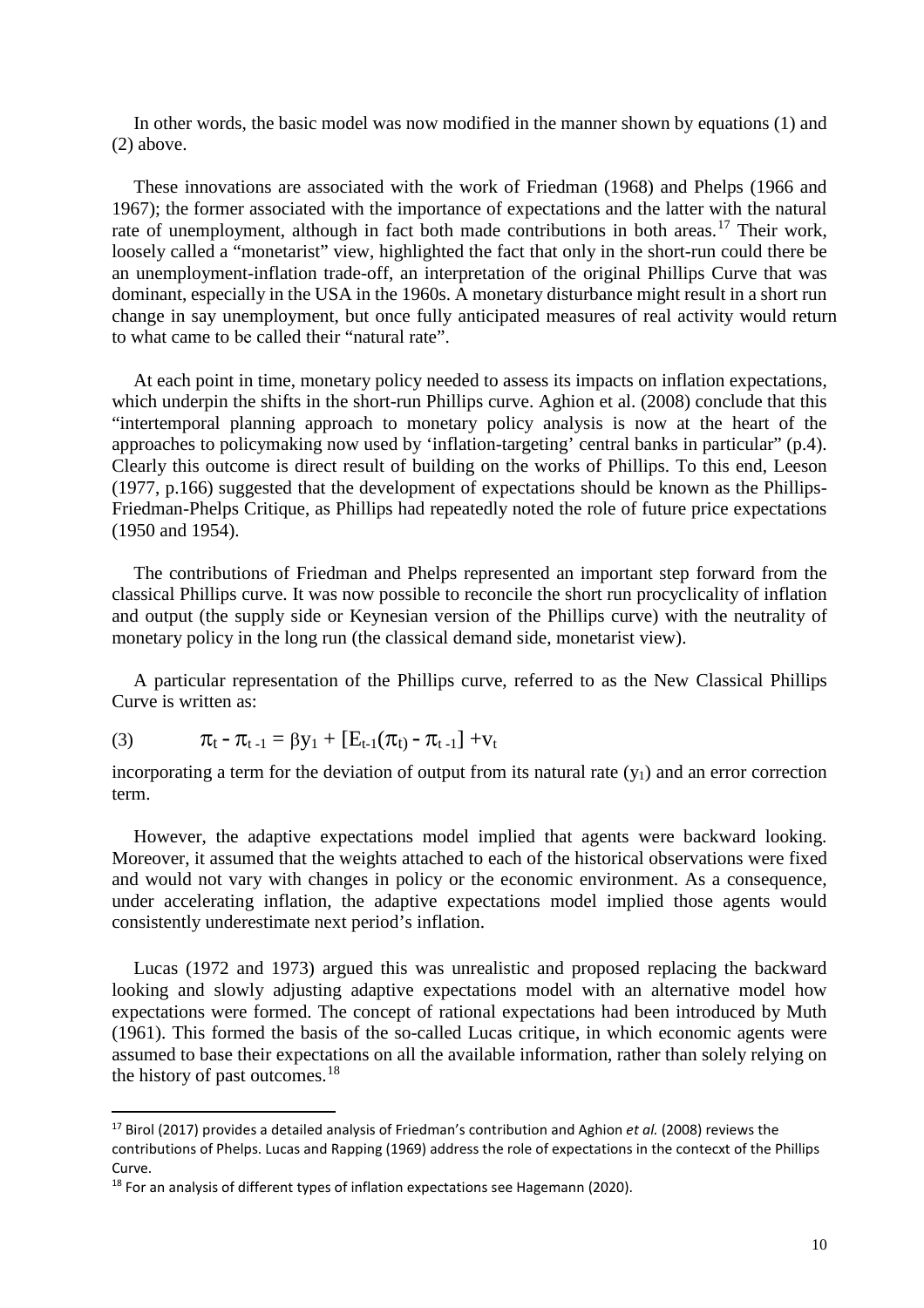In other words, the basic model was now modified in the manner shown by equations (1) and (2) above.

These innovations are associated with the work of Friedman (1968) and Phelps (1966 and 1967); the former associated with the importance of expectations and the latter with the natural rate of unemployment, although in fact both made contributions in both areas.<sup>[17](#page-11-0)</sup> Their work, loosely called a "monetarist" view, highlighted the fact that only in the short-run could there be an unemployment-inflation trade-off, an interpretation of the original Phillips Curve that was dominant, especially in the USA in the 1960s. A monetary disturbance might result in a short run change in say unemployment, but once fully anticipated measures of real activity would return to what came to be called their "natural rate".

At each point in time, monetary policy needed to assess its impacts on inflation expectations, which underpin the shifts in the short-run Phillips curve. Aghion et al. (2008) conclude that this "intertemporal planning approach to monetary policy analysis is now at the heart of the approaches to policymaking now used by 'inflation-targeting' central banks in particular" (p.4). Clearly this outcome is direct result of building on the works of Phillips. To this end, Leeson (1977, p.166) suggested that the development of expectations should be known as the Phillips-Friedman-Phelps Critique, as Phillips had repeatedly noted the role of future price expectations (1950 and 1954).

The contributions of Friedman and Phelps represented an important step forward from the classical Phillips curve. It was now possible to reconcile the short run procyclicality of inflation and output (the supply side or Keynesian version of the Phillips curve) with the neutrality of monetary policy in the long run (the classical demand side, monetarist view).

A particular representation of the Phillips curve, referred to as the New Classical Phillips Curve is written as:

(3) 
$$
\pi_t - \pi_{t-1} = \beta y_1 + [E_{t-1}(\pi_t) - \pi_{t-1}] + v_t
$$

incorporating a term for the deviation of output from its natural rate  $(y_1)$  and an error correction term.

However, the adaptive expectations model implied that agents were backward looking. Moreover, it assumed that the weights attached to each of the historical observations were fixed and would not vary with changes in policy or the economic environment. As a consequence, under accelerating inflation, the adaptive expectations model implied those agents would consistently underestimate next period's inflation.

Lucas (1972 and 1973) argued this was unrealistic and proposed replacing the backward looking and slowly adjusting adaptive expectations model with an alternative model how expectations were formed. The concept of rational expectations had been introduced by Muth (1961). This formed the basis of the so-called Lucas critique, in which economic agents were assumed to base their expectations on all the available information, rather than solely relying on the history of past outcomes.<sup>[18](#page-11-1)</sup>

<span id="page-11-0"></span><sup>17</sup> Birol (2017) provides a detailed analysis of Friedman's contribution and Aghion *et al.* (2008) reviews the contributions of Phelps. Lucas and Rapping (1969) address the role of expectations in the contecxt of the Phillips Curve.

<span id="page-11-1"></span> $18$  For an analysis of different types of inflation expectations see Hagemann (2020).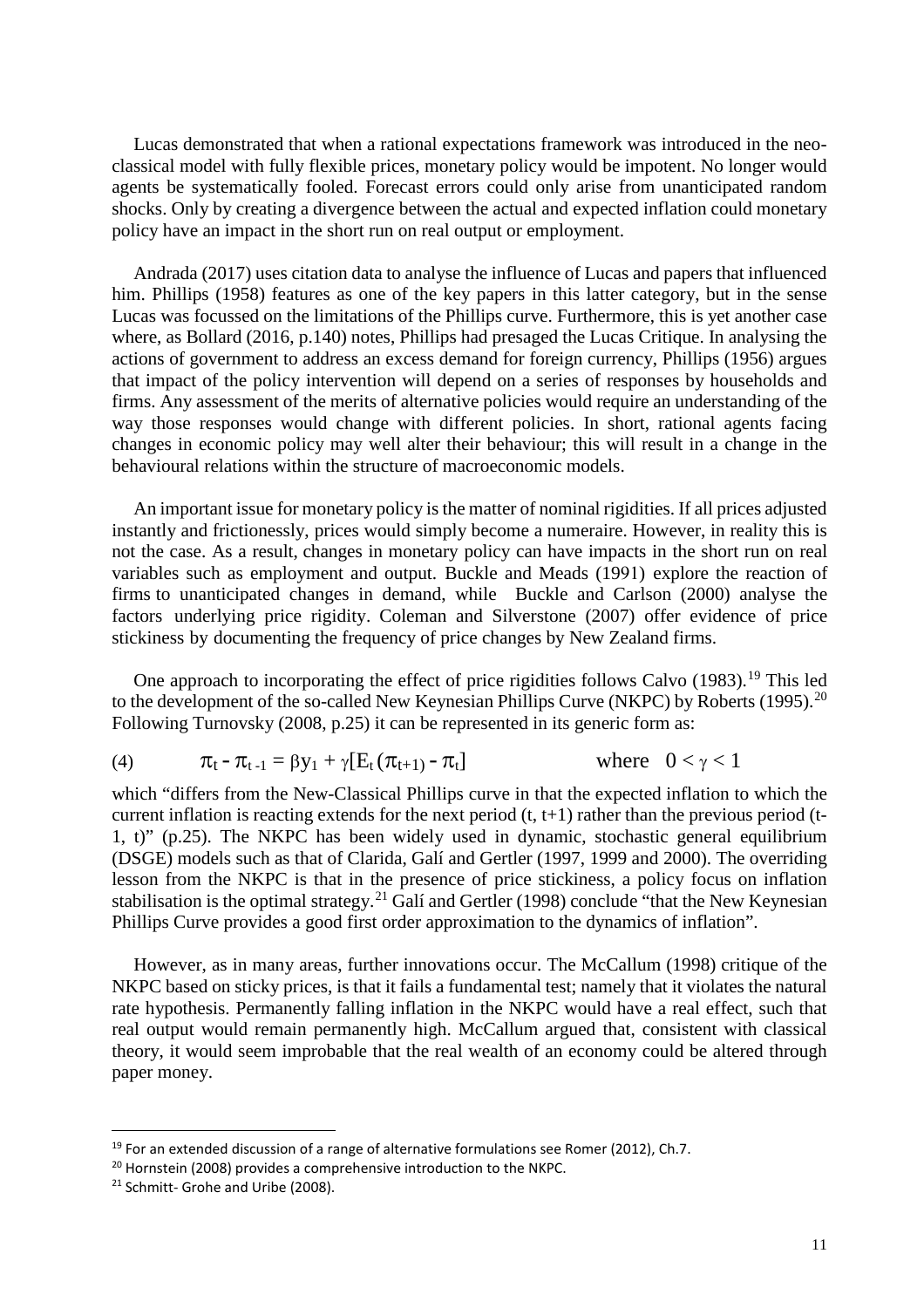Lucas demonstrated that when a rational expectations framework was introduced in the neoclassical model with fully flexible prices, monetary policy would be impotent. No longer would agents be systematically fooled. Forecast errors could only arise from unanticipated random shocks. Only by creating a divergence between the actual and expected inflation could monetary policy have an impact in the short run on real output or employment.

Andrada (2017) uses citation data to analyse the influence of Lucas and papers that influenced him. Phillips (1958) features as one of the key papers in this latter category, but in the sense Lucas was focussed on the limitations of the Phillips curve. Furthermore, this is yet another case where, as Bollard (2016, p.140) notes, Phillips had presaged the Lucas Critique. In analysing the actions of government to address an excess demand for foreign currency, Phillips (1956) argues that impact of the policy intervention will depend on a series of responses by households and firms. Any assessment of the merits of alternative policies would require an understanding of the way those responses would change with different policies. In short, rational agents facing changes in economic policy may well alter their behaviour; this will result in a change in the behavioural relations within the structure of macroeconomic models.

An important issue for monetary policy is the matter of nominal rigidities. If all prices adjusted instantly and frictionessly, prices would simply become a numeraire. However, in reality this is not the case. As a result, changes in monetary policy can have impacts in the short run on real variables such as employment and output. Buckle and Meads (1991) explore the reaction of firms to unanticipated changes in demand, while Buckle and Carlson (2000) analyse the factors underlying price rigidity. Coleman and Silverstone (2007) offer evidence of price stickiness by documenting the frequency of price changes by New Zealand firms.

One approach to incorporating the effect of price rigidities follows Calvo ([19](#page-12-0)83).<sup>19</sup> This led to the development of the so-called New Keynesian Phillips Curve (NKPC) by Roberts (1995).<sup>[20](#page-12-1)</sup> Following Turnovsky (2008, p.25) it can be represented in its generic form as:

(4) 
$$
\pi_t - \pi_{t-1} = \beta y_1 + \gamma [E_t(\pi_{t+1}) - \pi_t]
$$
 where  $0 < \gamma < 1$ 

which "differs from the New-Classical Phillips curve in that the expected inflation to which the current inflation is reacting extends for the next period  $(t, t+1)$  rather than the previous period (t-1, t)" (p.25). The NKPC has been widely used in dynamic, stochastic general equilibrium (DSGE) models such as that of Clarida, Galí and Gertler (1997, 1999 and 2000). The overriding lesson from the NKPC is that in the presence of price stickiness, a policy focus on inflation stabilisation is the optimal strategy.<sup>[21](#page-12-2)</sup> Galí and Gertler (1998) conclude "that the New Keynesian Phillips Curve provides a good first order approximation to the dynamics of inflation".

However, as in many areas, further innovations occur. The McCallum (1998) critique of the NKPC based on sticky prices, is that it fails a fundamental test; namely that it violates the natural rate hypothesis. Permanently falling inflation in the NKPC would have a real effect, such that real output would remain permanently high. McCallum argued that, consistent with classical theory, it would seem improbable that the real wealth of an economy could be altered through paper money.

<span id="page-12-0"></span> $19$  For an extended discussion of a range of alternative formulations see Romer (2012), Ch.7.

<span id="page-12-1"></span><sup>&</sup>lt;sup>20</sup> Hornstein (2008) provides a comprehensive introduction to the NKPC.

<span id="page-12-2"></span><sup>&</sup>lt;sup>21</sup> Schmitt- Grohe and Uribe (2008).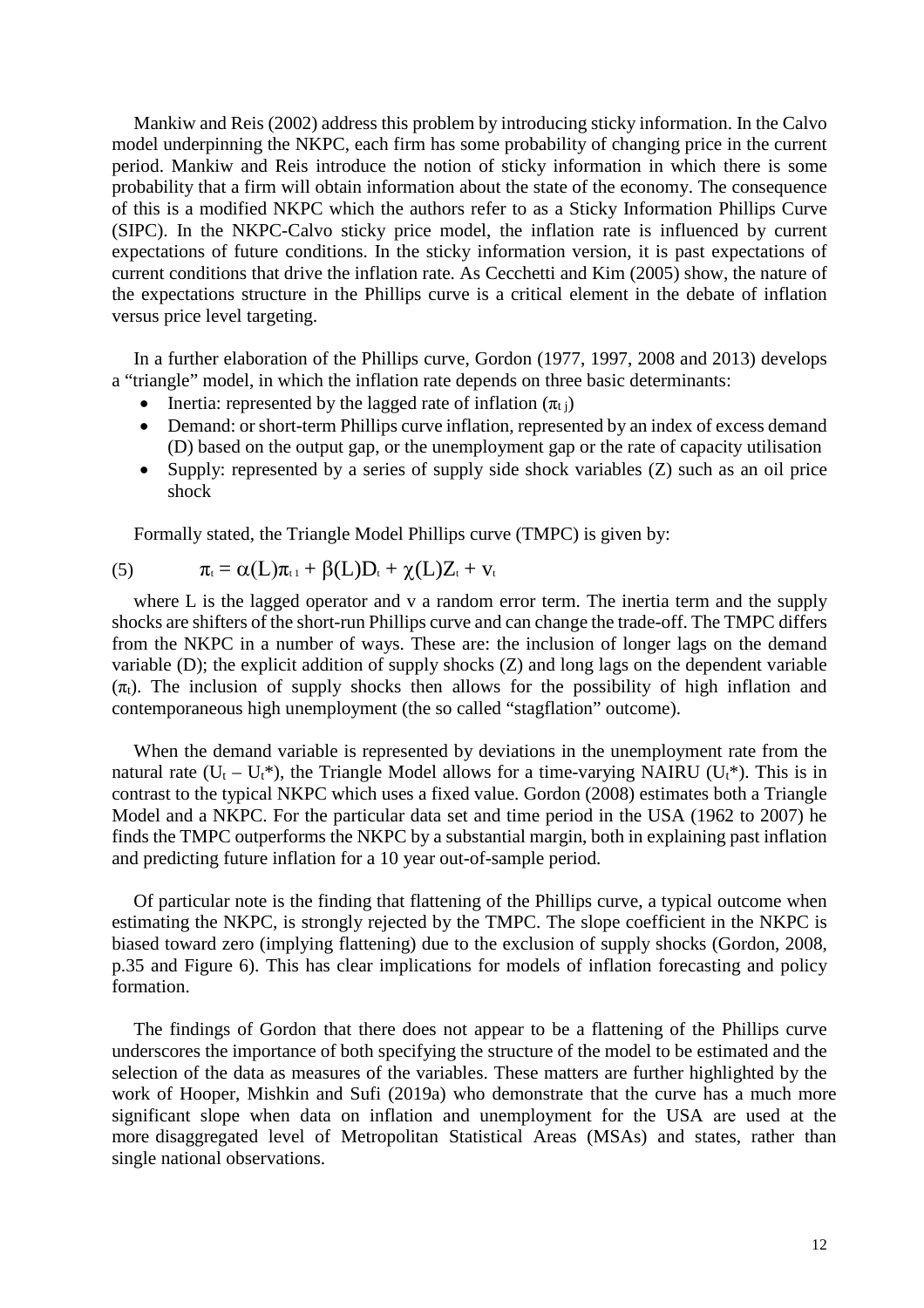Mankiw and Reis (2002) address this problem by introducing sticky information. In the Calvo model underpinning the NKPC, each firm has some probability of changing price in the current period. Mankiw and Reis introduce the notion of sticky information in which there is some probability that a firm will obtain information about the state of the economy. The consequence of this is a modified NKPC which the authors refer to as a Sticky Information Phillips Curve (SIPC). In the NKPC-Calvo sticky price model, the inflation rate is influenced by current expectations of future conditions. In the sticky information version, it is past expectations of current conditions that drive the inflation rate. As Cecchetti and Kim (2005) show, the nature of the expectations structure in the Phillips curve is a critical element in the debate of inflation versus price level targeting.

In a further elaboration of the Phillips curve, Gordon (1977, 1997, 2008 and 2013) develops a "triangle" model, in which the inflation rate depends on three basic determinants:

- Inertia: represented by the lagged rate of inflation  $(\pi_{ti})$
- Demand: or short-term Phillips curve inflation, represented by an index of excess demand (D) based on the output gap, or the unemployment gap or the rate of capacity utilisation
- Supply: represented by a series of supply side shock variables (Z) such as an oil price shock

Formally stated, the Triangle Model Phillips curve (TMPC) is given by:

(5) 
$$
\pi_t = \alpha(L)\pi_{t} + \beta(L)D_t + \chi(L)Z_t + v_t
$$

where L is the lagged operator and v a random error term. The inertia term and the supply shocks are shifters of the short-run Phillips curve and can change the trade-off. The TMPC differs from the NKPC in a number of ways. These are: the inclusion of longer lags on the demand variable (D); the explicit addition of supply shocks (Z) and long lags on the dependent variable  $(\pi_t)$ . The inclusion of supply shocks then allows for the possibility of high inflation and contemporaneous high unemployment (the so called "stagflation" outcome).

When the demand variable is represented by deviations in the unemployment rate from the natural rate  $(U_t - U_t^*)$ , the Triangle Model allows for a time-varying NAIRU ( $U_t^*$ ). This is in contrast to the typical NKPC which uses a fixed value. Gordon (2008) estimates both a Triangle Model and a NKPC. For the particular data set and time period in the USA (1962 to 2007) he finds the TMPC outperforms the NKPC by a substantial margin, both in explaining past inflation and predicting future inflation for a 10 year out-of-sample period.

Of particular note is the finding that flattening of the Phillips curve, a typical outcome when estimating the NKPC, is strongly rejected by the TMPC. The slope coefficient in the NKPC is biased toward zero (implying flattening) due to the exclusion of supply shocks (Gordon, 2008, p.35 and Figure 6). This has clear implications for models of inflation forecasting and policy formation.

The findings of Gordon that there does not appear to be a flattening of the Phillips curve underscores the importance of both specifying the structure of the model to be estimated and the selection of the data as measures of the variables. These matters are further highlighted by the work of Hooper, Mishkin and Sufi (2019a) who demonstrate that the curve has a much more significant slope when data on inflation and unemployment for the USA are used at the more disaggregated level of Metropolitan Statistical Areas (MSAs) and states, rather than single national observations.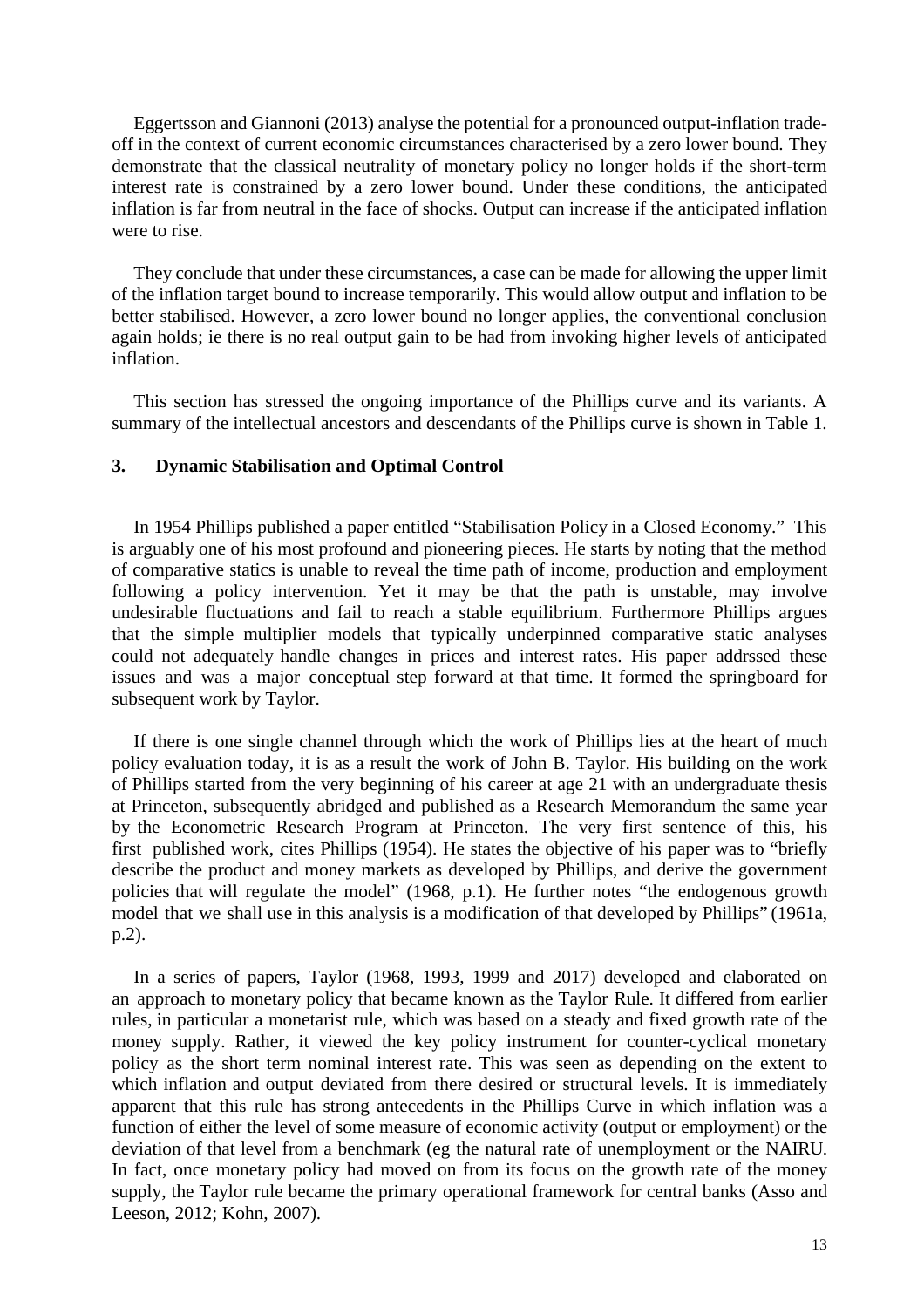Eggertsson and Giannoni (2013) analyse the potential for a pronounced output-inflation tradeoff in the context of current economic circumstances characterised by a zero lower bound. They demonstrate that the classical neutrality of monetary policy no longer holds if the short-term interest rate is constrained by a zero lower bound. Under these conditions, the anticipated inflation is far from neutral in the face of shocks. Output can increase if the anticipated inflation were to rise.

They conclude that under these circumstances, a case can be made for allowing the upper limit of the inflation target bound to increase temporarily. This would allow output and inflation to be better stabilised. However, a zero lower bound no longer applies, the conventional conclusion again holds; ie there is no real output gain to be had from invoking higher levels of anticipated inflation.

This section has stressed the ongoing importance of the Phillips curve and its variants. A summary of the intellectual ancestors and descendants of the Phillips curve is shown in Table 1.

#### **3. Dynamic Stabilisation and Optimal Control**

In 1954 Phillips published a paper entitled "Stabilisation Policy in a Closed Economy." This is arguably one of his most profound and pioneering pieces. He starts by noting that the method of comparative statics is unable to reveal the time path of income, production and employment following a policy intervention. Yet it may be that the path is unstable, may involve undesirable fluctuations and fail to reach a stable equilibrium. Furthermore Phillips argues that the simple multiplier models that typically underpinned comparative static analyses could not adequately handle changes in prices and interest rates. His paper addrssed these issues and was a major conceptual step forward at that time. It formed the springboard for subsequent work by Taylor.

If there is one single channel through which the work of Phillips lies at the heart of much policy evaluation today, it is as a result the work of John B. Taylor. His building on the work of Phillips started from the very beginning of his career at age 21 with an undergraduate thesis at Princeton, subsequently abridged and published as a Research Memorandum the same year by the Econometric Research Program at Princeton. The very first sentence of this, his first published work, cites Phillips (1954). He states the objective of his paper was to "briefly describe the product and money markets as developed by Phillips, and derive the government policies that will regulate the model" (1968, p.1). He further notes "the endogenous growth model that we shall use in this analysis is a modification of that developed by Phillips" (1961a, p.2).

In a series of papers, Taylor (1968, 1993, 1999 and 2017) developed and elaborated on an approach to monetary policy that became known as the Taylor Rule. It differed from earlier rules, in particular a monetarist rule, which was based on a steady and fixed growth rate of the money supply. Rather, it viewed the key policy instrument for counter-cyclical monetary policy as the short term nominal interest rate. This was seen as depending on the extent to which inflation and output deviated from there desired or structural levels. It is immediately apparent that this rule has strong antecedents in the Phillips Curve in which inflation was a function of either the level of some measure of economic activity (output or employment) or the deviation of that level from a benchmark (eg the natural rate of unemployment or the NAIRU. In fact, once monetary policy had moved on from its focus on the growth rate of the money supply, the Taylor rule became the primary operational framework for central banks (Asso and Leeson, 2012; Kohn, 2007).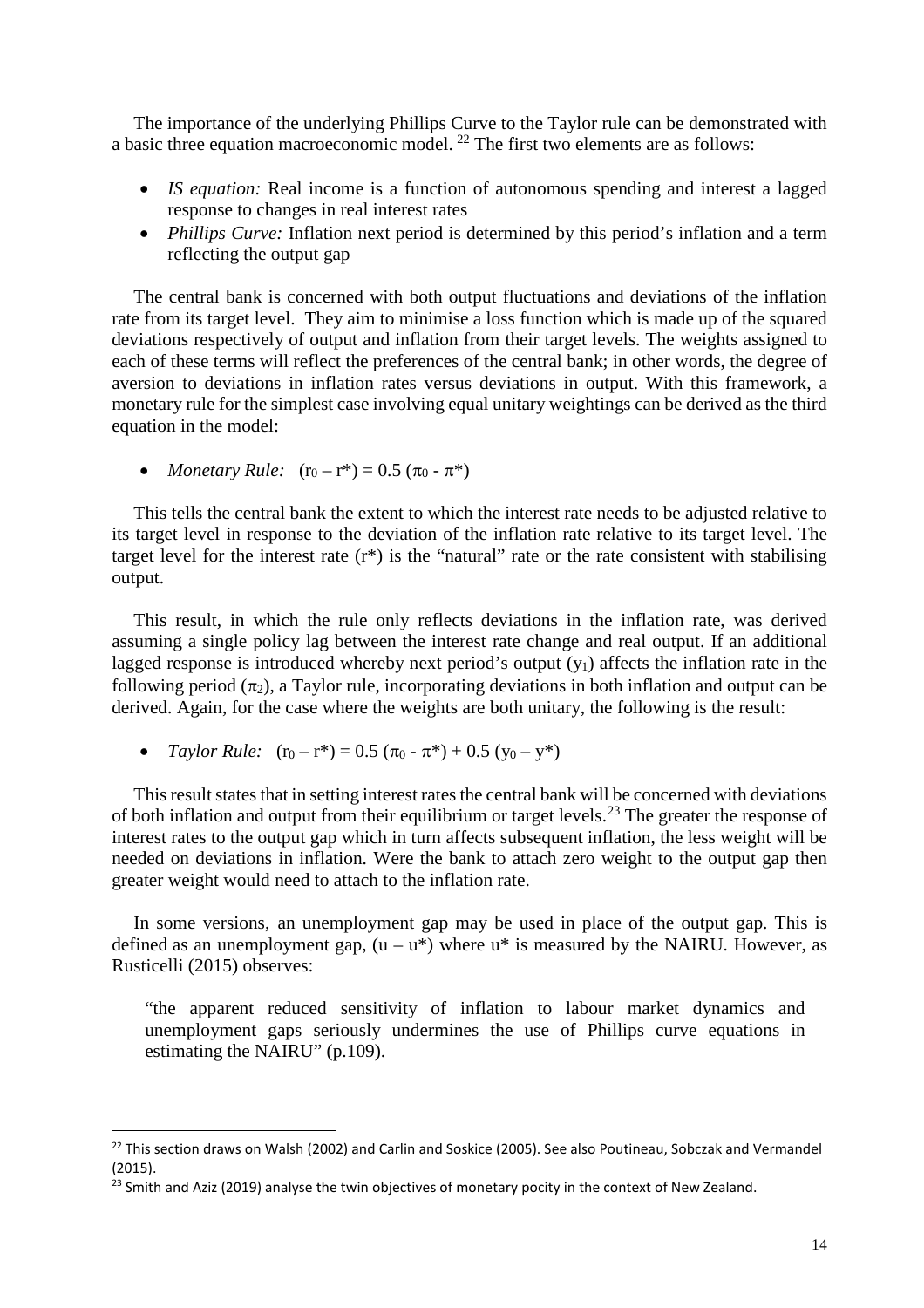The importance of the underlying Phillips Curve to the Taylor rule can be demonstrated with a basic three equation macroeconomic model. [22](#page-15-0) The first two elements are as follows:

- *IS equation:* Real income is a function of autonomous spending and interest a lagged response to changes in real interest rates
- *Phillips Curve:* Inflation next period is determined by this period's inflation and a term reflecting the output gap

The central bank is concerned with both output fluctuations and deviations of the inflation rate from its target level. They aim to minimise a loss function which is made up of the squared deviations respectively of output and inflation from their target levels. The weights assigned to each of these terms will reflect the preferences of the central bank; in other words, the degree of aversion to deviations in inflation rates versus deviations in output. With this framework, a monetary rule for the simplest case involving equal unitary weightings can be derived as the third equation in the model:

• *Monetary Rule:*  $(r_0 - r^*) = 0.5 (\pi_0 - \pi^*)$ 

This tells the central bank the extent to which the interest rate needs to be adjusted relative to its target level in response to the deviation of the inflation rate relative to its target level. The target level for the interest rate (r\*) is the "natural" rate or the rate consistent with stabilising output.

This result, in which the rule only reflects deviations in the inflation rate, was derived assuming a single policy lag between the interest rate change and real output. If an additional lagged response is introduced whereby next period's output  $(y_1)$  affects the inflation rate in the following period  $(\pi_2)$ , a Taylor rule, incorporating deviations in both inflation and output can be derived. Again, for the case where the weights are both unitary, the following is the result:

• *Taylor Rule:*  $(r_0 - r^*) = 0.5 (\pi_0 - \pi^*) + 0.5 (y_0 - y^*)$ 

This result states that in setting interest rates the central bank will be concerned with deviations of both inflation and output from their equilibrium or target levels.<sup>[23](#page-15-1)</sup> The greater the response of interest rates to the output gap which in turn affects subsequent inflation, the less weight will be needed on deviations in inflation. Were the bank to attach zero weight to the output gap then greater weight would need to attach to the inflation rate.

In some versions, an unemployment gap may be used in place of the output gap. This is defined as an unemployment gap,  $(u - u^*)$  where  $u^*$  is measured by the NAIRU. However, as Rusticelli (2015) observes:

"the apparent reduced sensitivity of inflation to labour market dynamics and unemployment gaps seriously undermines the use of Phillips curve equations in estimating the NAIRU" (p.109).

<span id="page-15-0"></span><sup>&</sup>lt;sup>22</sup> This section draws on Walsh (2002) and Carlin and Soskice (2005). See also Poutineau, Sobczak and Vermandel (2015).

<span id="page-15-1"></span><sup>&</sup>lt;sup>23</sup> Smith and Aziz (2019) analyse the twin objectives of monetary pocity in the context of New Zealand.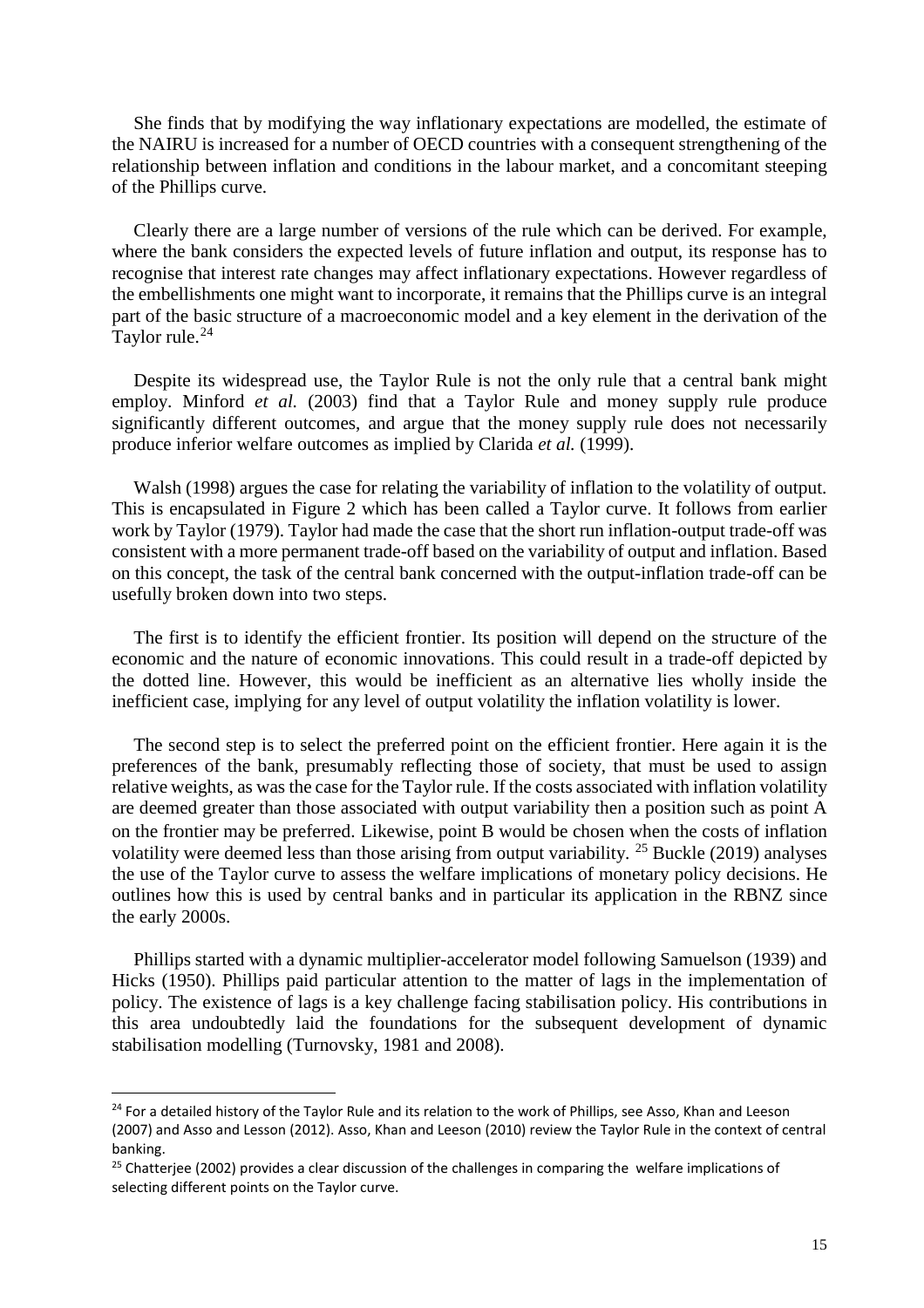She finds that by modifying the way inflationary expectations are modelled, the estimate of the NAIRU is increased for a number of OECD countries with a consequent strengthening of the relationship between inflation and conditions in the labour market, and a concomitant steeping of the Phillips curve.

Clearly there are a large number of versions of the rule which can be derived. For example, where the bank considers the expected levels of future inflation and output, its response has to recognise that interest rate changes may affect inflationary expectations. However regardless of the embellishments one might want to incorporate, it remains that the Phillips curve is an integral part of the basic structure of a macroeconomic model and a key element in the derivation of the Taylor rule.<sup>[24](#page-16-0)</sup>

Despite its widespread use, the Taylor Rule is not the only rule that a central bank might employ. Minford *et al.* (2003) find that a Taylor Rule and money supply rule produce significantly different outcomes, and argue that the money supply rule does not necessarily produce inferior welfare outcomes as implied by Clarida *et al.* (1999).

Walsh (1998) argues the case for relating the variability of inflation to the volatility of output. This is encapsulated in Figure 2 which has been called a Taylor curve. It follows from earlier work by Taylor (1979). Taylor had made the case that the short run inflation-output trade-off was consistent with a more permanent trade-off based on the variability of output and inflation. Based on this concept, the task of the central bank concerned with the output-inflation trade-off can be usefully broken down into two steps.

The first is to identify the efficient frontier. Its position will depend on the structure of the economic and the nature of economic innovations. This could result in a trade-off depicted by the dotted line. However, this would be inefficient as an alternative lies wholly inside the inefficient case, implying for any level of output volatility the inflation volatility is lower.

The second step is to select the preferred point on the efficient frontier. Here again it is the preferences of the bank, presumably reflecting those of society, that must be used to assign relative weights, as was the case for the Taylor rule. If the costs associated with inflation volatility are deemed greater than those associated with output variability then a position such as point A on the frontier may be preferred. Likewise, point B would be chosen when the costs of inflation volatility were deemed less than those arising from output variability.  $25$  Buckle (2019) analyses the use of the Taylor curve to assess the welfare implications of monetary policy decisions. He outlines how this is used by central banks and in particular its application in the RBNZ since the early 2000s.

Phillips started with a dynamic multiplier-accelerator model following Samuelson (1939) and Hicks (1950). Phillips paid particular attention to the matter of lags in the implementation of policy. The existence of lags is a key challenge facing stabilisation policy. His contributions in this area undoubtedly laid the foundations for the subsequent development of dynamic stabilisation modelling (Turnovsky, 1981 and 2008).

<span id="page-16-0"></span><sup>&</sup>lt;sup>24</sup> For a detailed history of the Taylor Rule and its relation to the work of Phillips, see Asso, Khan and Leeson (2007) and Asso and Lesson (2012). Asso, Khan and Leeson (2010) review the Taylor Rule in the context of central banking.

<span id="page-16-1"></span><sup>&</sup>lt;sup>25</sup> Chatterjee (2002) provides a clear discussion of the challenges in comparing the welfare implications of selecting different points on the Taylor curve.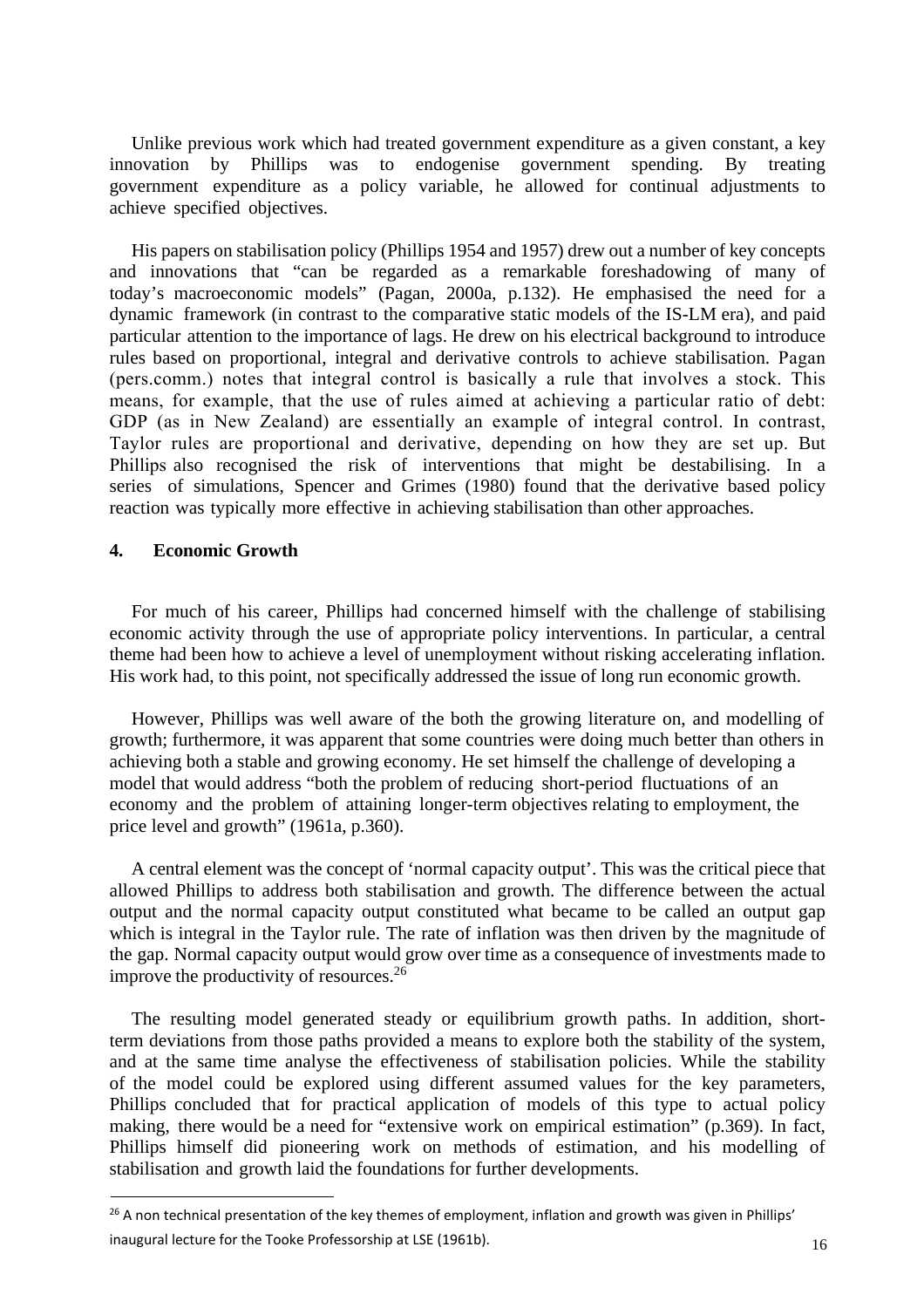Unlike previous work which had treated government expenditure as a given constant, a key innovation by Phillips was to endogenise government spending. By treating government expenditure as a policy variable, he allowed for continual adjustments to achieve specified objectives.

His papers on stabilisation policy (Phillips 1954 and 1957) drew out a number of key concepts and innovations that "can be regarded as a remarkable foreshadowing of many of today's macroeconomic models" (Pagan, 2000a, p.132). He emphasised the need for a dynamic framework (in contrast to the comparative static models of the IS-LM era), and paid particular attention to the importance of lags. He drew on his electrical background to introduce rules based on proportional, integral and derivative controls to achieve stabilisation. Pagan (pers.comm.) notes that integral control is basically a rule that involves a stock. This means, for example, that the use of rules aimed at achieving a particular ratio of debt: GDP (as in New Zealand) are essentially an example of integral control. In contrast, Taylor rules are proportional and derivative, depending on how they are set up. But Phillips also recognised the risk of interventions that might be destabilising. In a series of simulations, Spencer and Grimes (1980) found that the derivative based policy reaction was typically more effective in achieving stabilisation than other approaches.

#### **4. Economic Growth**

For much of his career, Phillips had concerned himself with the challenge of stabilising economic activity through the use of appropriate policy interventions. In particular, a central theme had been how to achieve a level of unemployment without risking accelerating inflation. His work had, to this point, not specifically addressed the issue of long run economic growth.

However, Phillips was well aware of the both the growing literature on, and modelling of growth; furthermore, it was apparent that some countries were doing much better than others in achieving both a stable and growing economy. He set himself the challenge of developing a model that would address "both the problem of reducing short-period fluctuations of an economy and the problem of attaining longer-term objectives relating to employment, the price level and growth" (1961a, p.360).

A central element was the concept of 'normal capacity output'. This was the critical piece that allowed Phillips to address both stabilisation and growth. The difference between the actual output and the normal capacity output constituted what became to be called an output gap which is integral in the Taylor rule. The rate of inflation was then driven by the magnitude of the gap. Normal capacity output would grow over time as a consequence of investments made to improve the productivity of resources.<sup>[26](#page-17-0)</sup>

The resulting model generated steady or equilibrium growth paths. In addition, shortterm deviations from those paths provided a means to explore both the stability of the system, and at the same time analyse the effectiveness of stabilisation policies. While the stability of the model could be explored using different assumed values for the key parameters, Phillips concluded that for practical application of models of this type to actual policy making, there would be a need for "extensive work on empirical estimation" (p.369). In fact, Phillips himself did pioneering work on methods of estimation, and his modelling of stabilisation and growth laid the foundations for further developments.

<span id="page-17-0"></span><sup>&</sup>lt;sup>26</sup> A non technical presentation of the key themes of employment, inflation and growth was given in Phillips' inaugural lecture for the Tooke Professorship at LSE (1961b).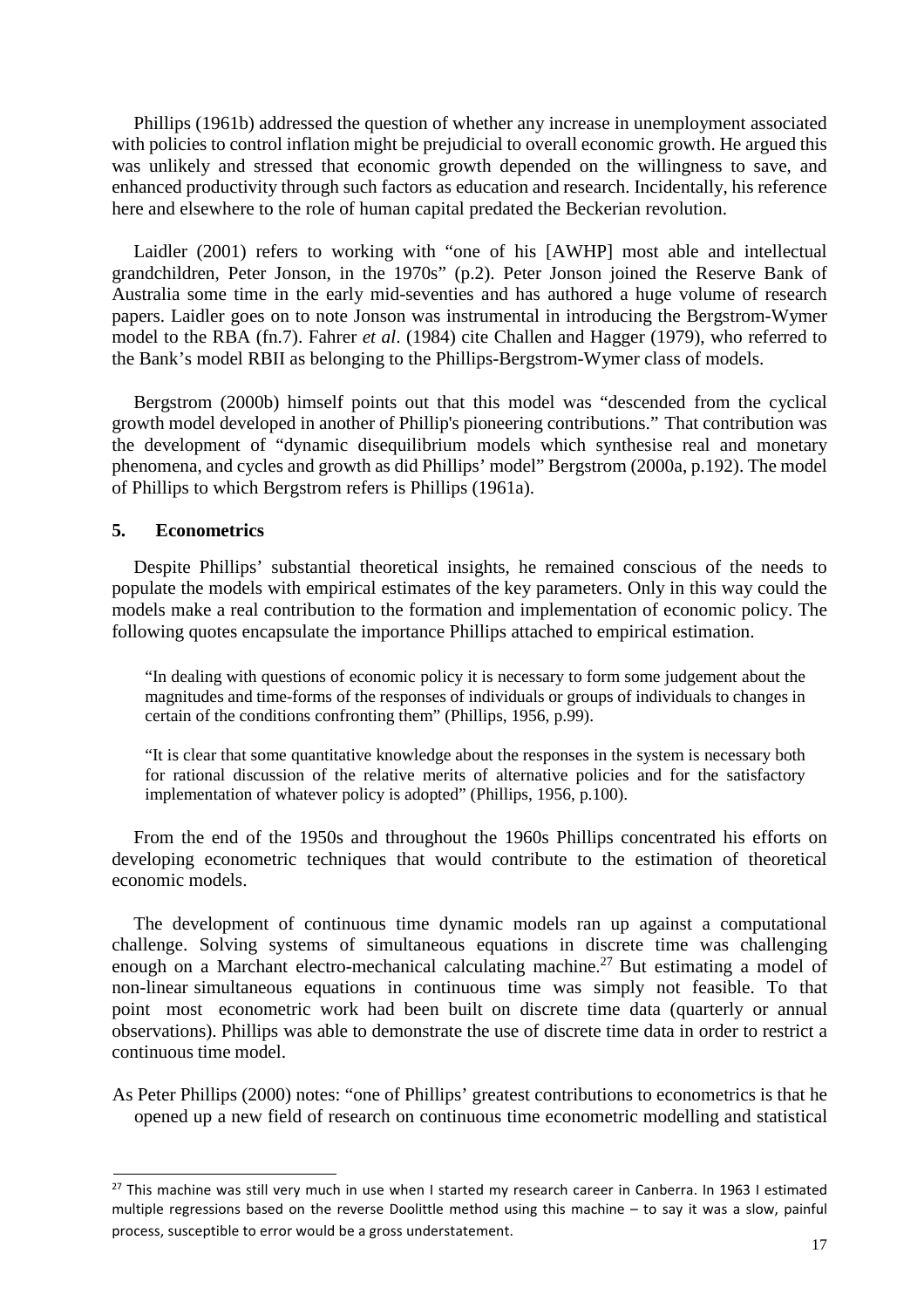Phillips (1961b) addressed the question of whether any increase in unemployment associated with policies to control inflation might be prejudicial to overall economic growth. He argued this was unlikely and stressed that economic growth depended on the willingness to save, and enhanced productivity through such factors as education and research. Incidentally, his reference here and elsewhere to the role of human capital predated the Beckerian revolution.

Laidler (2001) refers to working with "one of his [AWHP] most able and intellectual grandchildren, Peter Jonson, in the 1970s" (p.2). Peter Jonson joined the Reserve Bank of Australia some time in the early mid-seventies and has authored a huge volume of research papers. Laidler goes on to note Jonson was instrumental in introducing the Bergstrom-Wymer model to the RBA (fn.7). Fahrer *et al*. (1984) cite Challen and Hagger (1979), who referred to the Bank's model RBII as belonging to the Phillips-Bergstrom-Wymer class of models.

Bergstrom (2000b) himself points out that this model was "descended from the cyclical growth model developed in another of Phillip's pioneering contributions." That contribution was the development of "dynamic disequilibrium models which synthesise real and monetary phenomena, and cycles and growth as did Phillips' model" Bergstrom (2000a, p.192). The model of Phillips to which Bergstrom refers is Phillips (1961a).

#### **5. Econometrics**

Despite Phillips' substantial theoretical insights, he remained conscious of the needs to populate the models with empirical estimates of the key parameters. Only in this way could the models make a real contribution to the formation and implementation of economic policy. The following quotes encapsulate the importance Phillips attached to empirical estimation.

"In dealing with questions of economic policy it is necessary to form some judgement about the magnitudes and time-forms of the responses of individuals or groups of individuals to changes in certain of the conditions confronting them" (Phillips, 1956, p.99).

"It is clear that some quantitative knowledge about the responses in the system is necessary both for rational discussion of the relative merits of alternative policies and for the satisfactory implementation of whatever policy is adopted" (Phillips, 1956, p.100).

From the end of the 1950s and throughout the 1960s Phillips concentrated his efforts on developing econometric techniques that would contribute to the estimation of theoretical economic models.

The development of continuous time dynamic models ran up against a computational challenge. Solving systems of simultaneous equations in discrete time was challenging enough on a Marchant electro-mechanical calculating machine.<sup>[27](#page-18-0)</sup> But estimating a model of non-linear simultaneous equations in continuous time was simply not feasible. To that point most econometric work had been built on discrete time data (quarterly or annual observations). Phillips was able to demonstrate the use of discrete time data in order to restrict a continuous time model.

As Peter Phillips (2000) notes: "one of Phillips' greatest contributions to econometrics is that he opened up a new field of research on continuous time econometric modelling and statistical

<span id="page-18-0"></span><sup>&</sup>lt;sup>27</sup> This machine was still very much in use when I started my research career in Canberra. In 1963 I estimated multiple regressions based on the reverse Doolittle method using this machine – to say it was a slow, painful process, susceptible to error would be a gross understatement.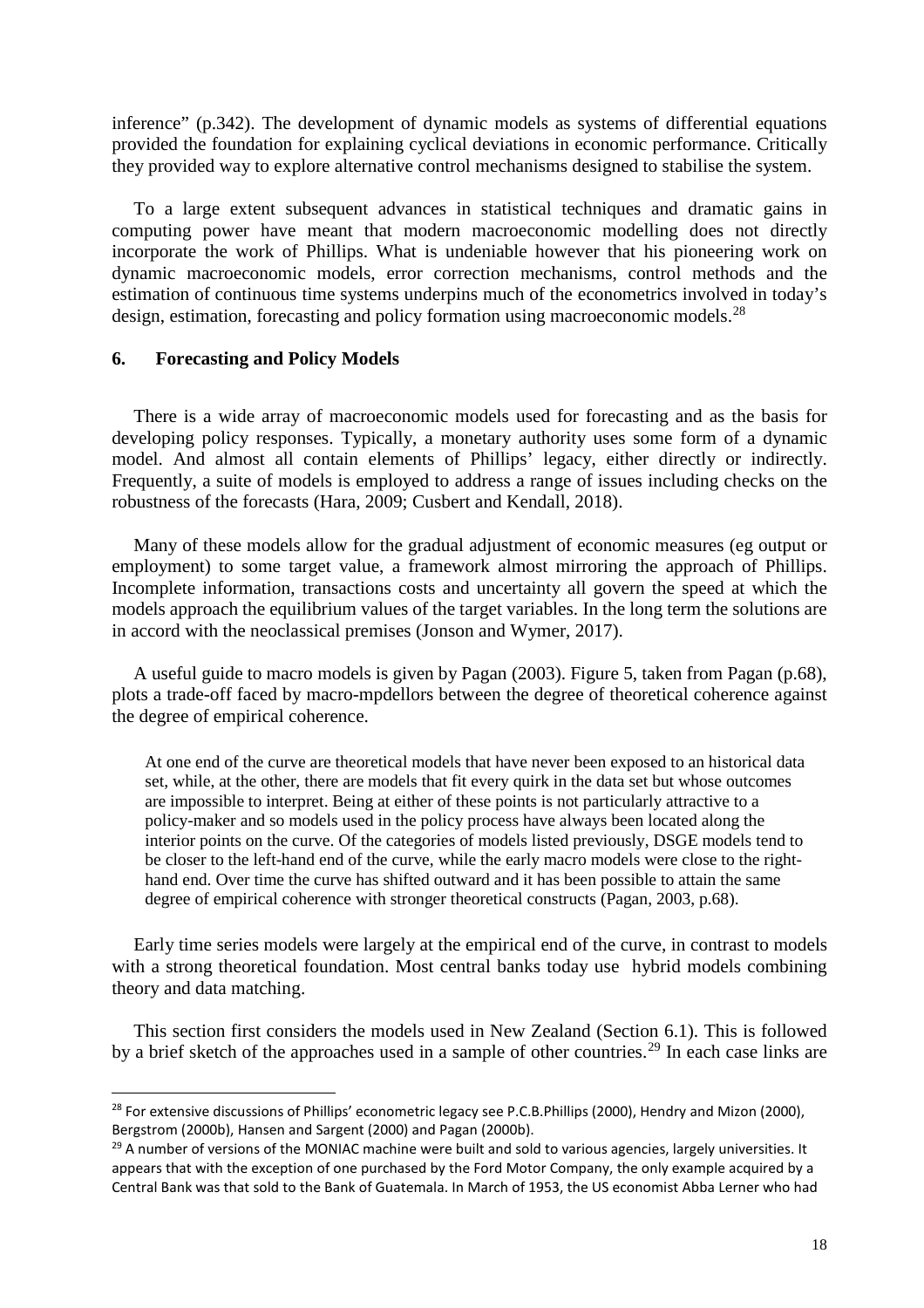inference" (p.342). The development of dynamic models as systems of differential equations provided the foundation for explaining cyclical deviations in economic performance. Critically they provided way to explore alternative control mechanisms designed to stabilise the system.

To a large extent subsequent advances in statistical techniques and dramatic gains in computing power have meant that modern macroeconomic modelling does not directly incorporate the work of Phillips. What is undeniable however that his pioneering work on dynamic macroeconomic models, error correction mechanisms, control methods and the estimation of continuous time systems underpins much of the econometrics involved in today's design, estimation, forecasting and policy formation using macroeconomic models.<sup>[28](#page-19-0)</sup>

#### **6. Forecasting and Policy Models**

There is a wide array of macroeconomic models used for forecasting and as the basis for developing policy responses. Typically, a monetary authority uses some form of a dynamic model. And almost all contain elements of Phillips' legacy, either directly or indirectly. Frequently, a suite of models is employed to address a range of issues including checks on the robustness of the forecasts (Hara, 2009; Cusbert and Kendall, 2018).

Many of these models allow for the gradual adjustment of economic measures (eg output or employment) to some target value, a framework almost mirroring the approach of Phillips. Incomplete information, transactions costs and uncertainty all govern the speed at which the models approach the equilibrium values of the target variables. In the long term the solutions are in accord with the neoclassical premises (Jonson and Wymer, 2017).

A useful guide to macro models is given by Pagan (2003). Figure 5, taken from Pagan (p.68), plots a trade-off faced by macro-mpdellors between the degree of theoretical coherence against the degree of empirical coherence.

At one end of the curve are theoretical models that have never been exposed to an historical data set, while, at the other, there are models that fit every quirk in the data set but whose outcomes are impossible to interpret. Being at either of these points is not particularly attractive to a policy-maker and so models used in the policy process have always been located along the interior points on the curve. Of the categories of models listed previously, DSGE models tend to be closer to the left-hand end of the curve, while the early macro models were close to the righthand end. Over time the curve has shifted outward and it has been possible to attain the same degree of empirical coherence with stronger theoretical constructs (Pagan, 2003, p.68).

Early time series models were largely at the empirical end of the curve, in contrast to models with a strong theoretical foundation. Most central banks today use hybrid models combining theory and data matching.

This section first considers the models used in New Zealand (Section 6.1). This is followed by a brief sketch of the approaches used in a sample of other countries.<sup>[29](#page-19-1)</sup> In each case links are

<span id="page-19-0"></span><sup>&</sup>lt;sup>28</sup> For extensive discussions of Phillips' econometric legacy see P.C.B.Phillips (2000), Hendry and Mizon (2000), Bergstrom (2000b), Hansen and Sargent (2000) and Pagan (2000b).

<span id="page-19-1"></span> $29$  A number of versions of the MONIAC machine were built and sold to various agencies, largely universities. It appears that with the exception of one purchased by the Ford Motor Company, the only example acquired by a Central Bank was that sold to the Bank of Guatemala. In March of 1953, the US economist Abba Lerner who had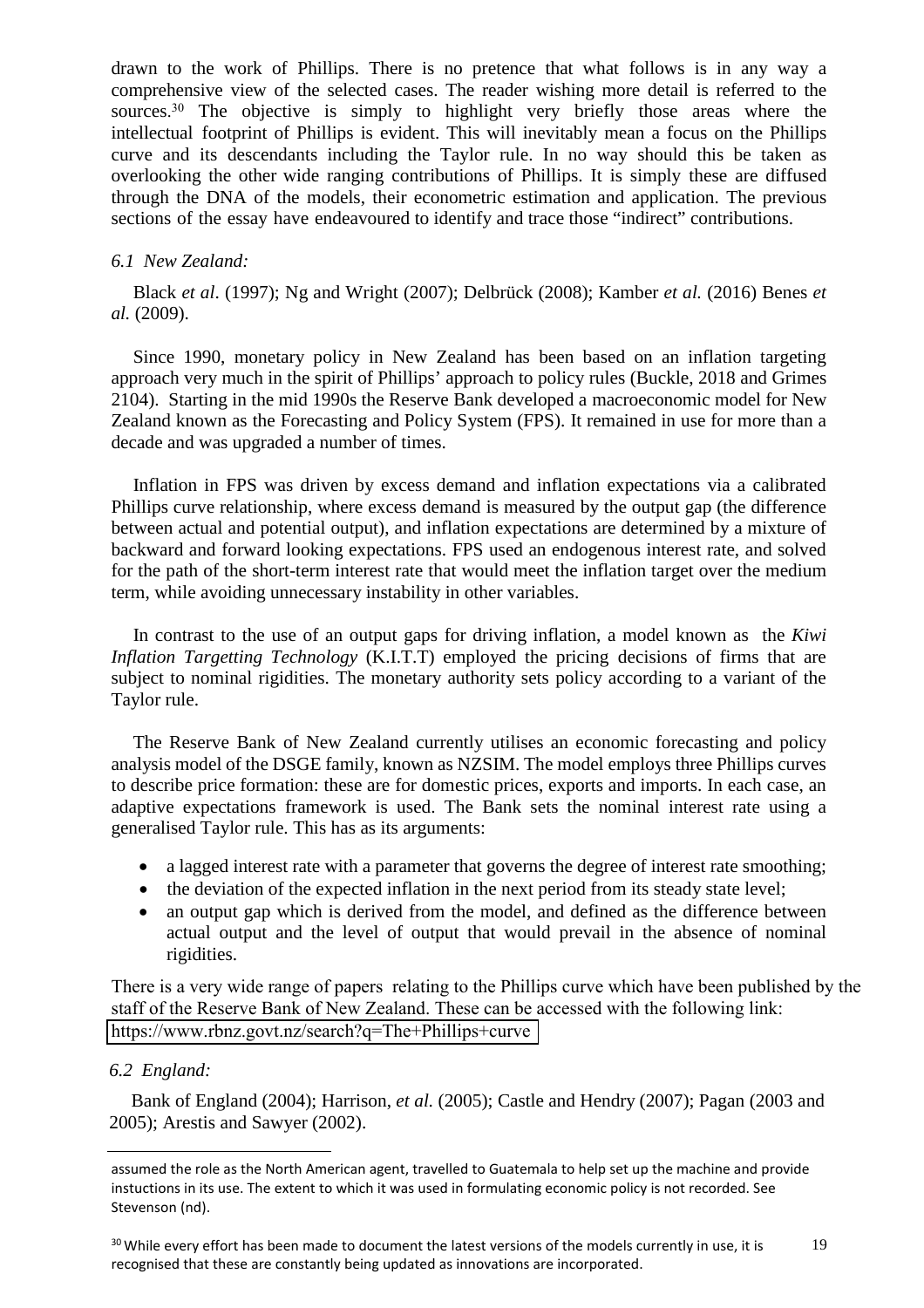drawn to the work of Phillips. There is no pretence that what follows is in any way a comprehensive view of the selected cases. The reader wishing more detail is referred to the sources.<sup>30</sup> The objective is simply to highlight very briefly those areas where the intellectual footprint of Phillips is evident. This will inevitably mean a focus on the Phillips curve and its descendants including the Taylor rule. In no way should this be taken as overlooking the other wide ranging contributions of Phillips. It is simply these are diffused through the DNA of the models, their econometric estimation and application. The previous sections of the essay have endeavoured to identify and trace those "indirect" contributions.

## *6.1 New Zealand:*

Black *et al*. (1997); Ng and Wright (2007); Delbrück (2008); Kamber *et al.* (2016) Benes *et al.* (2009).

Since 1990, monetary policy in New Zealand has been based on an inflation targeting approach very much in the spirit of Phillips' approach to policy rules (Buckle, 2018 and Grimes 2104). Starting in the mid 1990s the Reserve Bank developed a macroeconomic model for New Zealand known as the Forecasting and Policy System (FPS). It remained in use for more than a decade and was upgraded a number of times.

Inflation in FPS was driven by excess demand and inflation expectations via a calibrated Phillips curve relationship, where excess demand is measured by the output gap (the difference between actual and potential output), and inflation expectations are determined by a mixture of backward and forward looking expectations. FPS used an endogenous interest rate, and solved for the path of the short-term interest rate that would meet the inflation target over the medium term, while avoiding unnecessary instability in other variables.

In contrast to the use of an output gaps for driving inflation, a model known as the *Kiwi Inflation Targetting Technology* (K.I.T.T) employed the pricing decisions of firms that are subject to nominal rigidities. The monetary authority sets policy according to a variant of the Taylor rule.

The Reserve Bank of New Zealand currently utilises an economic forecasting and policy analysis model of the DSGE family, known as NZSIM. The model employs three Phillips curves to describe price formation: these are for domestic prices, exports and imports. In each case, an adaptive expectations framework is used. The Bank sets the nominal interest rate using a generalised Taylor rule. This has as its arguments:

- a lagged interest rate with a parameter that governs the degree of interest rate smoothing;
- the deviation of the expected inflation in the next period from its steady state level;
- an output gap which is derived from the model, and defined as the difference between actual output and the level of output that would prevail in the absence of nominal rigidities.

There is a very wide range of papers relating to the Phillips curve which have been published by the staff of the Reserve Bank of New Zealand. These can be accessed with the following link: <https://www.rbnz.govt.nz/search?q=The+Phillips+curve>

## *6.2 England:*

Bank of England (2004); Harrison, *et al.* (2005); Castle and Hendry (2007); Pagan (2003 and 2005); Arestis and Sawyer (2002).

19

assumed the role as the North American agent, travelled to Guatemala to help set up the machine and provide instuctions in its use. The extent to which it was used in formulating economic policy is not recorded. See Stevenson (nd).

<sup>&</sup>lt;sup>30</sup> While every effort has been made to document the latest versions of the models currently in use, it is recognised that these are constantly being updated as innovations are incorporated.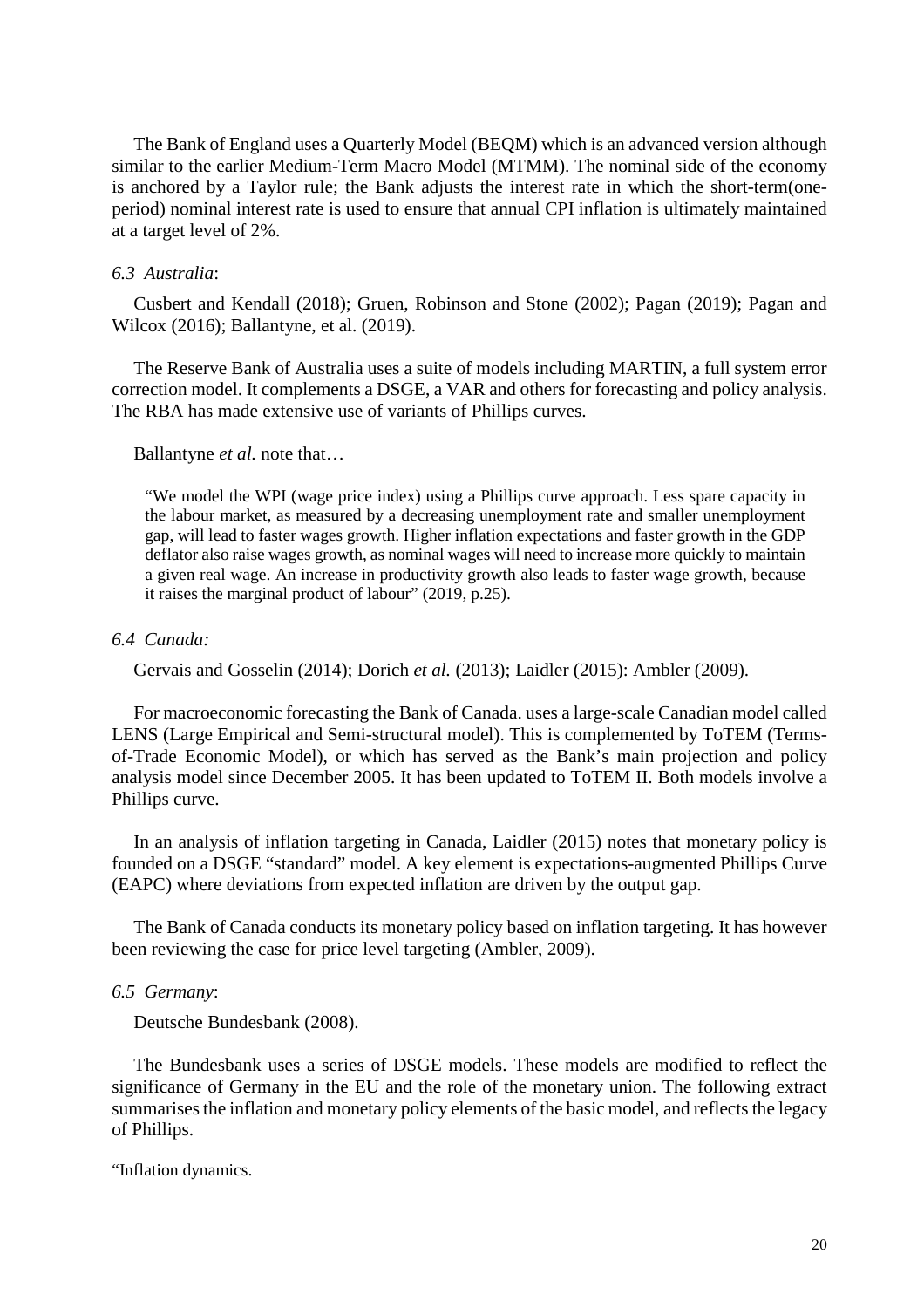The Bank of England uses a Quarterly Model (BEQM) which is an advanced version although similar to the earlier Medium-Term Macro Model (MTMM). The nominal side of the economy is anchored by a Taylor rule; the Bank adjusts the interest rate in which the short-term(oneperiod) nominal interest rate is used to ensure that annual CPI inflation is ultimately maintained at a target level of 2%.

#### *6.3 Australia*:

Cusbert and Kendall (2018); Gruen, Robinson and Stone (2002); Pagan (2019); Pagan and Wilcox (2016); Ballantyne, et al. (2019).

The Reserve Bank of Australia uses a suite of models including MARTIN, a full system error correction model. It complements a DSGE, a VAR and others for forecasting and policy analysis. The RBA has made extensive use of variants of Phillips curves.

Ballantyne *et al.* note that…

"We model the WPI (wage price index) using a Phillips curve approach. Less spare capacity in the labour market, as measured by a decreasing unemployment rate and smaller unemployment gap, will lead to faster wages growth. Higher inflation expectations and faster growth in the GDP deflator also raise wages growth, as nominal wages will need to increase more quickly to maintain a given real wage. An increase in productivity growth also leads to faster wage growth, because it raises the marginal product of labour" (2019, p.25).

## *6.4 Canada:*

Gervais and Gosselin (2014); Dorich *et al.* (2013); Laidler (2015): Ambler (2009).

For macroeconomic forecasting the Bank of Canada. uses a large-scale Canadian model called LENS (Large Empirical and Semi-structural model). This is complemented by ToTEM (Termsof-Trade Economic Model), or which has served as the Bank's main projection and policy analysis model since December 2005. It has been updated to ToTEM II. Both models involve a Phillips curve.

In an analysis of inflation targeting in Canada, Laidler (2015) notes that monetary policy is founded on a DSGE "standard" model. A key element is expectations-augmented Phillips Curve (EAPC) where deviations from expected inflation are driven by the output gap.

The Bank of Canada conducts its monetary policy based on inflation targeting. It has however been reviewing the case for price level targeting (Ambler, 2009).

#### *6.5 Germany*:

Deutsche Bundesbank (2008).

The Bundesbank uses a series of DSGE models. These models are modified to reflect the significance of Germany in the EU and the role of the monetary union. The following extract summarises the inflation and monetary policy elements of the basic model, and reflects the legacy of Phillips.

"Inflation dynamics.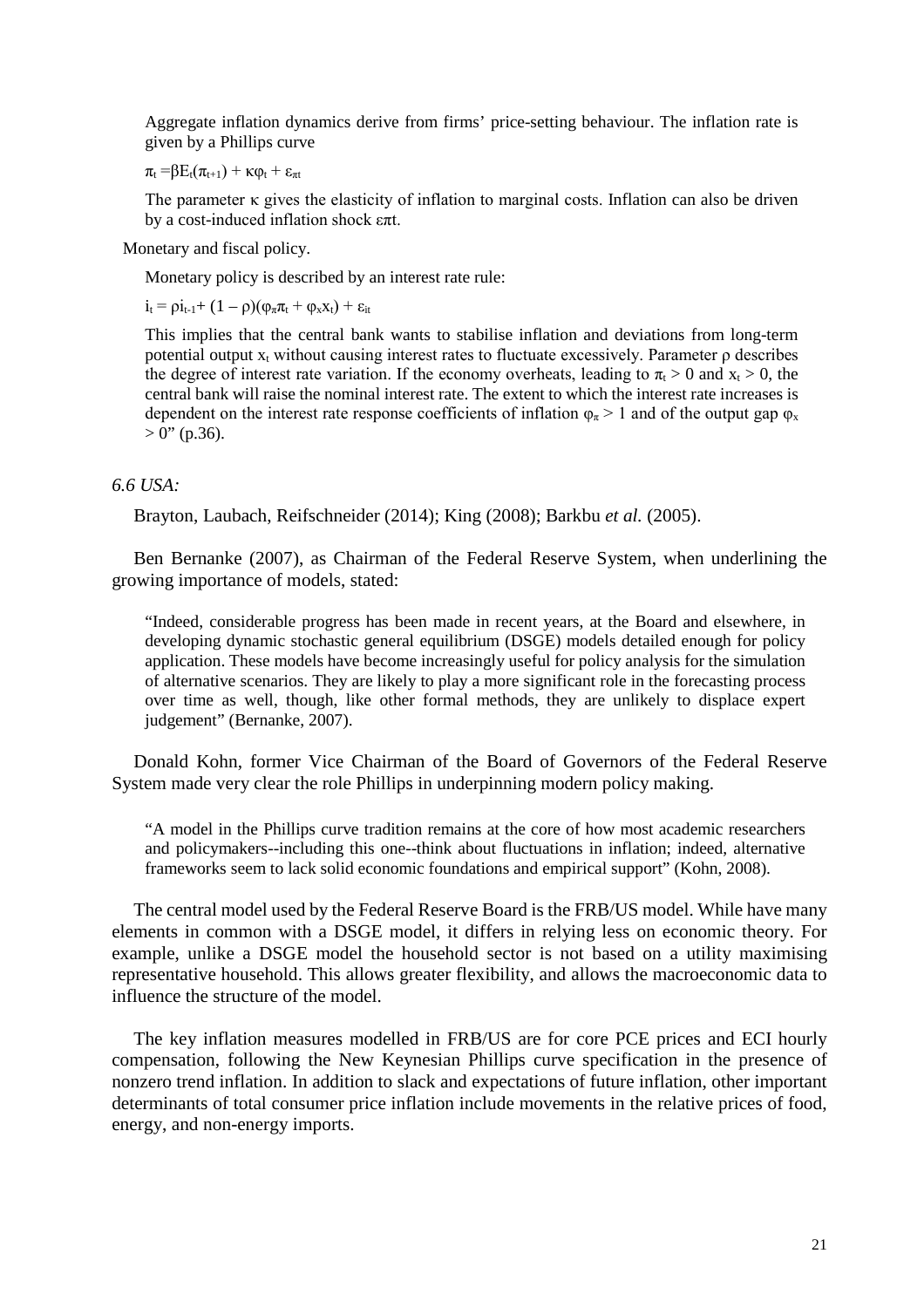Aggregate inflation dynamics derive from firms' price-setting behaviour. The inflation rate is given by a Phillips curve

 $\pi_t = \beta E_t(\pi_{t+1}) + \kappa \varphi_t + \varepsilon_{\pi t}$ 

The parameter  $\kappa$  gives the elasticity of inflation to marginal costs. Inflation can also be driven by a cost-induced inflation shock επt.

Monetary and fiscal policy.

Monetary policy is described by an interest rate rule:

 $i_t = \rho i_{t-1} + (1 - \rho)(\varphi_\pi \pi_t + \varphi_\mathbf{X} \mathbf{X}_t) + \varepsilon_{it}$ 

This implies that the central bank wants to stabilise inflation and deviations from long-term potential output  $x_t$  without causing interest rates to fluctuate excessively. Parameter  $\rho$  describes the degree of interest rate variation. If the economy overheats, leading to  $\pi_t > 0$  and  $x_t > 0$ , the central bank will raise the nominal interest rate. The extent to which the interest rate increases is dependent on the interest rate response coefficients of inflation  $\varphi_{\pi} > 1$  and of the output gap  $\varphi_{x}$  $> 0$ " (p.36).

#### *6.6 USA:*

Brayton, Laubach, Reifschneider (2014); King (2008); Barkbu *et al.* (2005).

Ben Bernanke (2007), as Chairman of the Federal Reserve System, when underlining the growing importance of models, stated:

"Indeed, considerable progress has been made in recent years, at the Board and elsewhere, in developing dynamic stochastic general equilibrium (DSGE) models detailed enough for policy application. These models have become increasingly useful for policy analysis for the simulation of alternative scenarios. They are likely to play a more significant role in the forecasting process over time as well, though, like other formal methods, they are unlikely to displace expert judgement" (Bernanke, 2007).

Donald Kohn, former Vice Chairman of the Board of Governors of the Federal Reserve System made very clear the role Phillips in underpinning modern policy making.

"A model in the Phillips curve tradition remains at the core of how most academic researchers and policymakers--including this one--think about fluctuations in inflation; indeed, alternative frameworks seem to lack solid economic foundations and empirical support" (Kohn, 2008).

The central model used by the Federal Reserve Board is the FRB/US model. While have many elements in common with a DSGE model, it differs in relying less on economic theory. For example, unlike a DSGE model the household sector is not based on a utility maximising representative household. This allows greater flexibility, and allows the macroeconomic data to influence the structure of the model.

The key inflation measures modelled in FRB/US are for core PCE prices and ECI hourly compensation, following the New Keynesian Phillips curve specification in the presence of nonzero trend inflation. In addition to slack and expectations of future inflation, other important determinants of total consumer price inflation include movements in the relative prices of food, energy, and non-energy imports.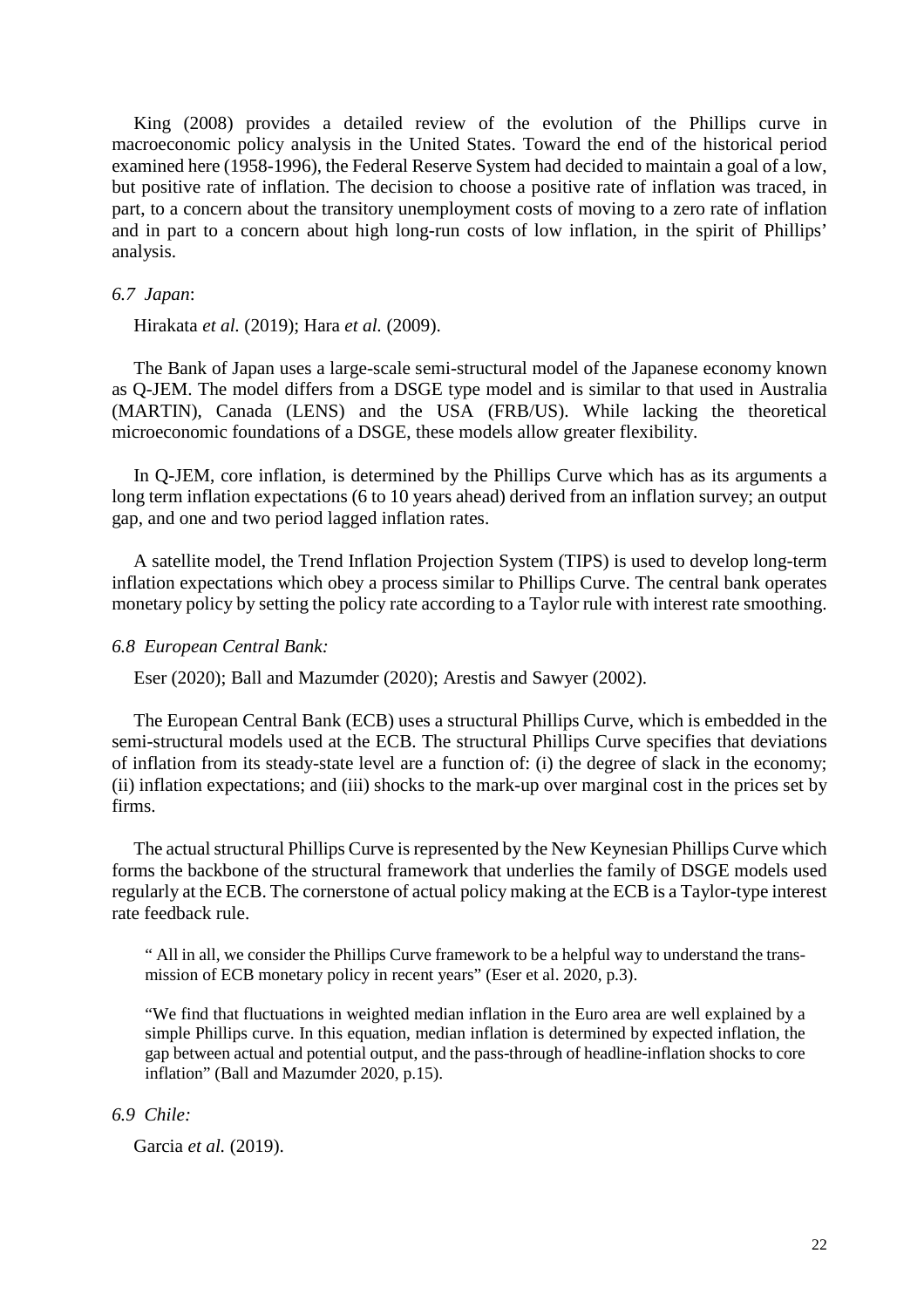King (2008) provides a detailed review of the evolution of the Phillips curve in macroeconomic policy analysis in the United States. Toward the end of the historical period examined here (1958-1996), the Federal Reserve System had decided to maintain a goal of a low, but positive rate of inflation. The decision to choose a positive rate of inflation was traced, in part, to a concern about the transitory unemployment costs of moving to a zero rate of inflation and in part to a concern about high long-run costs of low inflation, in the spirit of Phillips' analysis.

#### *6.7 Japan*:

Hirakata *et al.* (2019); Hara *et al.* (2009).

The Bank of Japan uses a large-scale semi-structural model of the Japanese economy known as Q-JEM. The model differs from a DSGE type model and is similar to that used in Australia (MARTIN), Canada (LENS) and the USA (FRB/US). While lacking the theoretical microeconomic foundations of a DSGE, these models allow greater flexibility.

In Q-JEM, core inflation, is determined by the Phillips Curve which has as its arguments a long term inflation expectations (6 to 10 years ahead) derived from an inflation survey; an output gap, and one and two period lagged inflation rates.

A satellite model, the Trend Inflation Projection System (TIPS) is used to develop long-term inflation expectations which obey a process similar to Phillips Curve. The central bank operates monetary policy by setting the policy rate according to a Taylor rule with interest rate smoothing.

#### *6.8 European Central Bank:*

Eser (2020); Ball and Mazumder (2020); Arestis and Sawyer (2002).

The European Central Bank (ECB) uses a structural Phillips Curve, which is embedded in the semi-structural models used at the ECB. The structural Phillips Curve specifies that deviations of inflation from its steady-state level are a function of: (i) the degree of slack in the economy; (ii) inflation expectations; and (iii) shocks to the mark-up over marginal cost in the prices set by firms.

The actual structural Phillips Curve is represented by the New Keynesian Phillips Curve which forms the backbone of the structural framework that underlies the family of DSGE models used regularly at the ECB. The cornerstone of actual policy making at the ECB is a Taylor-type interest rate feedback rule.

" All in all, we consider the Phillips Curve framework to be a helpful way to understand the transmission of ECB monetary policy in recent years" (Eser et al. 2020, p.3).

"We find that fluctuations in weighted median inflation in the Euro area are well explained by a simple Phillips curve. In this equation, median inflation is determined by expected inflation, the gap between actual and potential output, and the pass-through of headline-inflation shocks to core inflation" (Ball and Mazumder 2020, p.15).

# *6.9 Chile:*

Garcia *et al.* (2019).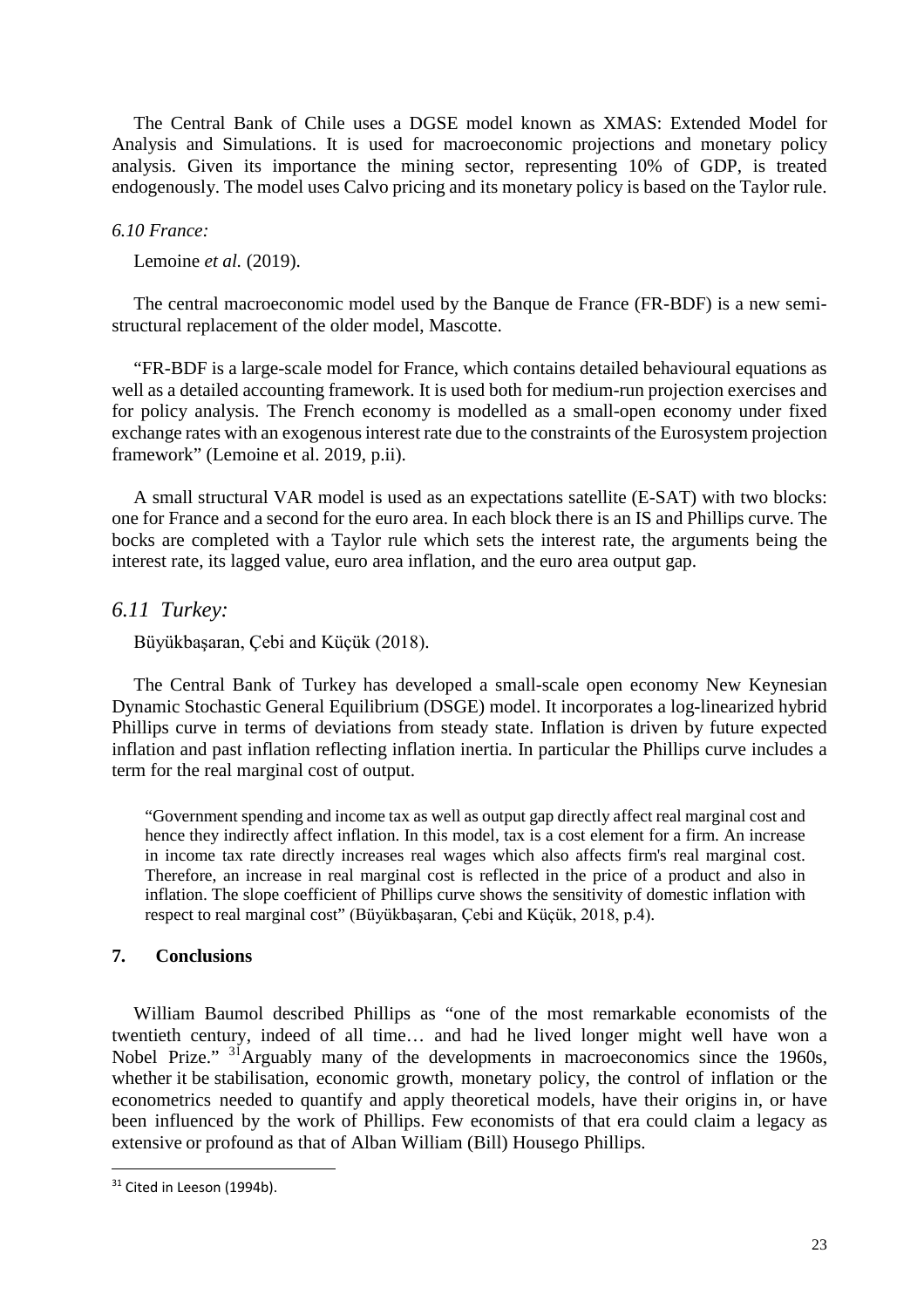The Central Bank of Chile uses a DGSE model known as XMAS: Extended Model for Analysis and Simulations. It is used for macroeconomic projections and monetary policy analysis. Given its importance the mining sector, representing 10% of GDP, is treated endogenously. The model uses Calvo pricing and its monetary policy is based on the Taylor rule.

#### *6.10 France:*

Lemoine *et al.* (2019).

The central macroeconomic model used by the Banque de France (FR-BDF) is a new semistructural replacement of the older model, Mascotte.

"FR-BDF is a large-scale model for France, which contains detailed behavioural equations as well as a detailed accounting framework. It is used both for medium-run projection exercises and for policy analysis. The French economy is modelled as a small-open economy under fixed exchange rates with an exogenous interest rate due to the constraints of the Eurosystem projection framework" (Lemoine et al. 2019, p.ii).

A small structural VAR model is used as an expectations satellite (E-SAT) with two blocks: one for France and a second for the euro area. In each block there is an IS and Phillips curve. The bocks are completed with a Taylor rule which sets the interest rate, the arguments being the interest rate, its lagged value, euro area inflation, and the euro area output gap.

#### *6.11 Turkey:*

Büyükbaşaran, Çebi and Küçük (2018).

The Central Bank of Turkey has developed a small-scale open economy New Keynesian Dynamic Stochastic General Equilibrium (DSGE) model. It incorporates a log-linearized hybrid Phillips curve in terms of deviations from steady state. Inflation is driven by future expected inflation and past inflation reflecting inflation inertia. In particular the Phillips curve includes a term for the real marginal cost of output.

"Government spending and income tax as well as output gap directly affect real marginal cost and hence they indirectly affect inflation. In this model, tax is a cost element for a firm. An increase in income tax rate directly increases real wages which also affects firm's real marginal cost. Therefore, an increase in real marginal cost is reflected in the price of a product and also in inflation. The slope coefficient of Phillips curve shows the sensitivity of domestic inflation with respect to real marginal cost" (Büyükbaşaran, Çebi and Küçük, 2018, p.4).

#### **7. Conclusions**

William Baumol described Phillips as "one of the most remarkable economists of the twentieth century, indeed of all time… and had he lived longer might well have won a Nobel Prize." <sup>[3](#page-24-0)1</sup>Arguably many of the developments in macroeconomics since the 1960s, whether it be stabilisation, economic growth, monetary policy, the control of inflation or the econometrics needed to quantify and apply theoretical models, have their origins in, or have been influenced by the work of Phillips. Few economists of that era could claim a legacy as extensive or profound as that of Alban William (Bill) Housego Phillips.

<span id="page-24-0"></span><sup>&</sup>lt;sup>31</sup> Cited in Leeson (1994b).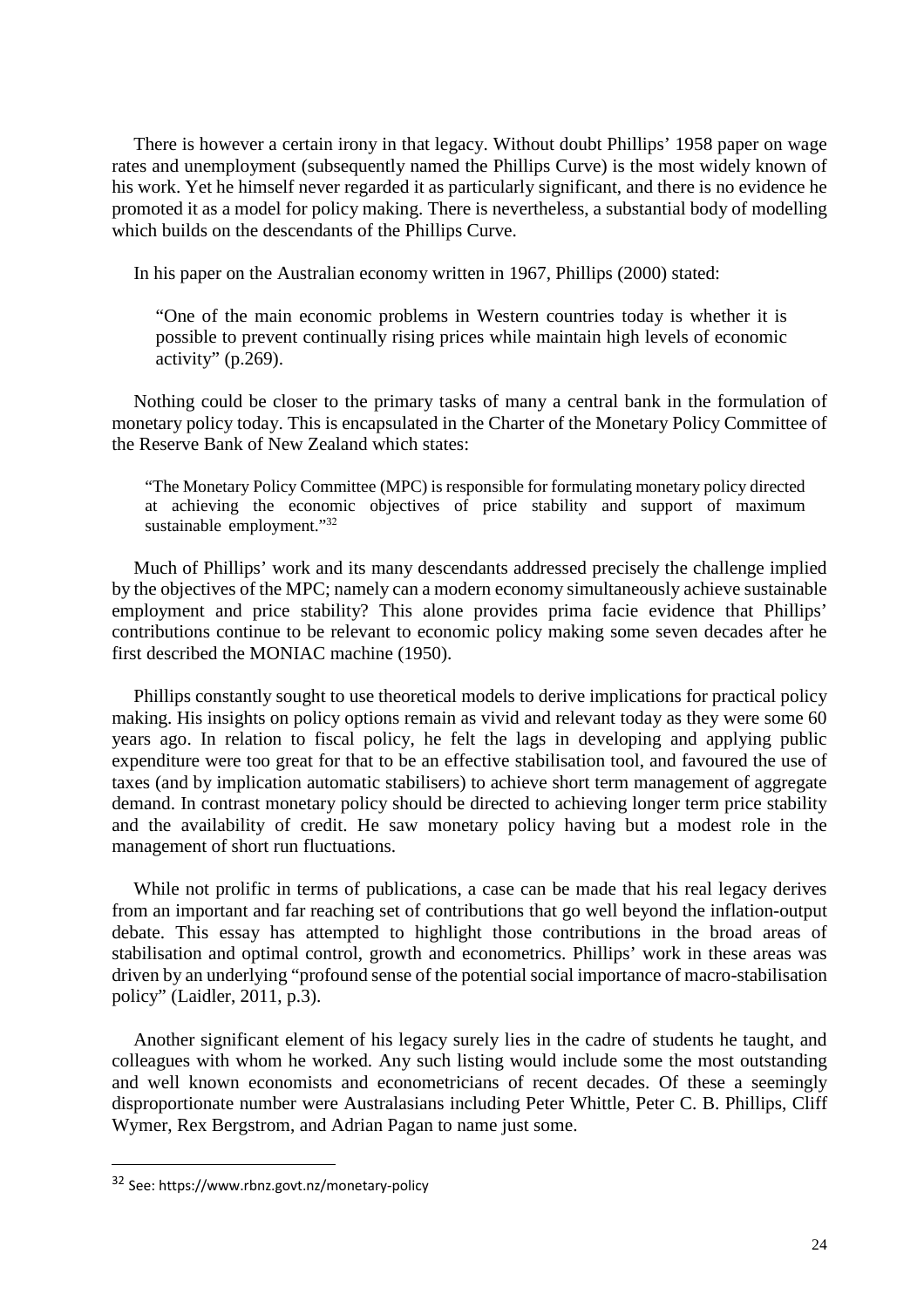There is however a certain irony in that legacy. Without doubt Phillips' 1958 paper on wage rates and unemployment (subsequently named the Phillips Curve) is the most widely known of his work. Yet he himself never regarded it as particularly significant, and there is no evidence he promoted it as a model for policy making. There is nevertheless, a substantial body of modelling which builds on the descendants of the Phillips Curve.

In his paper on the Australian economy written in 1967, Phillips (2000) stated:

"One of the main economic problems in Western countries today is whether it is possible to prevent continually rising prices while maintain high levels of economic activity" (p.269).

Nothing could be closer to the primary tasks of many a central bank in the formulation of monetary policy today. This is encapsulated in the Charter of the Monetary Policy Committee of the Reserve Bank of New Zealand which states:

"The Monetary Policy Committee (MPC) is responsible for formulating monetary policy directed at achieving the economic objectives of price stability and support of maximum sustainable employment."<sup>[3](#page-25-0)2</sup>

Much of Phillips' work and its many descendants addressed precisely the challenge implied by the objectives of the MPC; namely can a modern economy simultaneously achieve sustainable employment and price stability? This alone provides prima facie evidence that Phillips' contributions continue to be relevant to economic policy making some seven decades after he first described the MONIAC machine (1950).

Phillips constantly sought to use theoretical models to derive implications for practical policy making. His insights on policy options remain as vivid and relevant today as they were some 60 years ago. In relation to fiscal policy, he felt the lags in developing and applying public expenditure were too great for that to be an effective stabilisation tool, and favoured the use of taxes (and by implication automatic stabilisers) to achieve short term management of aggregate demand. In contrast monetary policy should be directed to achieving longer term price stability and the availability of credit. He saw monetary policy having but a modest role in the management of short run fluctuations.

While not prolific in terms of publications, a case can be made that his real legacy derives from an important and far reaching set of contributions that go well beyond the inflation-output debate. This essay has attempted to highlight those contributions in the broad areas of stabilisation and optimal control, growth and econometrics. Phillips' work in these areas was driven by an underlying "profound sense of the potential social importance of macro-stabilisation policy" (Laidler, 2011, p.3).

Another significant element of his legacy surely lies in the cadre of students he taught, and colleagues with whom he worked. Any such listing would include some the most outstanding and well known economists and econometricians of recent decades. Of these a seemingly disproportionate number were Australasians including Peter Whittle, Peter C. B. Phillips, Cliff Wymer, Rex Bergstrom, and Adrian Pagan to name just some.

<span id="page-25-0"></span><sup>3</sup>2 See: https://www.rbnz.govt.nz/monetary-policy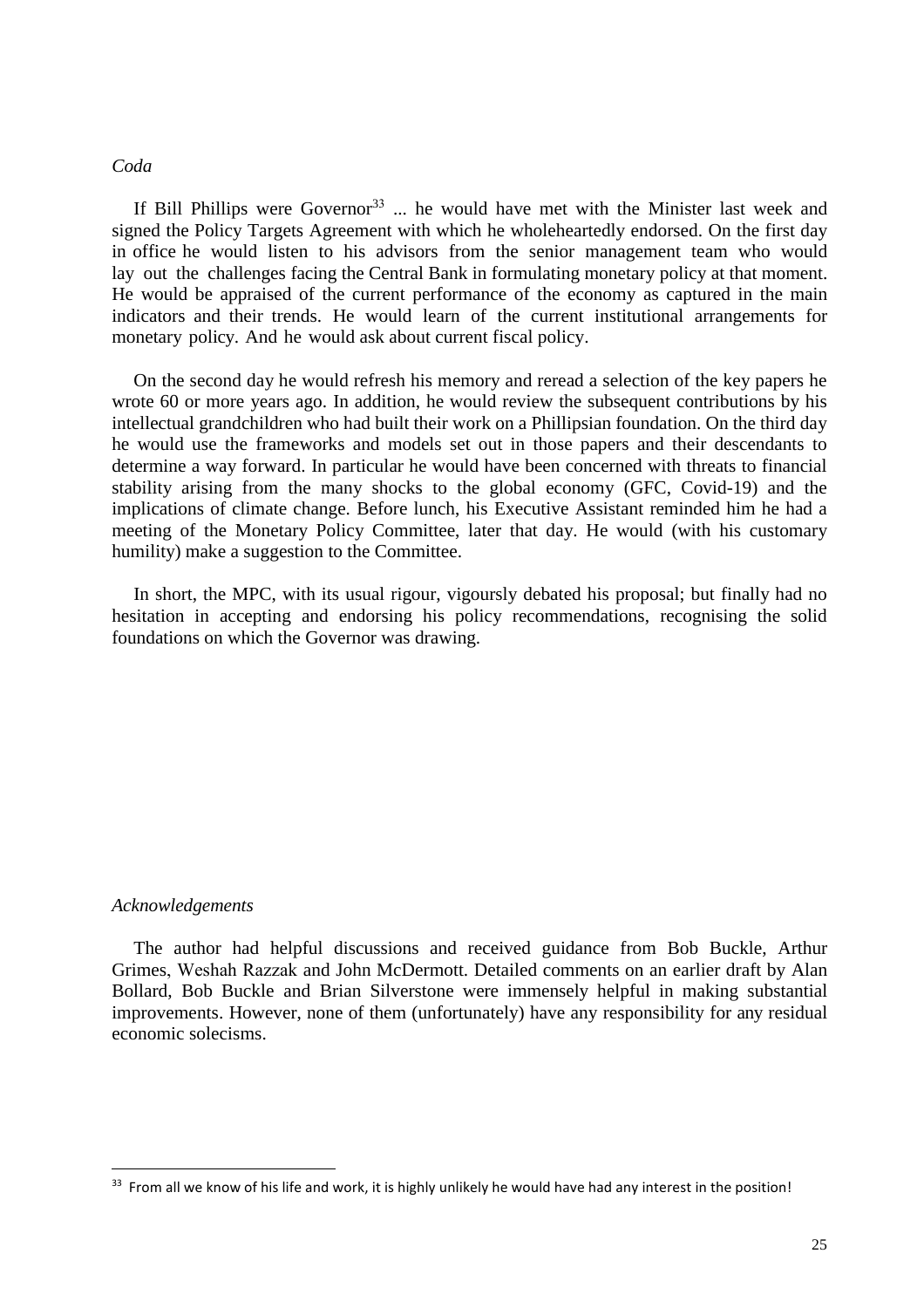#### *Coda*

If Bill Phillips were Governor<sup>[3](#page-26-0)3</sup> ... he would have met with the Minister last week and signed the Policy Targets Agreement with which he wholeheartedly endorsed. On the first day in office he would listen to his advisors from the senior management team who would lay out the challenges facing the Central Bank in formulating monetary policy at that moment. He would be appraised of the current performance of the economy as captured in the main indicators and their trends. He would learn of the current institutional arrangements for monetary policy. And he would ask about current fiscal policy.

On the second day he would refresh his memory and reread a selection of the key papers he wrote 60 or more years ago. In addition, he would review the subsequent contributions by his intellectual grandchildren who had built their work on a Phillipsian foundation. On the third day he would use the frameworks and models set out in those papers and their descendants to determine a way forward. In particular he would have been concerned with threats to financial stability arising from the many shocks to the global economy (GFC, Covid-19) and the implications of climate change. Before lunch, his Executive Assistant reminded him he had a meeting of the Monetary Policy Committee, later that day. He would (with his customary humility) make a suggestion to the Committee.

In short, the MPC, with its usual rigour, vigoursly debated his proposal; but finally had no hesitation in accepting and endorsing his policy recommendations, recognising the solid foundations on which the Governor was drawing.

#### *Acknowledgements*

The author had helpful discussions and received guidance from Bob Buckle, Arthur Grimes, Weshah Razzak and John McDermott. Detailed comments on an earlier draft by Alan Bollard, Bob Buckle and Brian Silverstone were immensely helpful in making substantial improvements. However, none of them (unfortunately) have any responsibility for any residual economic solecisms.

<span id="page-26-0"></span><sup>&</sup>lt;sup>33</sup> From all we know of his life and work, it is highly unlikely he would have had any interest in the position!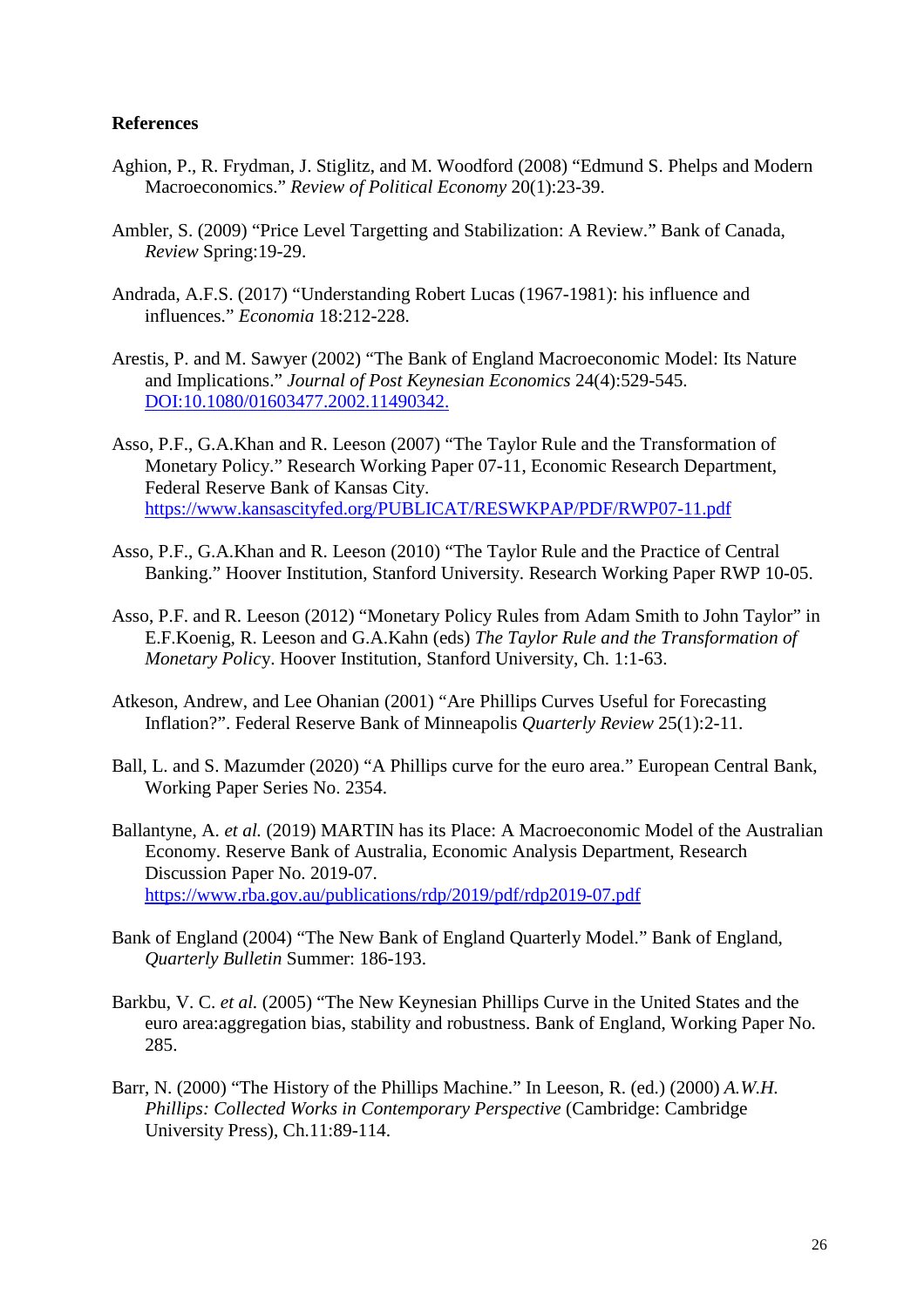### **References**

- Aghion, P., R. Frydman, J. Stiglitz, and M. Woodford (2008) "Edmund S. Phelps and Modern Macroeconomics." *[Review of Political Economy](https://www.researchgate.net/journal/0953-8259_Review_of_Political_Economy)* 20(1):23-39.
- Ambler, S. (2009) "Price Level Targetting and Stabilization: A Review." Bank of Canada, *Review* Spring:19-29.
- Andrada, A.F.S. (2017) "Understanding Robert Lucas (1967-1981): his influence and influences." *Economia* 18:212-228.
- Arestis, P. and M. Sawyer (2002) "The Bank of England Macroeconomic Model: Its Nature and Implications." *Journal of Post Keynesian Economics* 24(4):529-545. DOI:10.1080/01603477.2002.11490342.
- Asso, P.F., G.A.Khan and R. Leeson (2007) "The Taylor Rule and the Transformation of Monetary Policy." Research Working Paper 07-11, Economic Research Department, Federal Reserve Bank of Kansas City. https://www.kansascityfed.org/PUBLICAT/RESWKPAP/PDF/RWP07-11.pdf
- Asso, P.F., G.A.Khan and R. Leeson (2010) "The Taylor Rule and the Practice of Central Banking." Hoover Institution, Stanford University. Research Working Paper RWP 10-05.
- Asso, P.F. and R. Leeson (2012) "Monetary Policy Rules from Adam Smith to John Taylor" in E.F.Koenig, R. Leeson and G.A.Kahn (eds) *The Taylor Rule and the Transformation of Monetary Polic*y. Hoover Institution, Stanford University, Ch. 1:1-63.
- Atkeson, Andrew, and Lee Ohanian (2001) "Are Phillips Curves Useful for Forecasting Inflation?". Federal Reserve Bank of Minneapolis *Quarterly Review* 25(1):2-11.
- Ball, L. and S. Mazumder (2020) "A Phillips curve for the euro area." European Central Bank, Working Paper Series No. 2354.
- Ballantyne, A. *et al.* (2019) MARTIN has its Place: A Macroeconomic Model of the Australian Economy. Reserve Bank of Australia, Economic Analysis Department, Research Discussion Paper No. 2019-07. https://www.rba.gov.au/publications/rdp/2019/pdf/rdp2019-07.pdf
- Bank of England (2004) "The New Bank of England Quarterly Model." Bank of England, *Quarterly Bulletin* Summer: 186-193.
- Barkbu, V. C. *et al.* (2005) "The New Keynesian Phillips Curve in the United States and the euro area:aggregation bias, stability and robustness. Bank of England, Working Paper No. 285.
- Barr, N. (2000) "The History of the Phillips Machine." In Leeson, R. (ed.) (2000) *A.W.H. Phillips: Collected Works in Contemporary Perspective* (Cambridge: Cambridge University Press), Ch.11:89-114.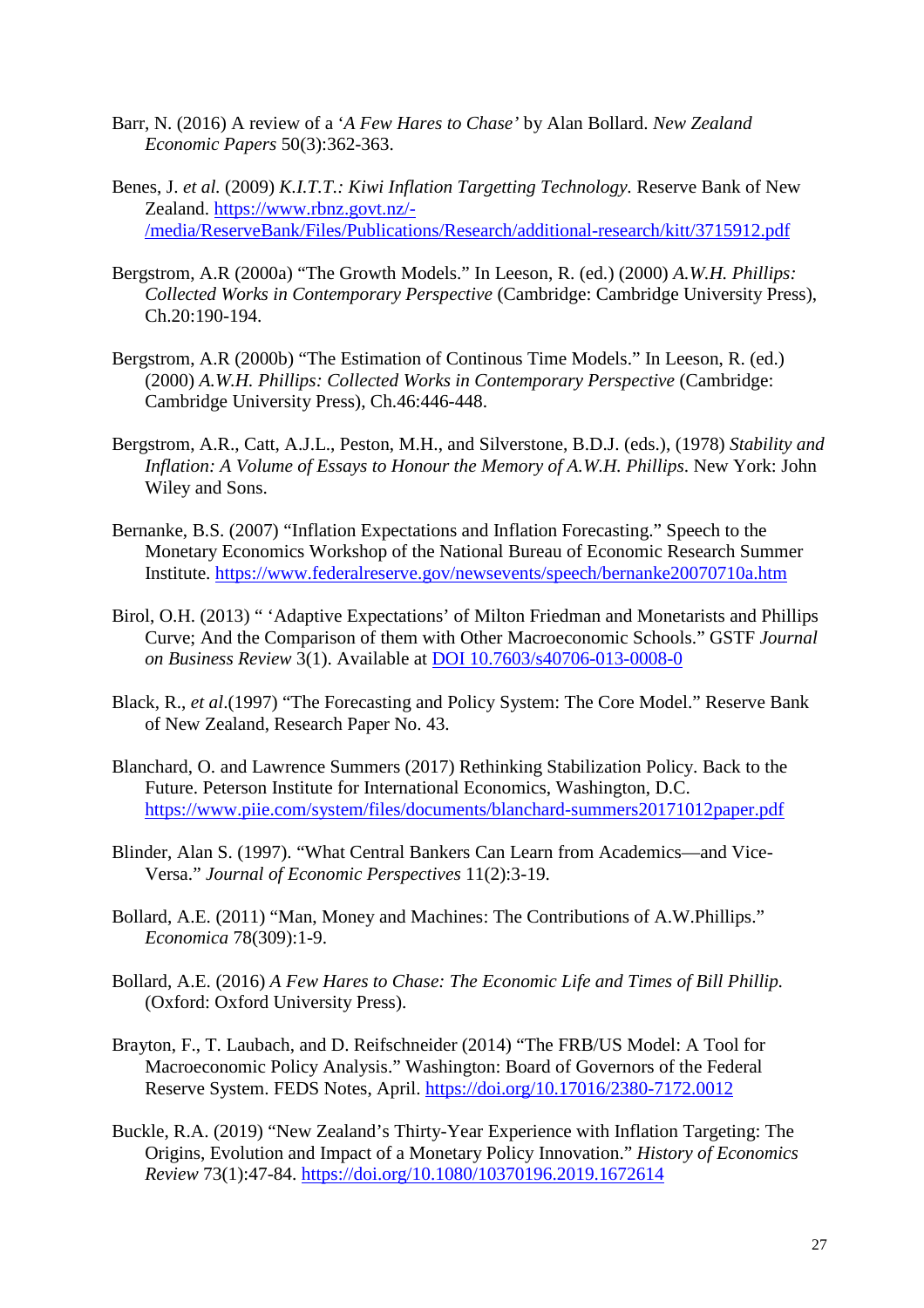- Barr, N. (2016) A review of a '*A Few Hares to Chase'* by Alan Bollard. *New Zealand Economic Papers* 50(3):362-363.
- Benes, J. *et al.* (2009) *K.I.T.T.: Kiwi Inflation Targetting Technology.* Reserve Bank of New Zealand. https://www.rbnz.govt.nz/- /media/ReserveBank/Files/Publications/Research/additional-research/kitt/3715912.pdf
- Bergstrom, A.R (2000a) "The Growth Models." In Leeson, R. (ed.) (2000) *A.W.H. Phillips: Collected Works in Contemporary Perspective* (Cambridge: Cambridge University Press), Ch.20:190-194.
- Bergstrom, A.R (2000b) "The Estimation of Continous Time Models." In Leeson, R. (ed.) (2000) *A.W.H. Phillips: Collected Works in Contemporary Perspective* (Cambridge: Cambridge University Press), Ch.46:446-448.
- Bergstrom, A.R., Catt, A.J.L., Peston, M.H., and Silverstone, B.D.J. (eds.), (1978) *Stability and Inflation: A Volume of Essays to Honour the Memory of A.W.H. Phillips*. New York: John Wiley and Sons.
- Bernanke, B.S. (2007) "Inflation Expectations and Inflation Forecasting." Speech to the Monetary Economics Workshop of the National Bureau of Economic Research Summer Institute. https://www.federalreserve.gov/newsevents/speech/bernanke20070710a.htm
- Birol, O.H. (2013) " 'Adaptive Expectations' of Milton Friedman and Monetarists and Phillips Curve; And the Comparison of them with Other Macroeconomic Schools." GSTF *Journal on Business Review* 3(1). Available at DOI 10.7603/s40706-013-0008-0
- Black, R., *et al*.(1997) "The Forecasting and Policy System: The Core Model." Reserve Bank of New Zealand, Research Paper No. 43.
- Blanchard, O. and Lawrence Summers (2017) Rethinking Stabilization Policy. Back to the Future. Peterson Institute for International Economics, Washington, D.C. https://www.piie.com/system/files/documents/blanchard-summers20171012paper.pdf
- Blinder, Alan S. (1997). "What Central Bankers Can Learn from Academics—and Vice-Versa." *Journal of Economic Perspectives* 11(2):3-19.
- Bollard, A.E. (2011) "Man, Money and Machines: The Contributions of A.W.Phillips." *Economica* 78(309):1-9.
- Bollard, A.E. (2016) *A Few Hares to Chase: The Economic Life and Times of Bill Phillip.* (Oxford: Oxford University Press).
- Brayton, F., T. Laubach, and D. Reifschneider (2014) "The FRB/US Model: A Tool for Macroeconomic Policy Analysis." Washington: Board of Governors of the Federal Reserve System. FEDS Notes, April.<https://doi.org/10.17016/2380-7172.0012>
- Buckle, R.A. (2019) "New Zealand's Thirty-Year Experience with Inflation Targeting: The Origins, Evolution and Impact of a Monetary Policy Innovation." *History of Economics Review* 73(1):47-84. https://doi.org/10.1080/10370196.2019.1672614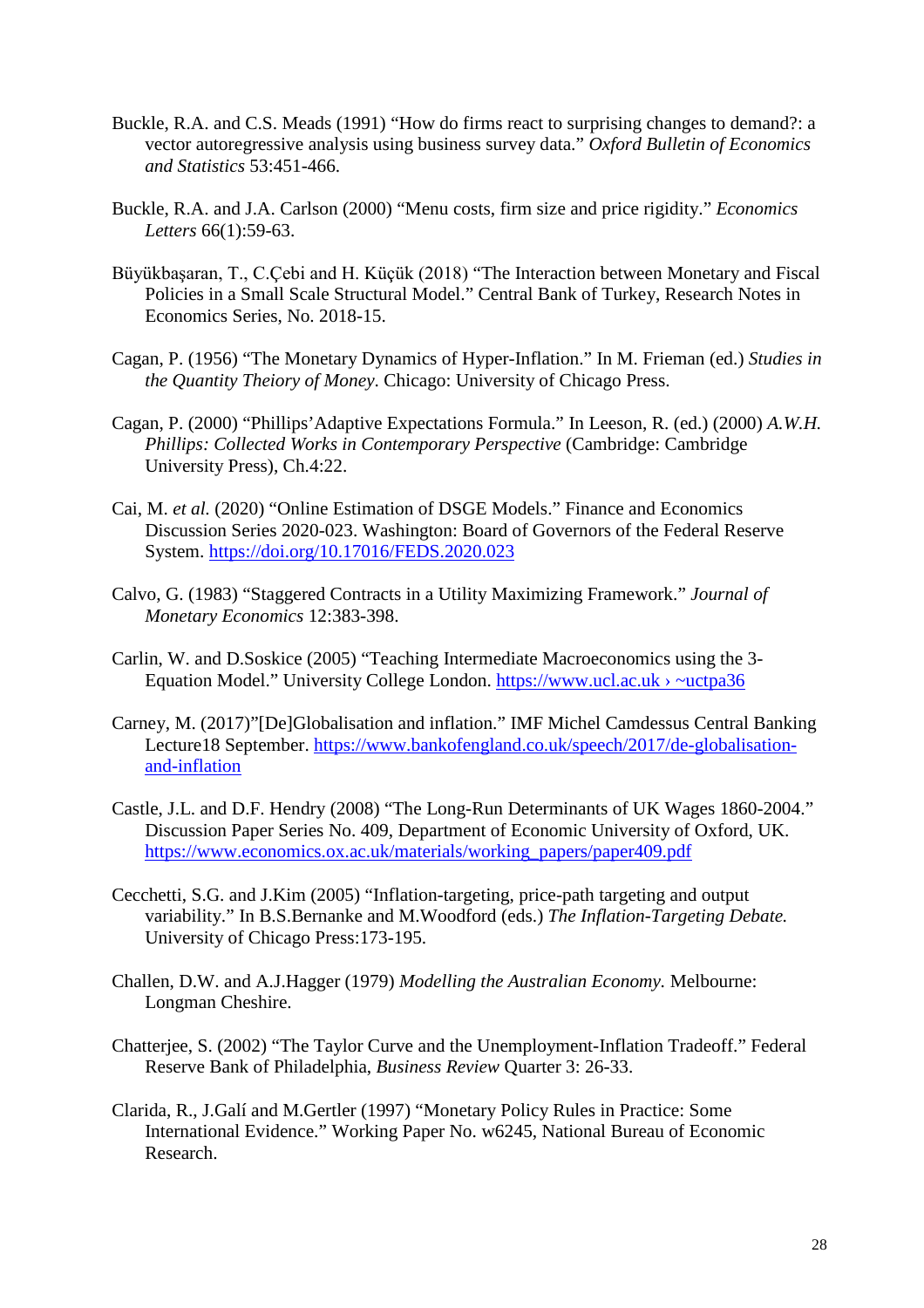- Buckle, R.A. and C.S. Meads (1991) "How do firms react to surprising changes to demand?: a vector autoregressive analysis using business survey data." *Oxford Bulletin of Economics and Statistics* 53:451-466.
- Buckle, R.A. and J.A. Carlson (2000) "Menu costs, firm size and price rigidity." *Economics Letters* 66(1):59-63.
- Büyükbaşaran, T., C.Çebi and H. Küçük (2018) "The Interaction between Monetary and Fiscal Policies in a Small Scale Structural Model." Central Bank of Turkey, Research Notes in Economics Series, No. 2018-15.
- Cagan, P. (1956) "The Monetary Dynamics of Hyper-Inflation." In M. Frieman (ed.) *Studies in the Quantity Theiory of Money*. Chicago: University of Chicago Press.
- Cagan, P. (2000) "Phillips'Adaptive Expectations Formula." In Leeson, R. (ed.) (2000) *A.W.H. Phillips: Collected Works in Contemporary Perspective* (Cambridge: Cambridge University Press), Ch.4:22.
- Cai, M. *et al.* (2020) "Online Estimation of DSGE Models." Finance and Economics Discussion Series 2020-023. Washington: Board of Governors of the Federal Reserve System.<https://doi.org/10.17016/FEDS.2020.023>
- Calvo, G. (1983) "Staggered Contracts in a Utility Maximizing Framework." *Journal of Monetary Economics* 12:383-398.
- Carlin, W. and D.Soskice (2005) "Teaching Intermediate Macroeconomics using the 3- Equation Model." University College London. https://www.ucl.ac.uk › ~uctpa36
- Carney, M. (2017)"[De]Globalisation and inflation." IMF Michel Camdessus Central Banking Lecture18 September. https://www.bankofengland.co.uk/speech/2017/de-globalisationand-inflation
- Castle, J.L. and D.F. Hendry (2008) "The Long-Run Determinants of UK Wages 1860-2004." Discussion Paper Series No. 409, Department of Economic University of Oxford, UK. https://www.economics.ox.ac.uk/materials/working\_papers/paper409.pdf
- Cecchetti, S.G. and J.Kim (2005) "Inflation-targeting, price-path targeting and output variability." In B.S.Bernanke and M.Woodford (eds.) *The Inflation-Targeting Debate.* University of Chicago Press:173-195.
- Challen, D.W. and A.J.Hagger (1979) *Modelling the Australian Economy.* Melbourne: Longman Cheshire.
- Chatterjee, S. (2002) "The Taylor Curve and the Unemployment-Inflation Tradeoff." Federal Reserve Bank of Philadelphia, *Business Review* Quarter 3: 26-33.
- Clarida, R., J.Galí and M.Gertler (1997) "Monetary Policy Rules in Practice: Some International Evidence." Working Paper No. w6245, National Bureau of Economic Research.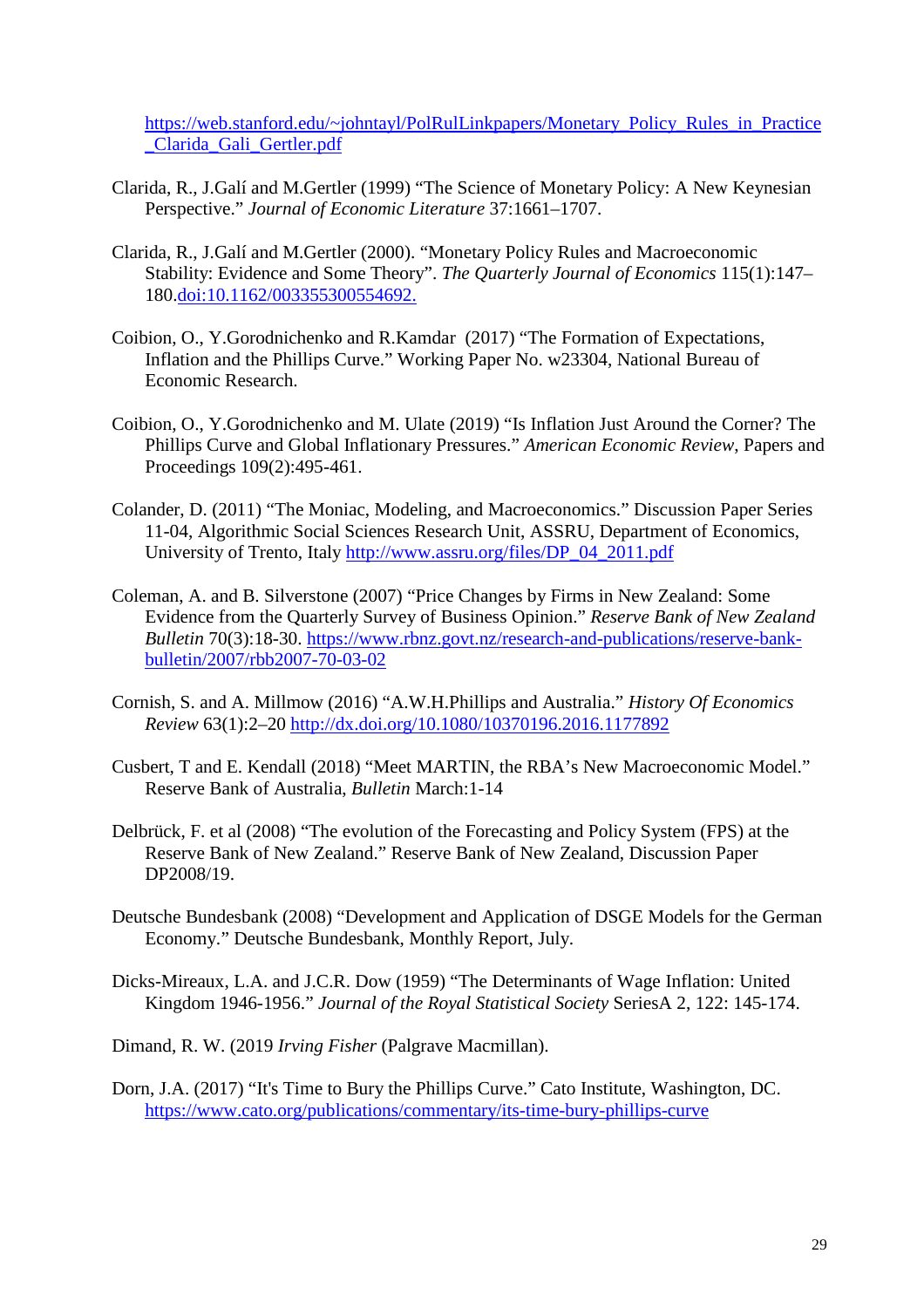https://web.stanford.edu/~johntayl/PolRulLinkpapers/Monetary\_Policy\_Rules\_in\_Practice \_Clarida\_Gali\_Gertler.pdf

- Clarida, R., J.Galí and M.Gertler (1999) "The Science of Monetary Policy: A New Keynesian Perspective." *Journal of Economic Literature* 37:1661–1707.
- Clarida, R., J.Galí and M.Gertler (2000). "Monetary Policy Rules and Macroeconomic Stability: Evidence and Some Theory". *[The Quarterly Journal of Economics](https://en.wikipedia.org/wiki/The_Quarterly_Journal_of_Economics)* 115(1):147– 180[.doi:](https://en.wikipedia.org/wiki/Doi_(identifier))[10.1162/003355300554692.](https://doi.org/10.1162%2F003355300554692)
- Coibion, O., Y.Gorodnichenko and R.Kamdar (2017) "The Formation of Expectations, Inflation and the Phillips Curve." Working Paper No. w23304, National Bureau of Economic Research.
- Coibion, O., Y.Gorodnichenko and M. Ulate (2019) "Is Inflation Just Around the Corner? The Phillips Curve and Global Inflationary Pressures." *American Economic Review*, Papers and Proceedings 109(2):495-461.
- Colander, D. (2011) "The Moniac, Modeling, and Macroeconomics." Discussion Paper Series 11-04, Algorithmic Social Sciences Research Unit, ASSRU, Department of Economics, University of Trento, Italy http://www.assru.org/files/DP\_04\_2011.pdf
- Coleman, A. and B. Silverstone (2007) "Price Changes by Firms in New Zealand: Some Evidence from the Quarterly Survey of Business Opinion." *Reserve Bank of New Zealand Bulletin* 70(3):18-30. https://www.rbnz.govt.nz/research-and-publications/reserve-bankbulletin/2007/rbb2007-70-03-02
- Cornish, S. and A. Millmow (2016) "A.W.H.Phillips and Australia." *History Of Economics Review* 63(1):2–20<http://dx.doi.org/10.1080/10370196.2016.1177892>
- Cusbert, T and E. Kendall (2018) "Meet MARTIN, the RBA's New Macroeconomic Model." Reserve Bank of Australia, *Bulletin* March:1-14
- Delbrück, F. et al (2008) "The evolution of the Forecasting and Policy System (FPS) at the Reserve Bank of New Zealand." Reserve Bank of New Zealand, Discussion Paper DP2008/19.
- Deutsche Bundesbank (2008) "Development and Application of DSGE Models for the German Economy." Deutsche Bundesbank, Monthly Report, July.
- Dicks-Mireaux, L.A. and J.C.R. Dow (1959) "The Determinants of Wage Inflation: United Kingdom 1946-1956." *Journal of the Royal Statistical Society* SeriesA 2, 122: 145-174.
- Dimand, R. W. (2019 *Irving Fisher* (Palgrave Macmillan).
- Dorn, J.A. (2017) "It's Time to Bury the Phillips Curve." Cato Institute, Washington, DC. <https://www.cato.org/publications/commentary/its-time-bury-phillips-curve>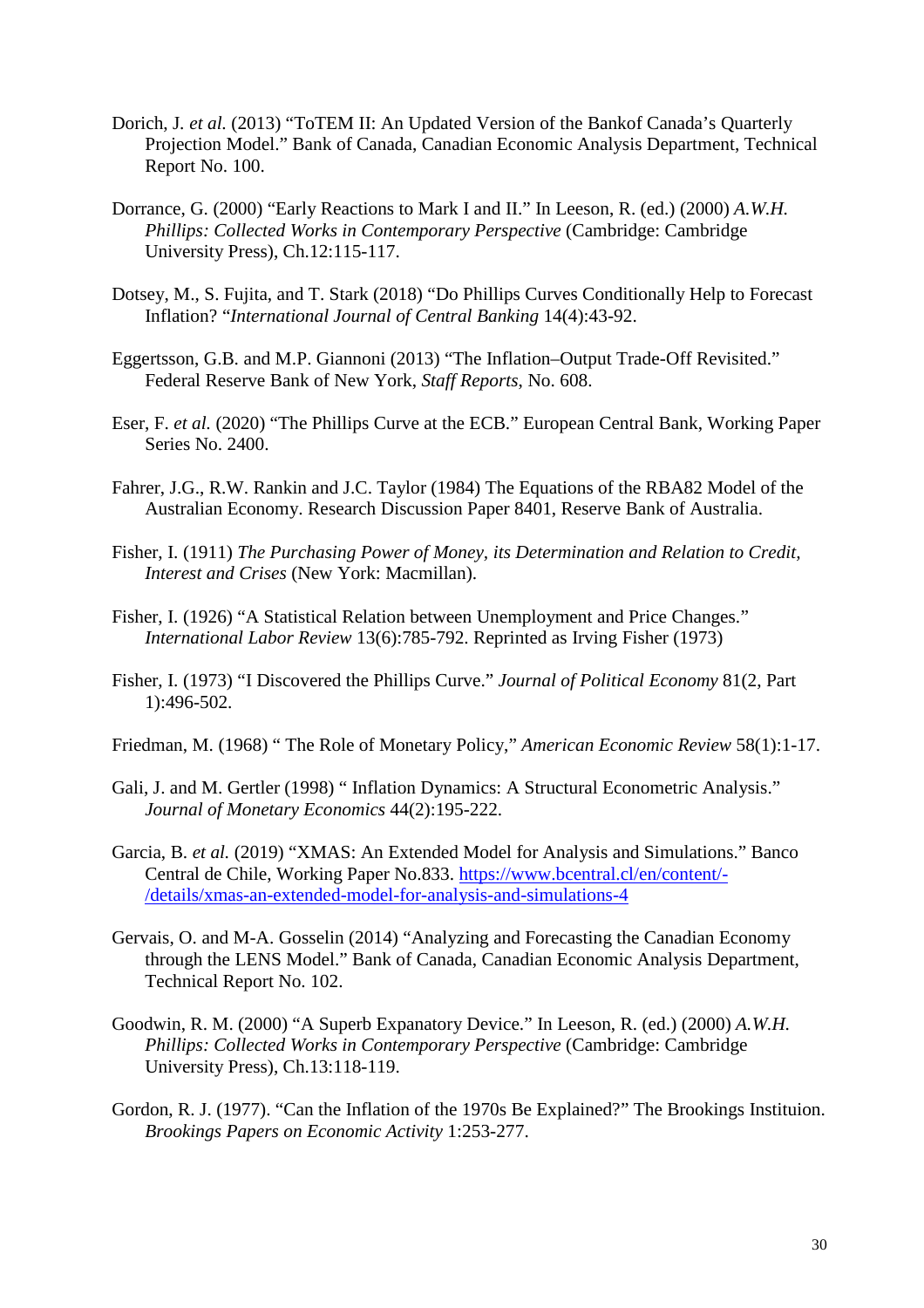- Dorich, J*. et al.* (2013) "ToTEM II: An Updated Version of the Bankof Canada's Quarterly Projection Model." Bank of Canada, Canadian Economic Analysis Department, Technical Report No. 100.
- Dorrance, G. (2000) "Early Reactions to Mark I and II." In Leeson, R. (ed.) (2000) *A.W.H. Phillips: Collected Works in Contemporary Perspective (Cambridge: Cambridge)* University Press), Ch.12:115-117.
- Dotsey, M., S. Fujita, and T. Stark (2018) "Do Phillips Curves Conditionally Help to Forecast Inflation? "*International Journal of Central Banking* 14(4):43-92.
- Eggertsson, G.B. and M.P. Giannoni (2013) "The Inflation–Output Trade-Off Revisited." Federal Reserve Bank of New York, *Staff Reports*, No. 608.
- Eser, F. *et al.* (2020) "The Phillips Curve at the ECB." European Central Bank, Working Paper Series No. 2400.
- Fahrer, J.G., R.W. Rankin and J.C. Taylor (1984) The Equations of the RBA82 Model of the Australian Economy. Research Discussion Paper 8401, Reserve Bank of Australia.
- Fisher, I. (1911) *The Purchasing Power of Money, its Determination and Relation to Credit, Interest and Crises* (New York: Macmillan).
- Fisher, I. (1926) "A Statistical Relation between Unemployment and Price Changes." *International Labor Review* 13(6):785-792. Reprinted as Irving Fisher (1973)
- Fisher, I. (1973) "I Discovered the Phillips Curve." *Journal of Political Economy* 81(2, Part 1):496-502.
- Friedman, M. (1968) " The Role of Monetary Policy," *American Economic Review* 58(1):1-17.
- Gali, J. and M. Gertler (1998) " Inflation Dynamics: A Structural Econometric Analysis." *Journal of Monetary Economics* 44(2):195-222.
- Garcia, B. *et al.* (2019) "XMAS: An Extended Model for Analysis and Simulations." Banco Central de Chile, Working Paper No.833. https://www.bcentral.cl/en/content/- /details/xmas-an-extended-model-for-analysis-and-simulations-4
- Gervais, O. and M-A. Gosselin (2014) "Analyzing and Forecasting the Canadian Economy through the LENS Model." Bank of Canada, Canadian Economic Analysis Department, Technical Report No. 102.
- Goodwin, R. M. (2000) "A Superb Expanatory Device." In Leeson, R. (ed.) (2000) *A.W.H. Phillips: Collected Works in Contemporary Perspective* (Cambridge: Cambridge University Press), Ch.13:118-119.
- Gordon, R. J. (1977). "Can the Inflation of the 1970s Be Explained?" The Brookings Instituion. *Brookings Papers on Economic Activity* 1:253-277.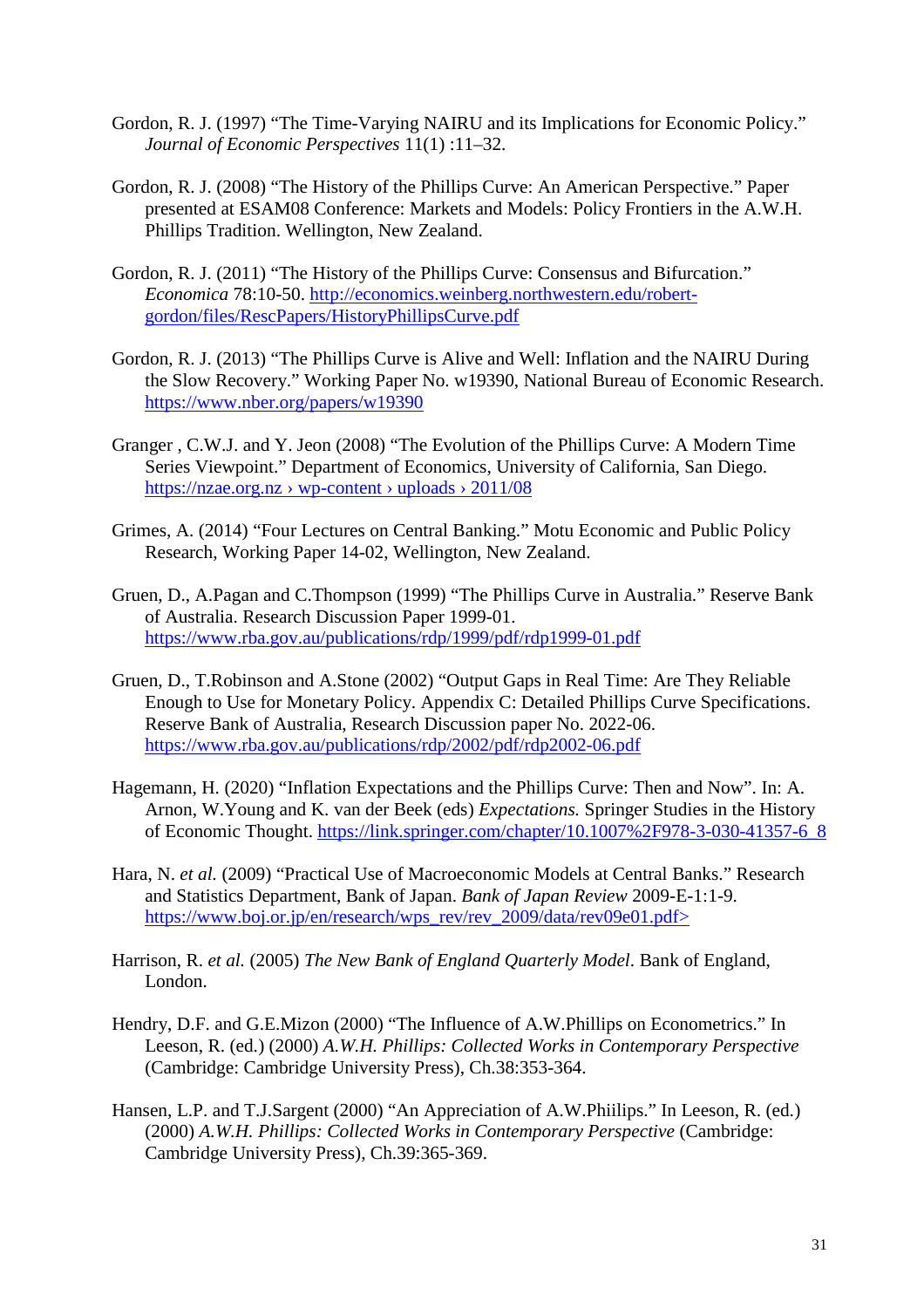- Gordon, R. J. (1997) "The Time-Varying NAIRU and its Implications for Economic Policy." *Journal of Economic Perspectives* 11(1) :11–32.
- Gordon, R. J. (2008) "The History of the Phillips Curve: An American Perspective." Paper presented at ESAM08 Conference: Markets and Models: Policy Frontiers in the A.W.H. Phillips Tradition. Wellington, New Zealand.
- Gordon, R. J. (2011) "The History of the Phillips Curve: Consensus and Bifurcation." *Economica* 78:10-50. http://economics.weinberg.northwestern.edu/robertgordon/files/RescPapers/HistoryPhillipsCurve.pdf
- Gordon, R. J. (2013) "The Phillips Curve is Alive and Well: Inflation and the NAIRU During the Slow Recovery." Working Paper No. w19390, National Bureau of Economic Research. https://www.nber.org/papers/w19390
- Granger , C.W.J. and Y. Jeon (2008) "The Evolution of the Phillips Curve: A Modern Time Series Viewpoint." Department of Economics, University of California, San Diego. https://nzae.org.nz > wp-content > uploads >  $2011/08$
- Grimes, A. (2014) "Four Lectures on Central Banking." Motu Economic and Public Policy Research, Working Paper 14-02, Wellington, New Zealand.
- Gruen, D., A.Pagan and C.Thompson (1999) "The Phillips Curve in Australia." Reserve Bank of Australia. Research Discussion Paper 1999-01. <https://www.rba.gov.au/publications/rdp/1999/pdf/rdp1999-01.pdf>
- Gruen, D., T.Robinson and A.Stone (2002) "Output Gaps in Real Time: Are They Reliable Enough to Use for Monetary Policy. Appendix C: Detailed Phillips Curve Specifications. Reserve Bank of Australia, Research Discussion paper No. 2022-06. https://www.rba.gov.au/publications/rdp/2002/pdf/rdp2002-06.pdf
- Hagemann, H. (2020) "Inflation Expectations and the Phillips Curve: Then and Now". In: A. Arnon, W.Young and K. van der Beek (eds) *Expectations.* Springer Studies in the History of Economic Thought. https://link.springer.com/chapter/10.1007%2F978-3-030-41357-6\_8
- Hara, N. *et al.* (2009) "Practical Use of Macroeconomic Models at Central Banks." Research and Statistics Department, Bank of Japan. *Bank of Japan Review* 2009-E-1:1-9. https://www.boj.or.jp/en/research/wps\_rev/rev\_2009/data/rev09e01.pdf>
- Harrison, R. *et al.* (2005) *The New Bank of England Quarterly Model*. Bank of England, London.
- Hendry, D.F. and G.E.Mizon (2000) "The Influence of A.W.Phillips on Econometrics." In Leeson, R. (ed.) (2000) *A.W.H. Phillips: Collected Works in Contemporary Perspective*  (Cambridge: Cambridge University Press), Ch.38:353-364.
- Hansen, L.P. and T.J.Sargent (2000) "An Appreciation of A.W.Phiilips." In Leeson, R. (ed.) (2000) *A.W.H. Phillips: Collected Works in Contemporary Perspective* (Cambridge: Cambridge University Press), Ch.39:365-369.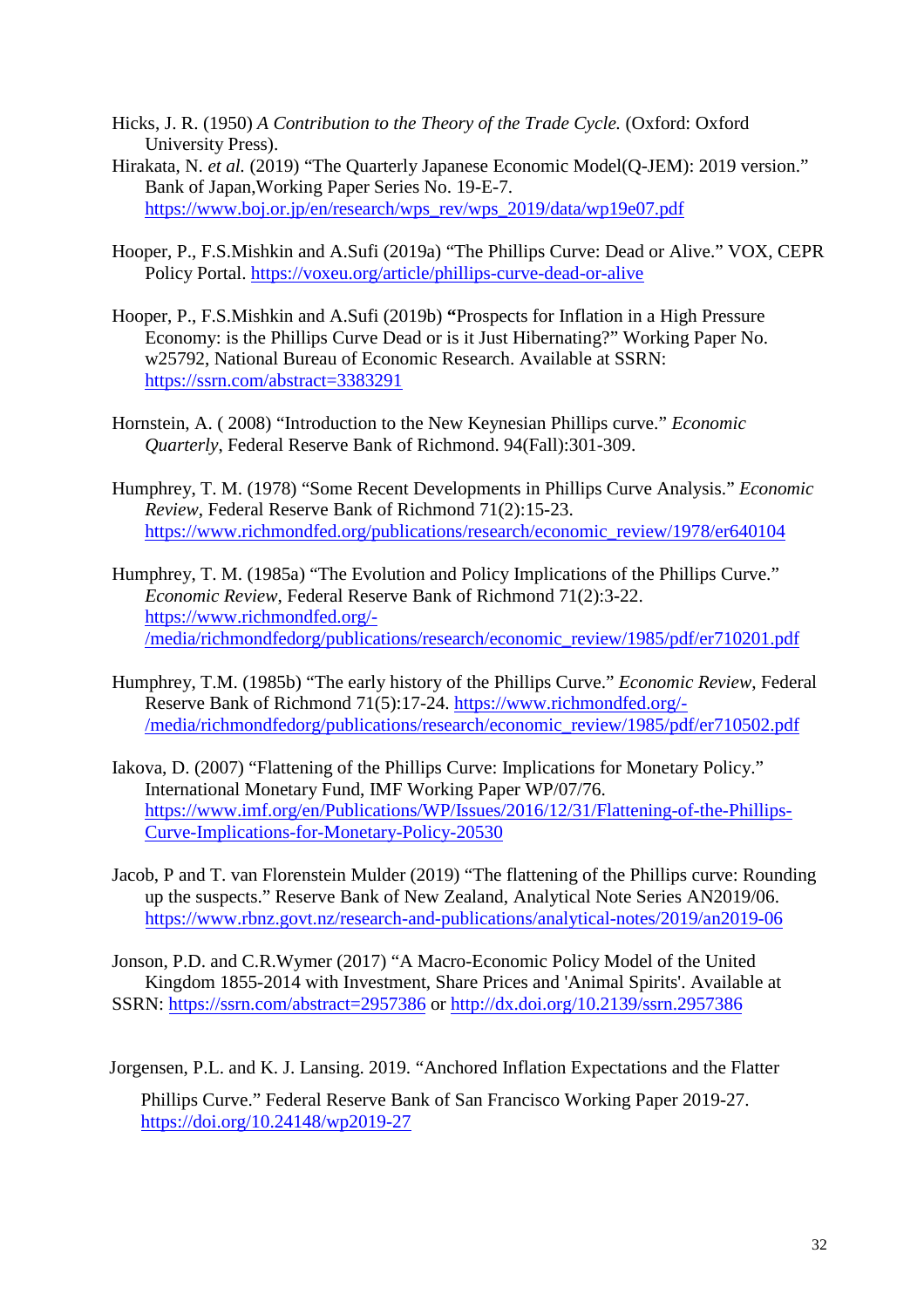- Hicks, J. R. (1950) *A Contribution to the Theory of the Trade Cycle.* (Oxford: Oxford University Press).
- Hirakata, N. *et al.* (2019) "The Quarterly Japanese Economic Model(Q-JEM): 2019 version." Bank of Japan,Working Paper Series No. 19-E-7. https://www.boj.or.jp/en/research/wps\_rev/wps\_2019/data/wp19e07.pdf
- Hooper, P., F.S.Mishkin and A.Sufi (2019a) "The Phillips Curve: Dead or Alive." VOX, CEPR Policy Portal.<https://voxeu.org/article/phillips-curve-dead-or-alive>
- Hooper, P., F.S.Mishkin and A.Sufi (2019b) **"**Prospects for Inflation in a High Pressure Economy: is the Phillips Curve Dead or is it Just Hibernating?" Working Paper No. w25792, National Bureau of Economic Research. Available at SSRN: <https://ssrn.com/abstract=3383291>
- Hornstein, A. ( 2008) ["Introduction to the New Keynesian Phillips curve.](https://ideas.repec.org/a/fip/fedreq/y2008ifallp301-309nv.94no.4.html)" *[Economic](https://ideas.repec.org/s/fip/fedreq.html)  [Quarterly](https://ideas.repec.org/s/fip/fedreq.html)*, Federal Reserve Bank of Richmond. 94(Fall):301-309.
- Humphrey, T. M. (1978) "Some Recent Developments in [Phillips Curve](https://ideas.repec.org/a/fip/fedrer/y1985isepp17-24nv.71no.5.html) Analysis." *[Economic](https://ideas.repec.org/s/fip/fedrer.html)  [Review](https://ideas.repec.org/s/fip/fedrer.html)*, Federal Reserve Bank of Richmond 71(2):15-23. https://www.richmondfed.org/publications/research/economic\_review/1978/er640104
- Humphrey, T. M. (1985a) ["The Evolution and Policy Implications of the Phillips Curve.](https://ideas.repec.org/a/fip/fedrer/y1985isepp17-24nv.71no.5.html)" *[Economic Review](https://ideas.repec.org/s/fip/fedrer.html)*, Federal Reserve Bank of Richmond 71(2):3-22. https://www.richmondfed.org/- /media/richmondfedorg/publications/research/economic\_review/1985/pdf/er710201.pdf
- Humphrey, T.M. (1985b) ["The early history of the Phillips Curve.](https://ideas.repec.org/a/fip/fedrer/y1985isepp17-24nv.71no.5.html)" *[Economic Review](https://ideas.repec.org/s/fip/fedrer.html)*, Federal Reserve Bank of Richmond 71(5):17-24. https://www.richmondfed.org/- /media/richmondfedorg/publications/research/economic\_review/1985/pdf/er710502.pdf
- Iakova, D. (2007) "Flattening of the Phillips Curve: Implications for Monetary Policy." International Monetary Fund, IMF Working Paper WP/07/76. https://www.imf.org/en/Publications/WP/Issues/2016/12/31/Flattening-of-the-Phillips-Curve-Implications-for-Monetary-Policy-20530
- Jacob, P and T. van Florenstein Mulder (2019) "The flattening of the Phillips curve: Rounding up the suspects." Reserve Bank of New Zealand, Analytical Note Series AN2019/06. https://www.rbnz.govt.nz/research-and-publications/analytical-notes/2019/an2019-06

Jonson, P.D. and C.R.Wymer (2017) "A Macro-Economic Policy Model of the United Kingdom 1855-2014 with Investment, Share Prices and 'Animal Spirits'. Available at SSRN: <https://ssrn.com/abstract=2957386> or http[://dx.doi.org/10.2139/ssrn.2957386](https://dx.doi.org/10.2139/ssrn.2957386) 

Jorgensen, P.L. and K. J. Lansing. 2019. "Anchored Inflation Expectations and the Flatter

Phillips Curve." Federal Reserve Bank of San Francisco Working Paper 2019-27. https://doi.org/10.24148/wp2019-27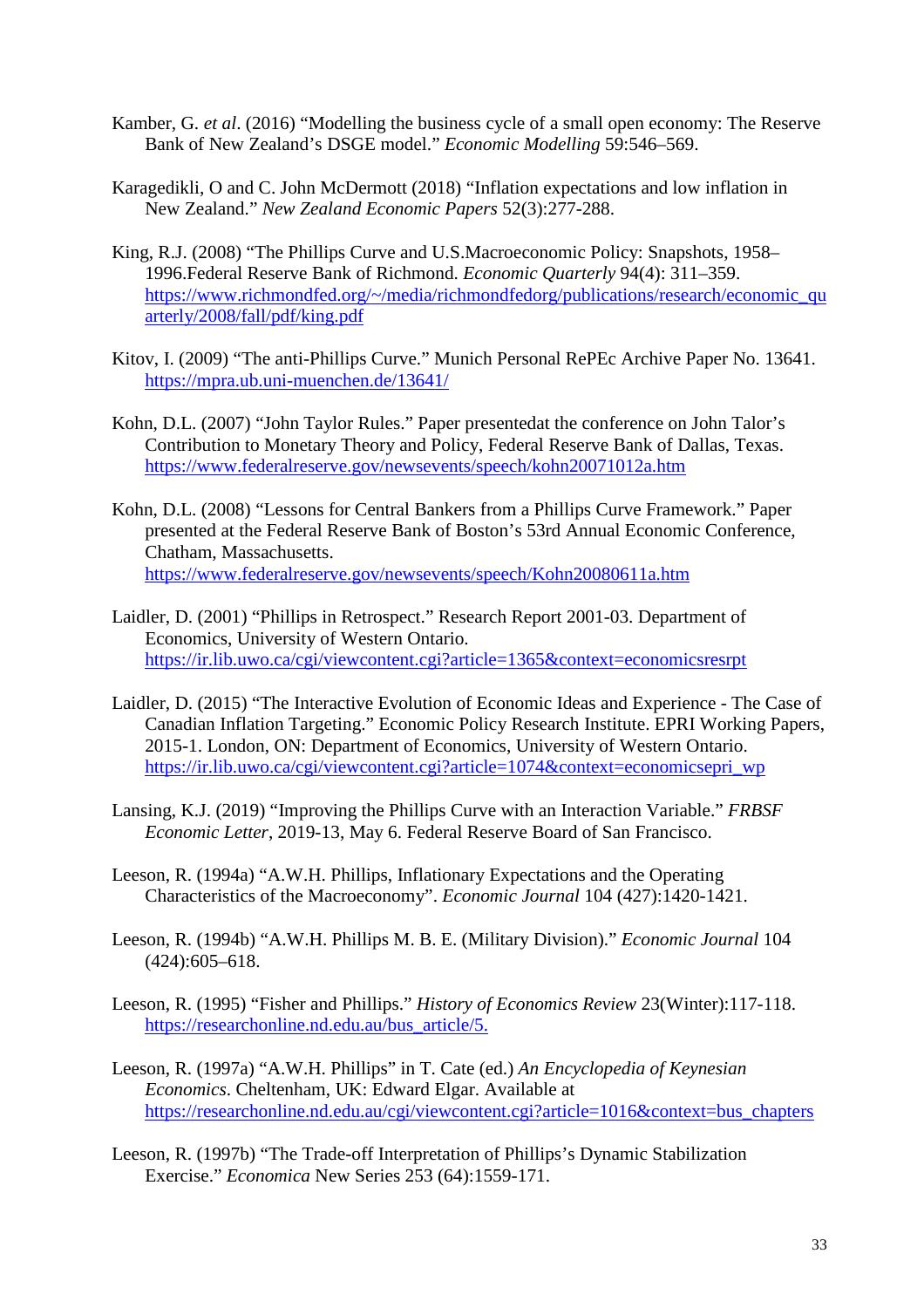- Kamber, G. *et al*. (2016) "Modelling the business cycle of a small open economy: The Reserve Bank of New Zealand's DSGE model." *Economic Modelling* 59:546–569.
- Karagedikli, O and C. John McDermott (2018) "Inflation expectations and low inflation in New Zealand." *New Zealand Economic Papers* 52(3):277-288.
- King, R.J. (2008) "The Phillips Curve and U.S.Macroeconomic Policy: Snapshots, 1958– 1996.Federal Reserve Bank of Richmond. *Economic Quarterly* 94(4): 311–359. https://www.richmondfed.org/~/media/richmondfedorg/publications/research/economic\_qu arterly/2008/fall/pdf/king.pdf
- Kitov, I. (2009) "The anti-Phillips Curve." Munich Personal RePEc Archive Paper No. 13641. <https://mpra.ub.uni-muenchen.de/13641/>
- Kohn, D.L. (2007) "John Taylor Rules." Paper presentedat the conference on John Talor's Contribution to Monetary Theory and Policy, Federal Reserve Bank of Dallas, Texas. <https://www.federalreserve.gov/newsevents/speech/kohn20071012a.htm>
- Kohn, D.L. (2008) "Lessons for Central Bankers from a Phillips Curve Framework." Paper presented at the Federal Reserve Bank of Boston's 53rd Annual Economic Conference, Chatham, Massachusetts. https://www.federalreserve.gov/newsevents/speech/Kohn20080611a.htm
- Laidler, D. (2001) "Phillips in Retrospect." Research Report 2001-03. Department of Economics, University of Western Ontario. https://ir.lib.uwo.ca/cgi/viewcontent.cgi?article=1365&context=economicsresrpt
- Laidler, D. (2015) "The Interactive Evolution of Economic Ideas and Experience The Case of Canadian Inflation Targeting." Economic Policy Research Institute. EPRI Working Papers, 2015-1. London, ON: Department of Economics, University of Western Ontario. https://ir.lib.uwo.ca/cgi/viewcontent.cgi?article=1074&context=economicsepri\_wp
- Lansing, K.J. (2019) "Improving the Phillips Curve with an Interaction Variable." *FRBSF Economic Letter*, 2019-13, May 6. Federal Reserve Board of San Francisco.
- Leeson, R. (1994a) "A.W.H. Phillips, Inflationary Expectations and the Operating Characteristics of the Macroeconomy". *Economic Journal* 104 (427):1420-1421.
- Leeson, R. (1994b) "A.W.H. Phillips M. B. E. (Military Division)." *Economic Journal* 104 (424):605–618.
- Leeson, R. (1995) "Fisher and Phillips." *History of Economics Review* 23(Winter):117-118. https://researchonline.nd.edu.au/bus\_article/5.
- Leeson, R. (1997a) "A.W.H. Phillips" in T. Cate (ed.) *An Encyclopedia of Keynesian Economics*. Cheltenham, UK: Edward Elgar. Available at https://researchonline.nd.edu.au/cgi/viewcontent.cgi?article=1016&context=bus\_chapters
- Leeson, R. (1997b) "The Trade-off Interpretation of Phillips's Dynamic Stabilization Exercise." *Economica* New Series 253 (64):1559-171.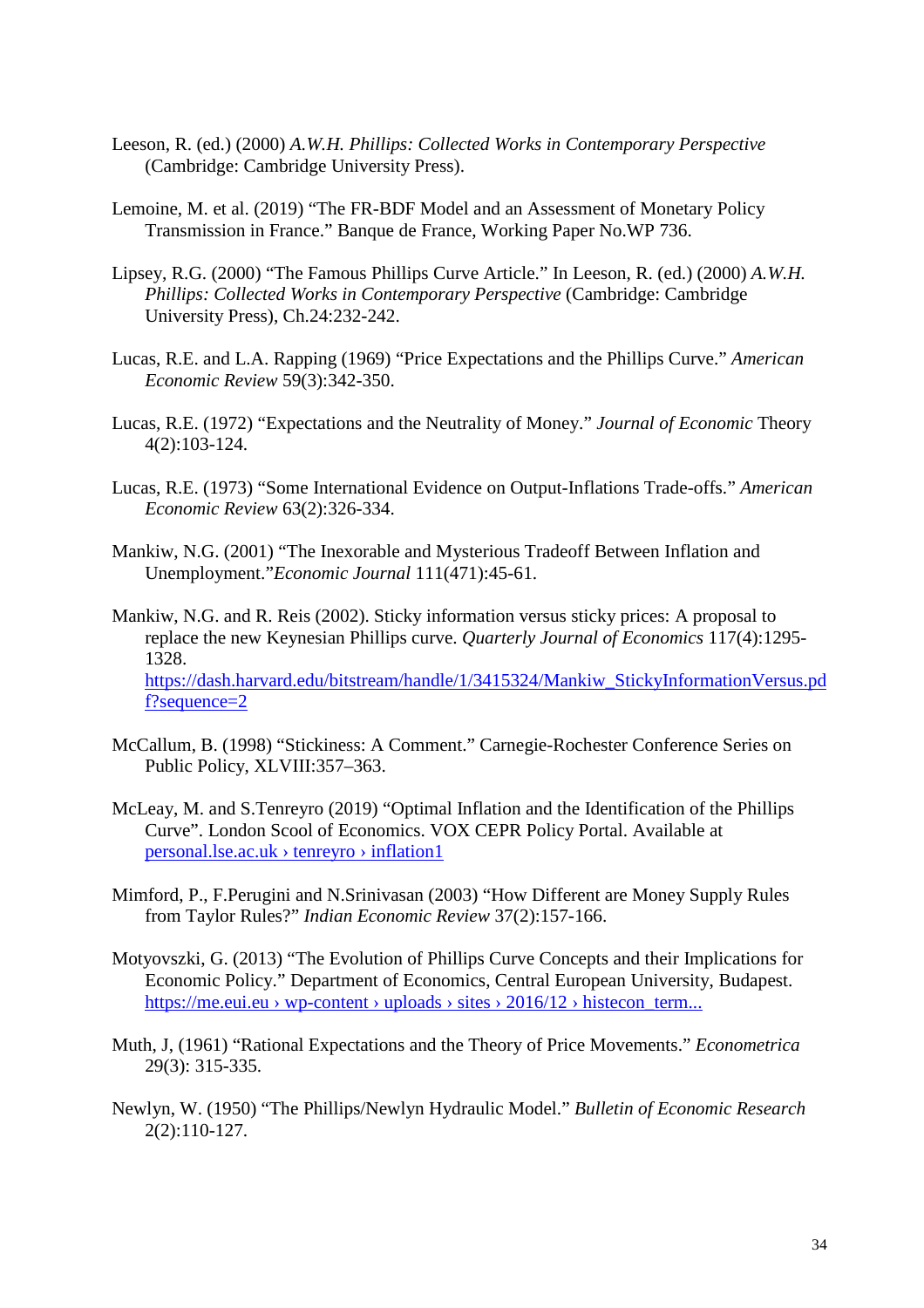- Leeson, R. (ed.) (2000) *A.W.H. Phillips: Collected Works in Contemporary Perspective*  (Cambridge: Cambridge University Press).
- Lemoine, M. et al. (2019) "The FR-BDF Model and an Assessment of Monetary Policy Transmission in France." Banque de France, Working Paper No.WP 736.
- Lipsey, R.G. (2000) "The Famous Phillips Curve Article." In Leeson, R. (ed.) (2000) *A.W.H. Phillips: Collected Works in Contemporary Perspective* (Cambridge: Cambridge University Press), Ch.24:232-242.
- Lucas, R.E. and L.A. Rapping (1969) ["Price Expectations and the Phillips Curve.](https://ideas.repec.org/a/aea/aecrev/v59y1969i3p342-50.html)" *[American](https://ideas.repec.org/s/aea/aecrev.html)  [Economic Review](https://ideas.repec.org/s/aea/aecrev.html)* 59(3):342-350.
- Lucas, R.E. (1972) "Expectations and the Neutrality of Money." *Journal of Economic* Theory 4(2):103-124.
- Lucas, R.E. (1973) "Some International Evidence on Output-Inflations Trade-offs." *American Economic Review* 63(2):326-334.
- Mankiw, N.G. (2001) "The Inexorable and Mysterious Tradeoff Between Inflation and Unemployment."*Economic Journal* 111(471):45-61.
- Mankiw, N.G. and R. Reis (2002). Sticky information versus sticky prices: A proposal to replace the new Keynesian Phillips curve. *Quarterly Journal of Economics* 117(4):1295- 1328. https://dash.harvard.edu/bitstream/handle/1/3415324/Mankiw\_StickyInformationVersus.pd f?sequence=2
- McCallum, B. (1998) "Stickiness: A Comment." Carnegie-Rochester Conference Series on Public Policy, XLVIII:357–363.
- McLeay, M. and S.Tenreyro (2019) "Optimal Inflation and the Identification of the Phillips Curve". London Scool of Economics. VOX CEPR Policy Portal. Available at personal.lse.ac.uk › tenreyro › inflation1
- Mimford, P., F.Perugini and N.Srinivasan (2003) "How Different are Money Supply Rules from Taylor Rules?" *Indian Economic Review* 37(2):157-166.
- Motyovszki, G. (2013) "The Evolution of Phillips Curve Concepts and their Implications for Economic Policy." Department of Economics, Central European University, Budapest. https://me.eui.eu › wp-content › uploads › sites › 2016/12 › histecon\_term...
- Muth, J, (1961) "Rational Expectations and the Theory of Price Movements." *Econometrica* 29(3): 315-335.
- Newlyn, W. (1950) "The Phillips/Newlyn Hydraulic Model." *Bulletin of Economic Research* 2(2):110-127.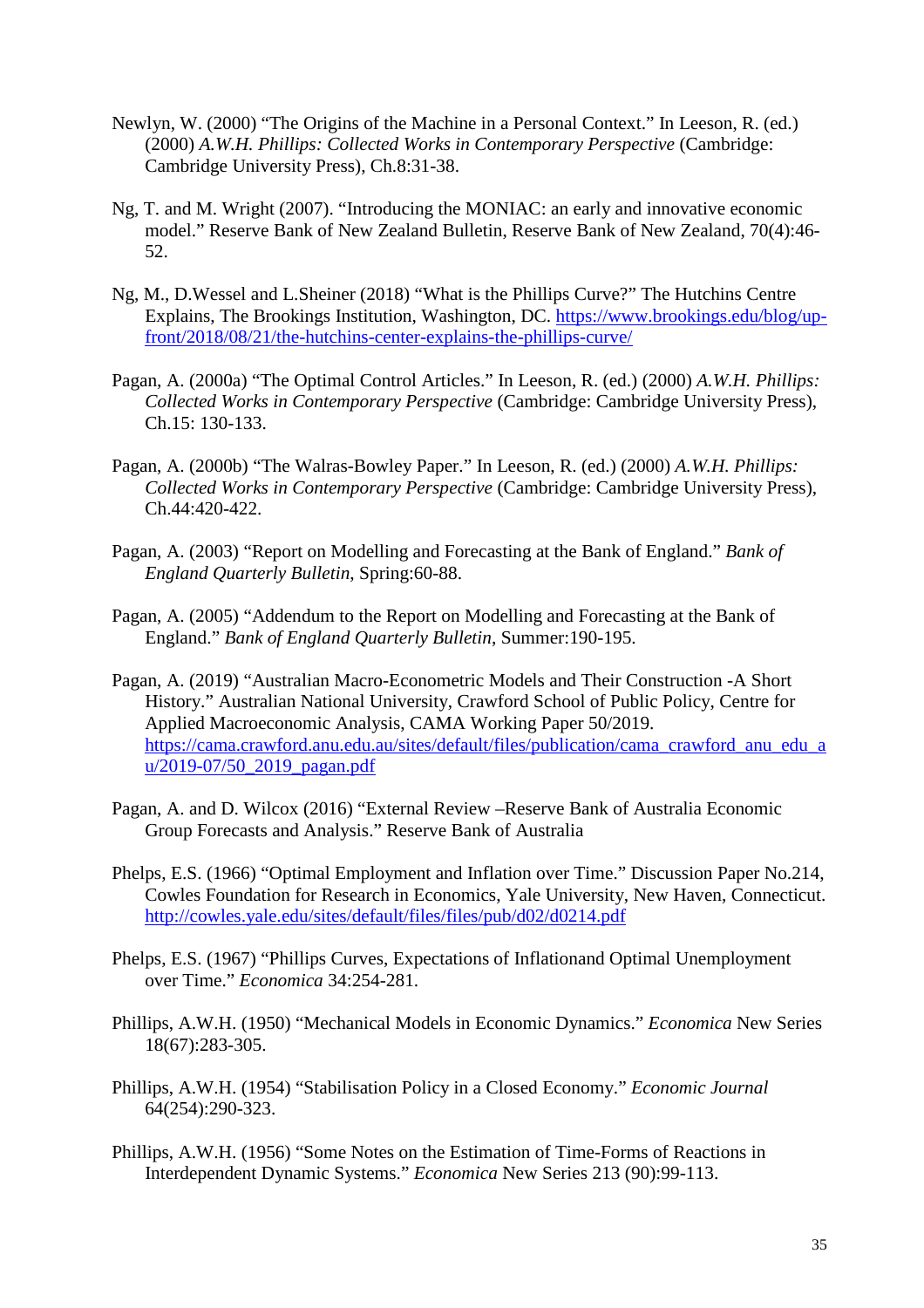- Newlyn, W. (2000) "The Origins of the Machine in a Personal Context." In Leeson, R. (ed.) (2000) *A.W.H. Phillips: Collected Works in Contemporary Perspective* (Cambridge: Cambridge University Press), Ch.8:31-38.
- Ng, T. and M. Wright (2007). ["Introducing the MONIAC: an early and innovative economic](https://ideas.repec.org/a/nzb/nzbbul/december20075.html)  [model.](https://ideas.repec.org/a/nzb/nzbbul/december20075.html)" [Reserve Bank of New Zealand Bulletin,](https://ideas.repec.org/s/nzb/nzbbul.html) Reserve Bank of New Zealand, 70(4):46- 52.
- Ng, M., D.Wessel and L.Sheiner (2018) "What is the Phillips Curve?" The Hutchins Centre Explains, The Brookings Institution, Washington, DC. https://www.brookings.edu/blog/upfront/2018/08/21/the-hutchins-center-explains-the-phillips-curve/
- Pagan, A. (2000a) "The Optimal Control Articles." In Leeson, R. (ed.) (2000) *A.W.H. Phillips: Collected Works in Contemporary Perspective* (Cambridge: Cambridge University Press), Ch.15: 130-133.
- Pagan, A. (2000b) "The Walras-Bowley Paper." In Leeson, R. (ed.) (2000) *A.W.H. Phillips: Collected Works in Contemporary Perspective* (Cambridge: Cambridge University Press), Ch.44:420-422.
- Pagan, A. (2003) "Report on Modelling and Forecasting at the Bank of England." *Bank of England Quarterly Bulletin*, Spring:60-88.
- Pagan, A. (2005) "Addendum to the Report on Modelling and Forecasting at the Bank of England." *Bank of England Quarterly Bulletin*, Summer:190-195.
- Pagan, A. (2019) "Australian Macro-Econometric Models and Their Construction -A Short History." Australian National University, Crawford School of Public Policy, Centre for Applied Macroeconomic Analysis, CAMA Working Paper 50/2019. https://cama.crawford.anu.edu.au/sites/default/files/publication/cama\_crawford\_anu\_edu\_a u/2019-07/50\_2019\_pagan.pdf
- Pagan, A. and D. Wilcox (2016) "External Review –Reserve Bank of Australia Economic Group Forecasts and Analysis." Reserve Bank of Australia
- Phelps, E.S. (1966) "Optimal Employment and Inflation over Time." Discussion Paper No.214, Cowles Foundation for Research in Economics, Yale University, New Haven, Connecticut. http://cowles.yale.edu/sites/default/files/files/pub/d02/d0214.pdf
- Phelps, E.S. (1967) "Phillips Curves, Expectations of Inflationand Optimal Unemployment over Time." *Economica* 34:254-281.
- Phillips, A.W.H. (1950) "Mechanical Models in Economic Dynamics." *Economica* New Series 18(67):283-305.
- Phillips, A.W.H. (1954) "Stabilisation Policy in a Closed Economy." *Economic Journal* 64(254):290-323.
- Phillips, A.W.H. (1956) "Some Notes on the Estimation of Time-Forms of Reactions in Interdependent Dynamic Systems." *Economica* New Series 213 (90):99-113.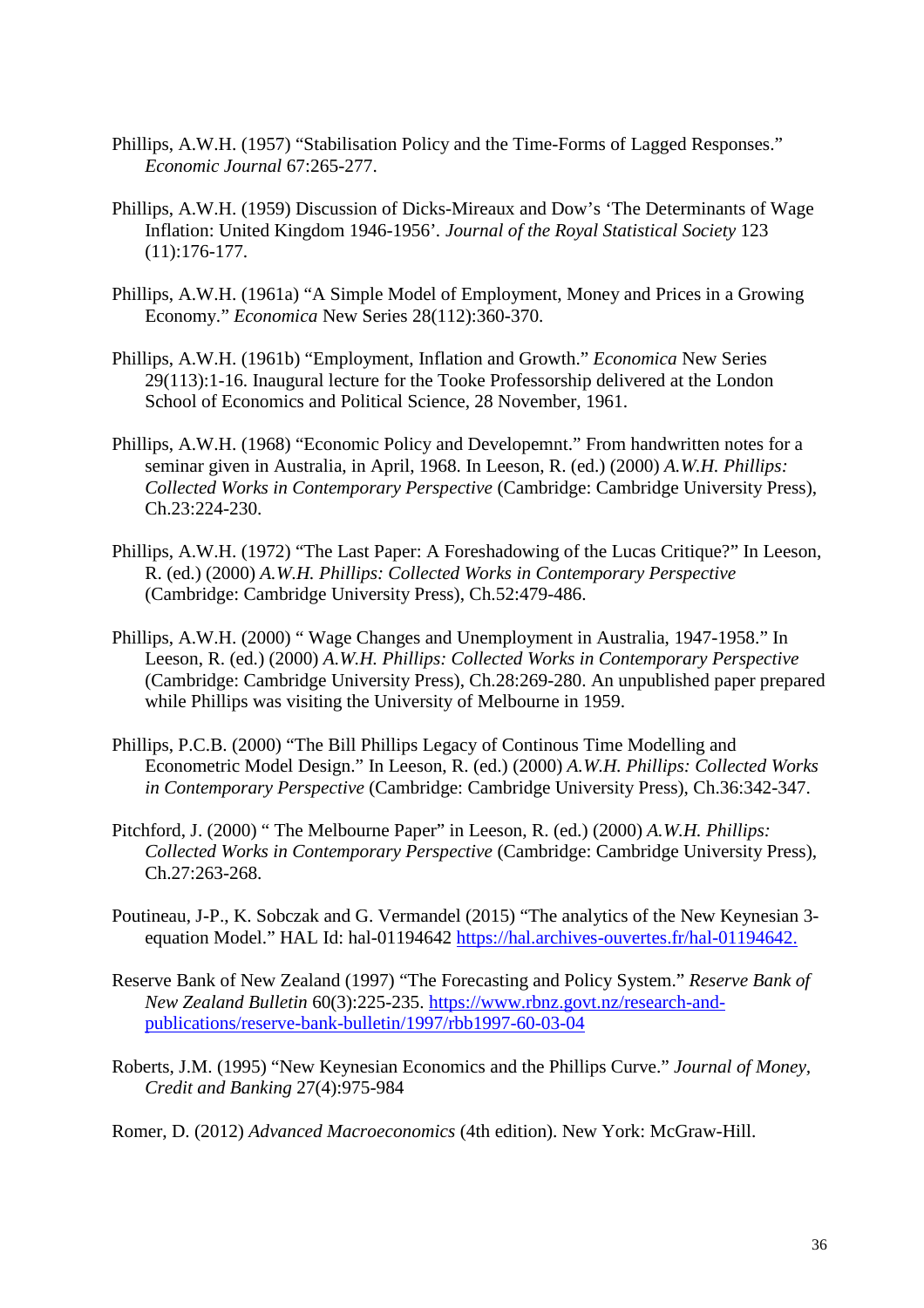- Phillips, A.W.H. (1957) "Stabilisation Policy and the Time-Forms of Lagged Responses." *Economic Journal* 67:265-277.
- Phillips, A.W.H. (1959) Discussion of Dicks-Mireaux and Dow's 'The Determinants of Wage Inflation: United Kingdom 1946-1956'*. Journal of the Royal Statistical Society* 123 (11):176-177.
- Phillips, A.W.H. (1961a) "A Simple Model of Employment, Money and Prices in a Growing Economy." *Economica* New Series 28(112):360-370.
- Phillips, A.W.H. (1961b) "Employment, Inflation and Growth." *Economica* New Series 29(113):1-16. Inaugural lecture for the Tooke Professorship delivered at the London School of Economics and Political Science, 28 November, 1961.
- Phillips, A.W.H. (1968) "Economic Policy and Developemnt." From handwritten notes for a seminar given in Australia, in April, 1968. In Leeson, R. (ed.) (2000) *A.W.H. Phillips: Collected Works in Contemporary Perspective* (Cambridge: Cambridge University Press), Ch.23:224-230.
- Phillips, A.W.H. (1972) "The Last Paper: A Foreshadowing of the Lucas Critique?" In Leeson, R. (ed.) (2000) *A.W.H. Phillips: Collected Works in Contemporary Perspective* (Cambridge: Cambridge University Press), Ch.52:479-486.
- Phillips, A.W.H. (2000) " Wage Changes and Unemployment in Australia, 1947-1958." In Leeson, R. (ed.) (2000) *A.W.H. Phillips: Collected Works in Contemporary Perspective*  (Cambridge: Cambridge University Press), Ch.28:269-280. An unpublished paper prepared while Phillips was visiting the University of Melbourne in 1959.
- Phillips, P.C.B. (2000) "The Bill Phillips Legacy of Continous Time Modelling and Econometric Model Design." In Leeson, R. (ed.) (2000) *A.W.H. Phillips: Collected Works in Contemporary Perspective* (Cambridge: Cambridge University Press), Ch.36:342-347.
- Pitchford, J. (2000) " The Melbourne Paper" in Leeson, R. (ed.) (2000) *A.W.H. Phillips: Collected Works in Contemporary Perspective* (Cambridge: Cambridge University Press), Ch.27:263-268.
- Poutineau, J-P., K. Sobczak and G. Vermandel (2015) "The analytics of the New Keynesian 3 equation Model." HAL Id: hal-01194642 [https://hal.archives-ouvertes.fr/hal-01194642.](https://hal.archives-ouvertes.fr/hal-01194642)
- Reserve Bank of New Zealand (1997) "The Forecasting and Policy System." *Reserve Bank of New Zealand Bulletin* 60(3):225-235. https://www.rbnz.govt.nz/research-andpublications/reserve-bank-bulletin/1997/rbb1997-60-03-04
- Roberts, J.M. (1995) "New Keynesian Economics and the Phillips Curve." *Journal of Money, Credit and Banking* 27(4):975-984
- Romer, D. (2012) *Advanced Macroeconomics* (4th edition). New York: McGraw-Hill.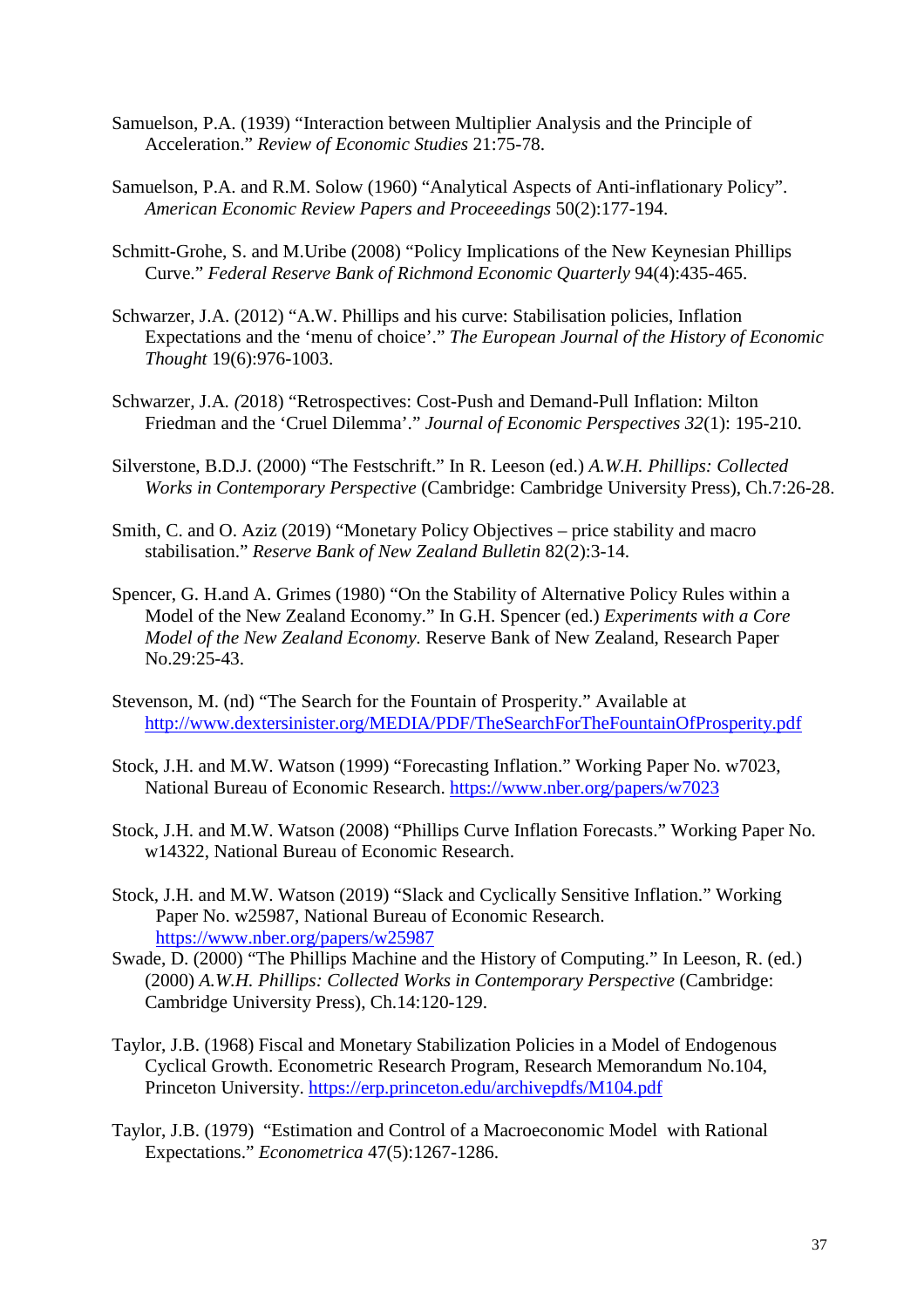- Samuelson, P.A. (1939) "Interaction between Multiplier Analysis and the Principle of Acceleration." *Review of Economic Studies* 21:75-78.
- Samuelson, P.A. and R.M. Solow (1960) "Analytical Aspects of Anti-inflationary Policy". *American Economic Review Papers and Proceeedings* 50(2):177-194.
- Schmitt-Grohe, S. and M.Uribe (2008) "Policy Implications of the New Keynesian Phillips Curve." *Federal Reserve Bank of Richmond Economic Quarterly* 94(4):435-465.
- Schwarzer, J.A. (2012) ["A.W. Phillips and his curve: Stabilisation policies, Inflation](https://ideas.repec.org/a/taf/eujhet/v19y2012i6p976-1003.html)  [Expectations and the 'menu of choice'.](https://ideas.repec.org/a/taf/eujhet/v19y2012i6p976-1003.html)" *[The European Journal of the History of Economic](https://ideas.repec.org/s/taf/eujhet.html)  [Thought](https://ideas.repec.org/s/taf/eujhet.html)* 19(6):976-1003.
- Schwarzer*,* J.A*. (*2018) "Retrospectives: Cost-Push and Demand-Pull Inflation: Milton Friedman and the 'Cruel Dilemma'." *Journal of Economic Perspectives 32*(1): 195-210.
- Silverstone, B.D.J. (2000) "The Festschrift." In R. Leeson (ed.) *A.W.H. Phillips: Collected Works in Contemporary Perspective* (Cambridge: Cambridge University Press), Ch.7:26-28.
- Smith, C. and O. Aziz (2019) "Monetary Policy Objectives price stability and macro stabilisation." *Reserve Bank of New Zealand Bulletin* 82(2):3-14.
- Spencer, G. H.and A. Grimes (1980) "On the Stability of Alternative Policy Rules within a Model of the New Zealand Economy." In G.H. Spencer (ed.) *Experiments with a Core Model of the New Zealand Economy.* Reserve Bank of New Zealand, Research Paper No.29:25-43.
- Stevenson, M. (nd) "The Search for the Fountain of Prosperity." Available at http://www.dextersinister.org/MEDIA/PDF/TheSearchForTheFountainOfProsperity.pdf
- Stock, J.H. and M.W. Watson (1999) "Forecasting Inflation." Working Paper No. w7023, National Bureau of Economic Research. https://www.nber.org/papers/w7023
- Stock, J.H. and M.W. Watson (2008) "Phillips Curve Inflation Forecasts." Working Paper No. w14322, National Bureau of Economic Research.
- Stock, J.H. and M.W. Watson (2019) "Slack and Cyclically Sensitive Inflation." Working Paper No. w25987, National Bureau of Economic Research. https://www.nber.org/papers/w25987
- Swade, D. (2000) "The Phillips Machine and the History of Computing." In Leeson, R. (ed.) (2000) *A.W.H. Phillips: Collected Works in Contemporary Perspective* (Cambridge: Cambridge University Press), Ch.14:120-129.
- Taylor, J.B. (1968) Fiscal and Monetary Stabilization Policies in a Model of Endogenous Cyclical Growth. Econometric Research Program, Research Memorandum No.104, Princeton University. https://erp.princeton.edu/archivepdfs/M104.pdf
- Taylor, J.B. (1979) "Estimation and Control of a Macroeconomic Model with Rational Expectations." *Econometrica* 47(5):1267-1286.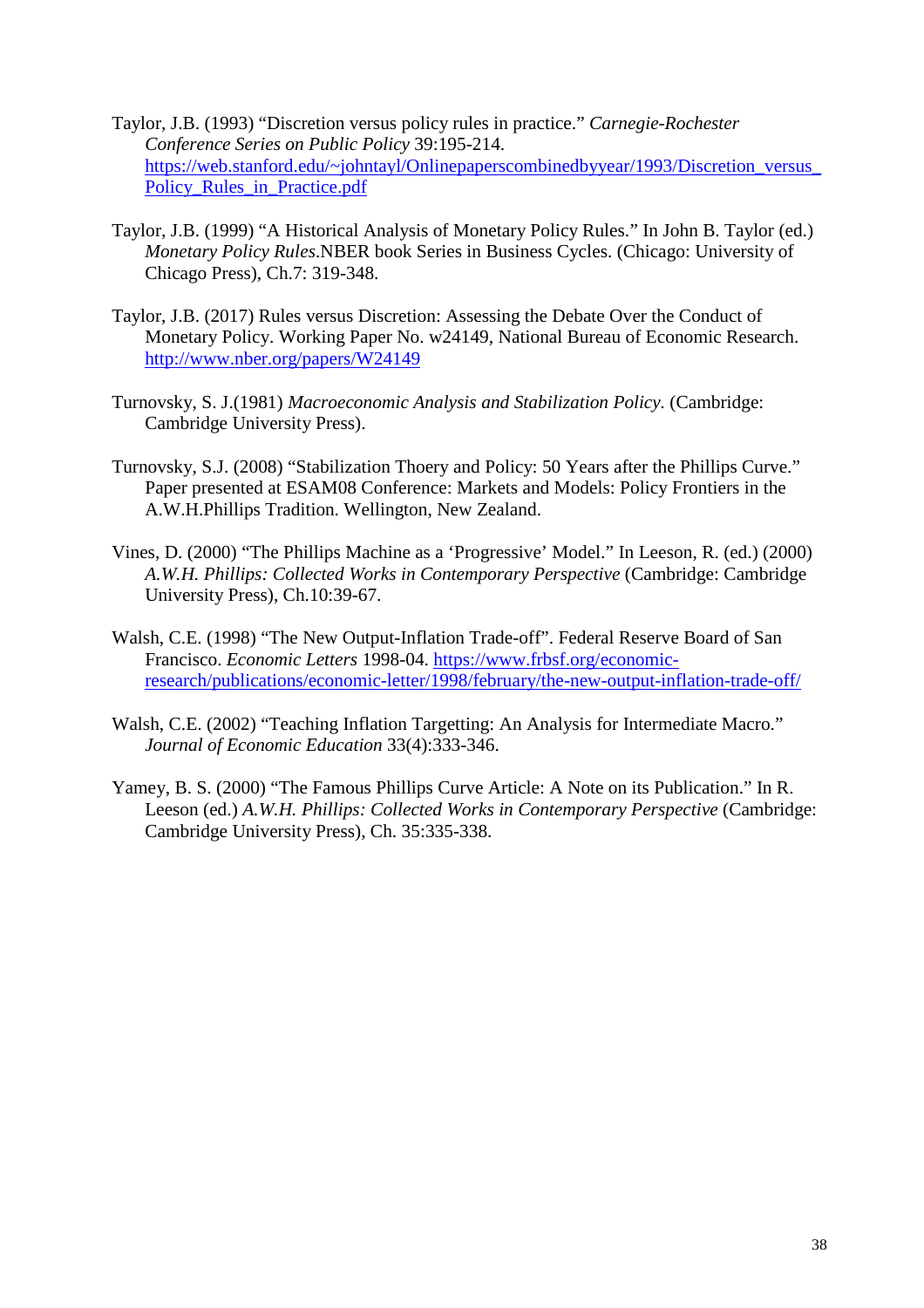- Taylor, J.B. (1993) "Discretion versus policy rules in practice." *Carnegie-Rochester Conference Series on Public Policy* 39:195-214. https://web.stanford.edu/~johntayl/Onlinepaperscombinedbyyear/1993/Discretion\_versus\_ Policy Rules in Practice.pdf
- Taylor, J.B. (1999) "A Historical Analysis of Monetary Policy Rules." In John B. Taylor (ed.) *Monetary Policy Rules*.NBER book Series in Business Cycles. (Chicago: University of Chicago Press), Ch.7: 319-348.
- Taylor, J.B. (2017) Rules versus Discretion: Assessing the Debate Over the Conduct of Monetary Policy. Working Paper No. w24149, National Bureau of Economic Research. http://www.nber.org/papers/W24149
- Turnovsky, S. J.(1981) *Macroeconomic Analysis and Stabilization Policy.* (Cambridge: Cambridge University Press).
- Turnovsky, S.J. (2008) "Stabilization Thoery and Policy: 50 Years after the Phillips Curve." Paper presented at ESAM08 Conference: Markets and Models: Policy Frontiers in the A.W.H.Phillips Tradition. Wellington, New Zealand.
- Vines, D. (2000) "The Phillips Machine as a 'Progressive' Model." In Leeson, R. (ed.) (2000) *A.W.H. Phillips: Collected Works in Contemporary Perspective* (Cambridge: Cambridge University Press), Ch.10:39-67.
- Walsh, C.E. (1998) "The New Output-Inflation Trade-off". Federal Reserve Board of San Francisco. *Economic Letters* 1998-04. https://www.frbsf.org/economicresearch/publications/economic-letter/1998/february/the-new-output-inflation-trade-off/
- Walsh, C.E. (2002) "Teaching Inflation Targetting: An Analysis for Intermediate Macro." *Journal of Economic Education* 33(4):333-346.
- Yamey, B. S. (2000) "The Famous Phillips Curve Article: A Note on its Publication." In R. Leeson (ed.) *A.W.H. Phillips: Collected Works in Contemporary Perspective* (Cambridge: Cambridge University Press), Ch. 35:335-338.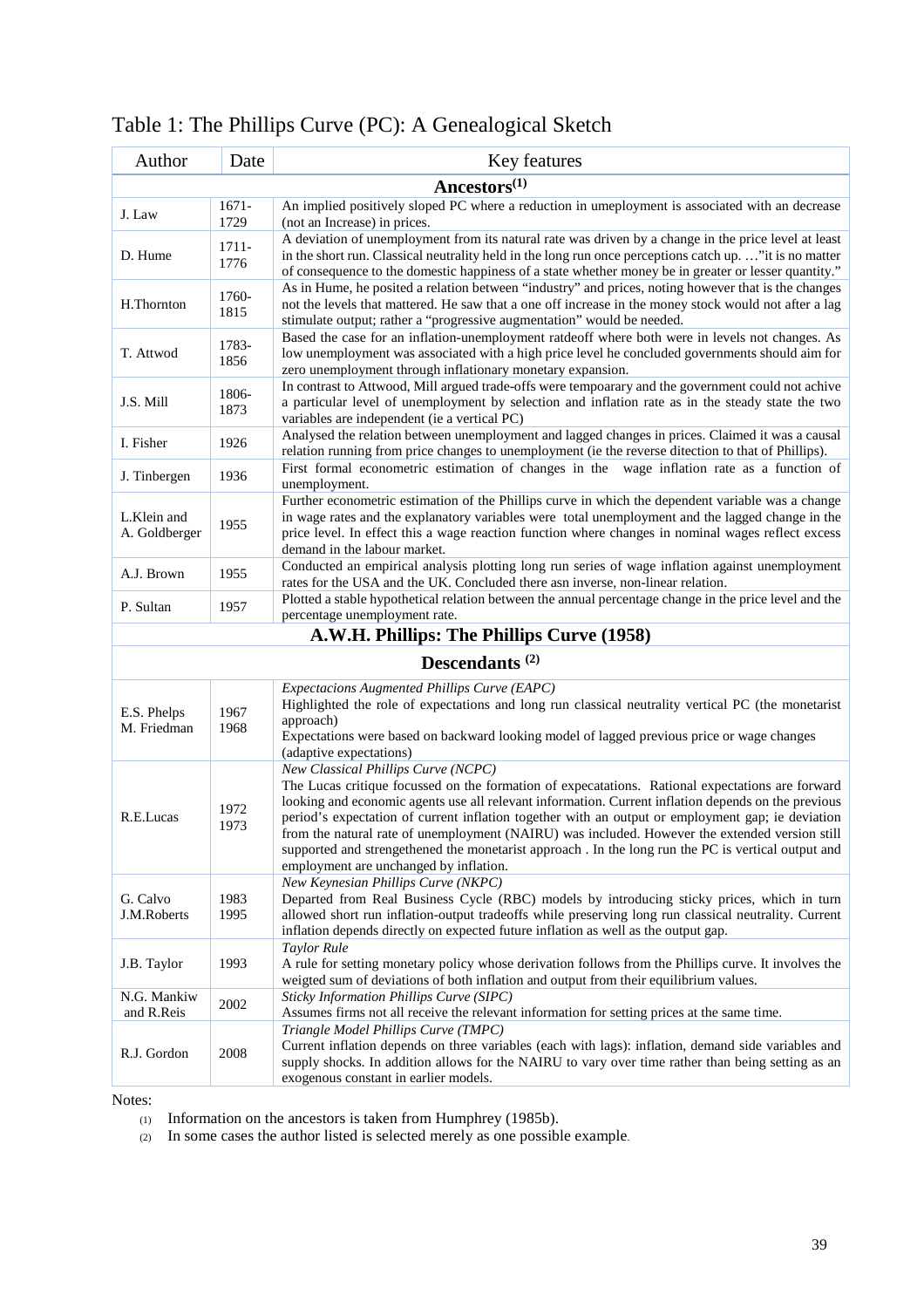| Author                       | Date             | Key features                                                                                                                                                                                                                                                                                                                                |
|------------------------------|------------------|---------------------------------------------------------------------------------------------------------------------------------------------------------------------------------------------------------------------------------------------------------------------------------------------------------------------------------------------|
| Ancestors $(1)$              |                  |                                                                                                                                                                                                                                                                                                                                             |
| J. Law                       | $1671 -$<br>1729 | An implied positively sloped PC where a reduction in umeployment is associated with an decrease<br>(not an Increase) in prices.                                                                                                                                                                                                             |
| D. Hume                      | $1711 -$<br>1776 | A deviation of unemployment from its natural rate was driven by a change in the price level at least<br>in the short run. Classical neutrality held in the long run once perceptions catch up"it is no matter<br>of consequence to the domestic happiness of a state whether money be in greater or lesser quantity."                       |
| H.Thornton                   | 1760-<br>1815    | As in Hume, he posited a relation between "industry" and prices, noting however that is the changes<br>not the levels that mattered. He saw that a one off increase in the money stock would not after a lag<br>stimulate output; rather a "progressive augmentation" would be needed.                                                      |
| T. Attwod                    | 1783-<br>1856    | Based the case for an inflation-unemployment ratdeoff where both were in levels not changes. As<br>low unemployment was associated with a high price level he concluded governments should aim for<br>zero unemployment through inflationary monetary expansion.                                                                            |
| J.S. Mill                    | 1806-<br>1873    | In contrast to Attwood, Mill argued trade-offs were tempoarary and the government could not achive<br>a particular level of unemployment by selection and inflation rate as in the steady state the two<br>variables are independent (ie a vertical PC)                                                                                     |
| I. Fisher                    | 1926             | Analysed the relation between unemployment and lagged changes in prices. Claimed it was a causal<br>relation running from price changes to unemployment (ie the reverse ditection to that of Phillips).                                                                                                                                     |
| J. Tinbergen                 | 1936             | First formal econometric estimation of changes in the wage inflation rate as a function of<br>unemployment.                                                                                                                                                                                                                                 |
| L.Klein and<br>A. Goldberger | 1955             | Further econometric estimation of the Phillips curve in which the dependent variable was a change<br>in wage rates and the explanatory variables were total unemployment and the lagged change in the<br>price level. In effect this a wage reaction function where changes in nominal wages reflect excess<br>demand in the labour market. |
| A.J. Brown                   | 1955             | Conducted an empirical analysis plotting long run series of wage inflation against unemployment<br>rates for the USA and the UK. Concluded there asn inverse, non-linear relation.                                                                                                                                                          |
| P. Sultan                    | 1957             | Plotted a stable hypothetical relation between the annual percentage change in the price level and the<br>percentage unemployment rate.<br>$\mathbf{r}$ , and the set of $\mathbf{r}$<br>$\mathbf{m}$ $\mathbf{m}$ $\mathbf{m}$                                                                                                             |

Table 1: The Phillips Curve (PC): A Genealogical Sketch

# **A.W.H. Phillips: The Phillips Curve (1958)**

# **Descendants (2)**

| E.S. Phelps<br>M. Friedman | 1967<br>1968 | <i>Expectacions Augmented Phillips Curve (EAPC)</i><br>Highlighted the role of expectations and long run classical neutrality vertical PC (the monetarist<br>approach)<br>Expectations were based on backward looking model of lagged previous price or wage changes<br>(adaptive expectations)                                                                                                                                                                                                                                                                                                       |
|----------------------------|--------------|-------------------------------------------------------------------------------------------------------------------------------------------------------------------------------------------------------------------------------------------------------------------------------------------------------------------------------------------------------------------------------------------------------------------------------------------------------------------------------------------------------------------------------------------------------------------------------------------------------|
| R.E.Lucas                  | 1972<br>1973 | New Classical Phillips Curve (NCPC)<br>The Lucas critique focussed on the formation of expecatations. Rational expectations are forward<br>looking and economic agents use all relevant information. Current inflation depends on the previous<br>period's expectation of current inflation together with an output or employment gap; ie deviation<br>from the natural rate of unemployment (NAIRU) was included. However the extended version still<br>supported and strengethened the monetarist approach. In the long run the PC is vertical output and<br>employment are unchanged by inflation. |
| G. Calvo<br>J.M.Roberts    | 1983<br>1995 | New Keynesian Phillips Curve (NKPC)<br>Departed from Real Business Cycle (RBC) models by introducing sticky prices, which in turn<br>allowed short run inflation-output tradeoffs while preserving long run classical neutrality. Current<br>inflation depends directly on expected future inflation as well as the output gap.                                                                                                                                                                                                                                                                       |
| J.B. Taylor                | 1993         | <b>Taylor Rule</b><br>A rule for setting monetary policy whose derivation follows from the Phillips curve. It involves the<br>weigted sum of deviations of both inflation and output from their equilibrium values.                                                                                                                                                                                                                                                                                                                                                                                   |
| N.G. Mankiw<br>and R.Reis  | 2002         | Sticky Information Phillips Curve (SIPC)<br>Assumes firms not all receive the relevant information for setting prices at the same time.                                                                                                                                                                                                                                                                                                                                                                                                                                                               |
| R.J. Gordon                | 2008         | Triangle Model Phillips Curve (TMPC)<br>Current inflation depends on three variables (each with lags): inflation, demand side variables and<br>supply shocks. In addition allows for the NAIRU to vary over time rather than being setting as an<br>exogenous constant in earlier models.                                                                                                                                                                                                                                                                                                             |

Notes:

- (1) Information on the ancestors is taken from Humphrey (1985b).
- (2) In some cases the author listed is selected merely as one possible example.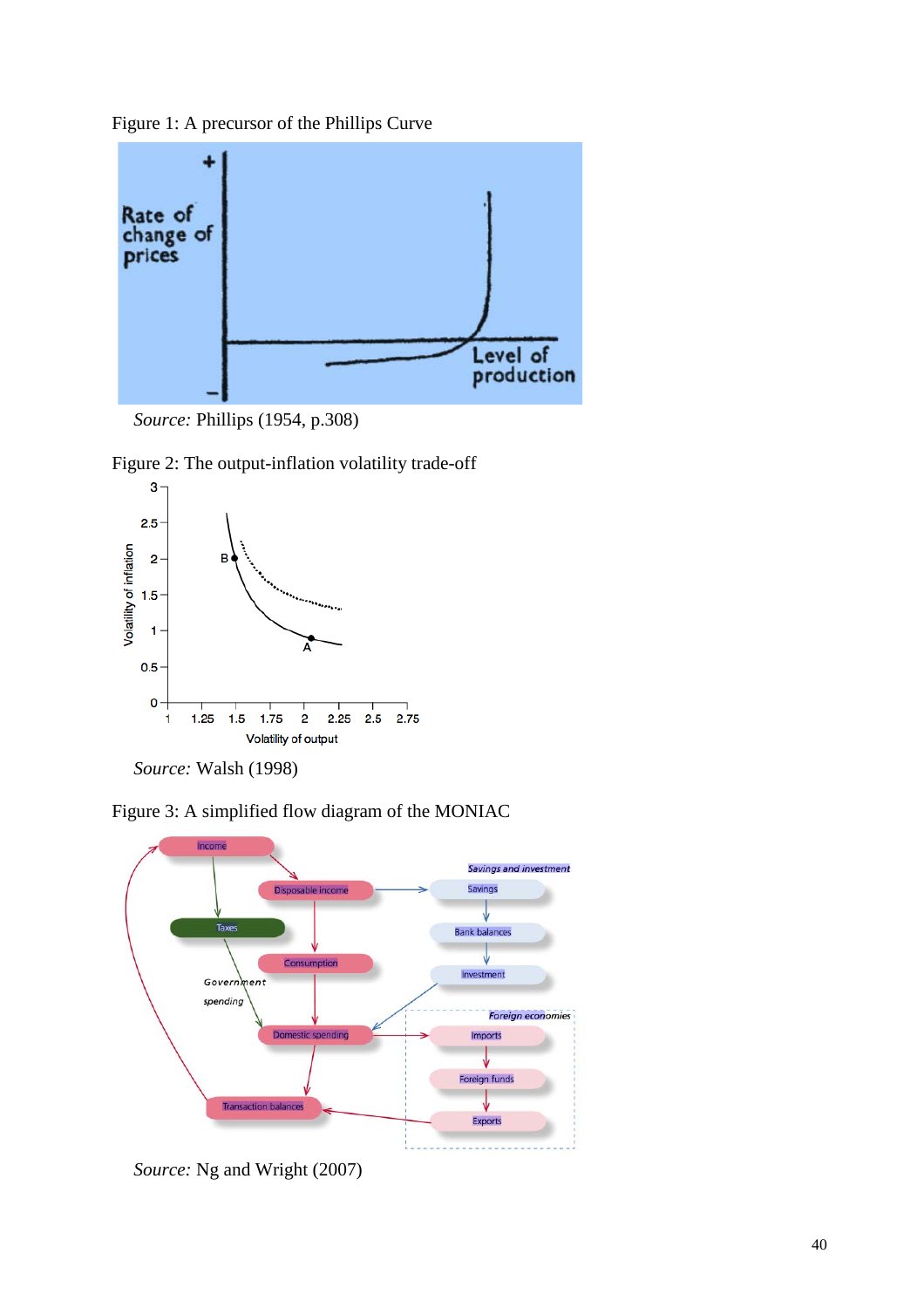Figure 1: A precursor of the Phillips Curve









*Source:* Walsh (1998)





*Source:* Ng and Wright (2007)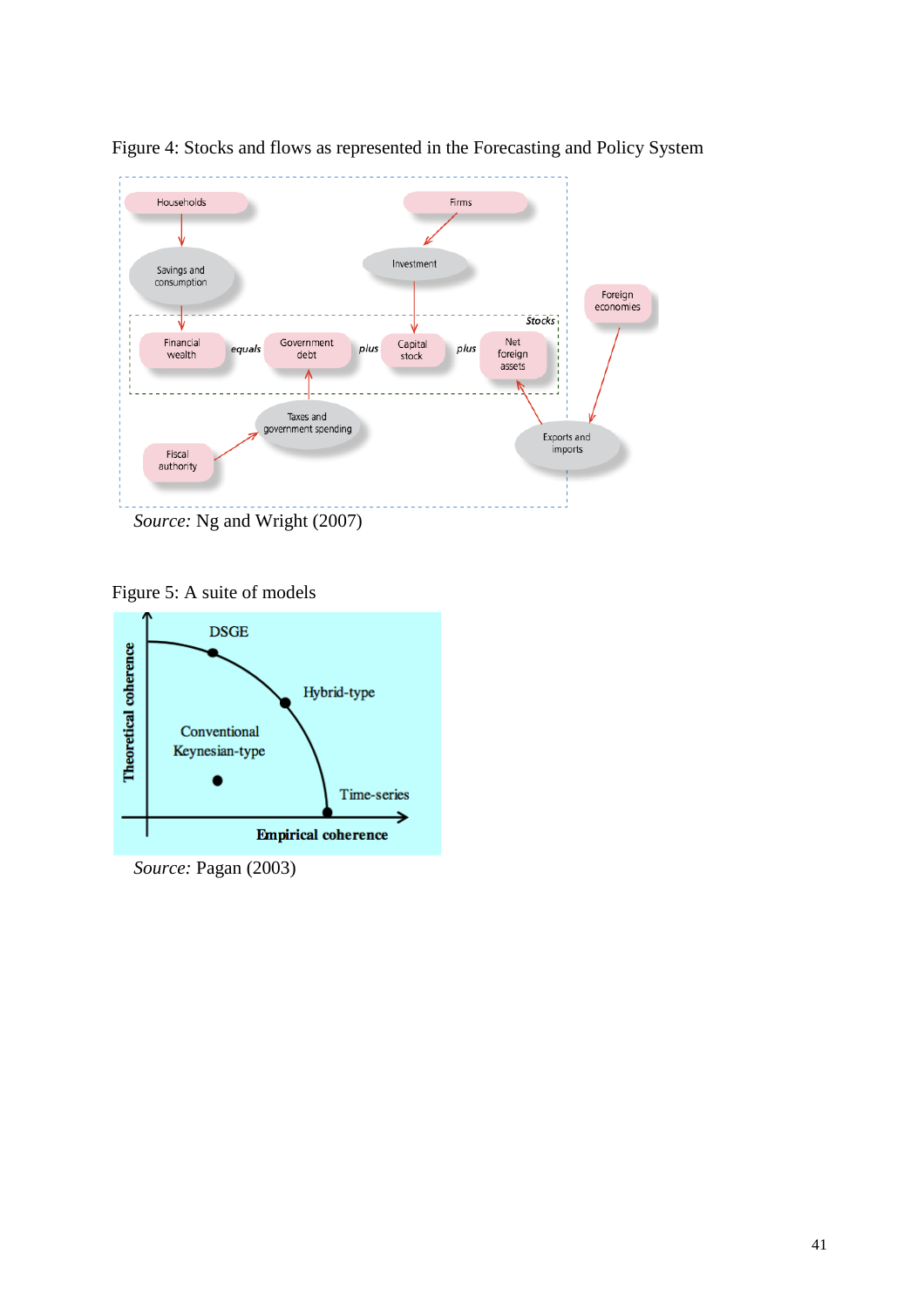

Figure 4: Stocks and flows as represented in the Forecasting and Policy System

Figure 5: A suite of models



*Source:* Pagan (2003)